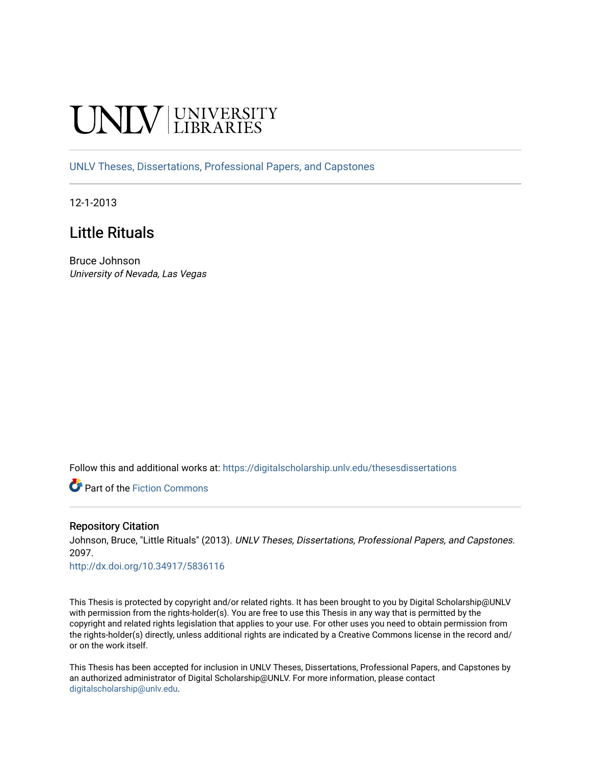# **INIVERSITY**

[UNLV Theses, Dissertations, Professional Papers, and Capstones](https://digitalscholarship.unlv.edu/thesesdissertations)

12-1-2013

# Little Rituals

Bruce Johnson University of Nevada, Las Vegas

Follow this and additional works at: [https://digitalscholarship.unlv.edu/thesesdissertations](https://digitalscholarship.unlv.edu/thesesdissertations?utm_source=digitalscholarship.unlv.edu%2Fthesesdissertations%2F2097&utm_medium=PDF&utm_campaign=PDFCoverPages)

Part of the [Fiction Commons](http://network.bepress.com/hgg/discipline/1151?utm_source=digitalscholarship.unlv.edu%2Fthesesdissertations%2F2097&utm_medium=PDF&utm_campaign=PDFCoverPages) 

## Repository Citation

Johnson, Bruce, "Little Rituals" (2013). UNLV Theses, Dissertations, Professional Papers, and Capstones. 2097.

<http://dx.doi.org/10.34917/5836116>

This Thesis is protected by copyright and/or related rights. It has been brought to you by Digital Scholarship@UNLV with permission from the rights-holder(s). You are free to use this Thesis in any way that is permitted by the copyright and related rights legislation that applies to your use. For other uses you need to obtain permission from the rights-holder(s) directly, unless additional rights are indicated by a Creative Commons license in the record and/ or on the work itself.

This Thesis has been accepted for inclusion in UNLV Theses, Dissertations, Professional Papers, and Capstones by an authorized administrator of Digital Scholarship@UNLV. For more information, please contact [digitalscholarship@unlv.edu](mailto:digitalscholarship@unlv.edu).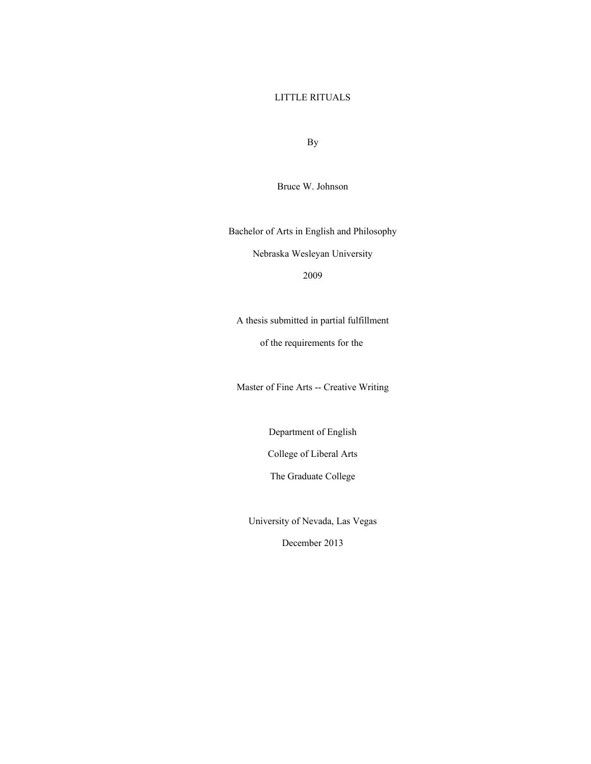#### LITTLE RITUALS

By

Bruce W. Johnson

Bachelor of Arts in English and Philosophy

Nebraska Wesleyan University

2009

A thesis submitted in partial fulfillment

of the requirements for the

Master of Fine Arts -- Creative Writing

Department of English

College of Liberal Arts

The Graduate College

University of Nevada, Las Vegas

December 2013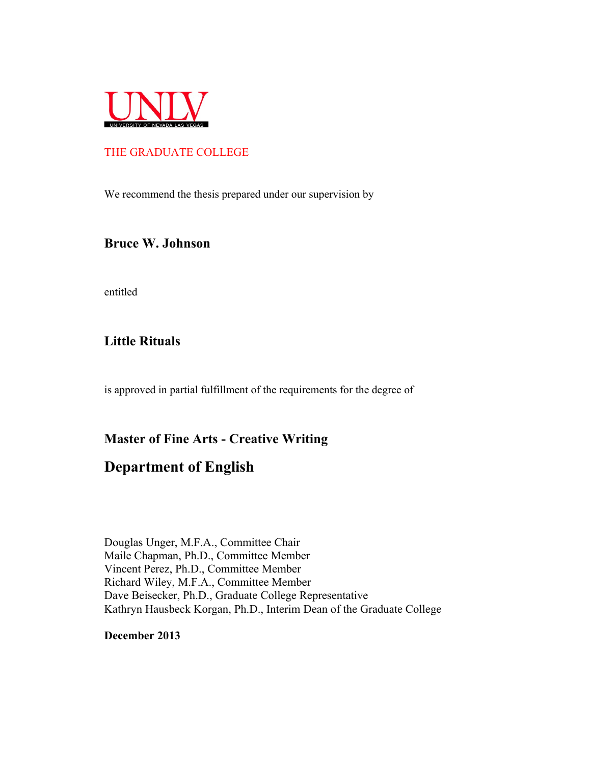

## THE GRADUATE COLLEGE

We recommend the thesis prepared under our supervision by

**Bruce W. Johnson**

entitled

**Little Rituals**

is approved in partial fulfillment of the requirements for the degree of

# **Master of Fine Arts - Creative Writing**

# **Department of English**

Douglas Unger, M.F.A., Committee Chair Maile Chapman, Ph.D., Committee Member Vincent Perez, Ph.D., Committee Member Richard Wiley, M.F.A., Committee Member Dave Beisecker, Ph.D., Graduate College Representative Kathryn Hausbeck Korgan, Ph.D., Interim Dean of the Graduate College

**December 2013**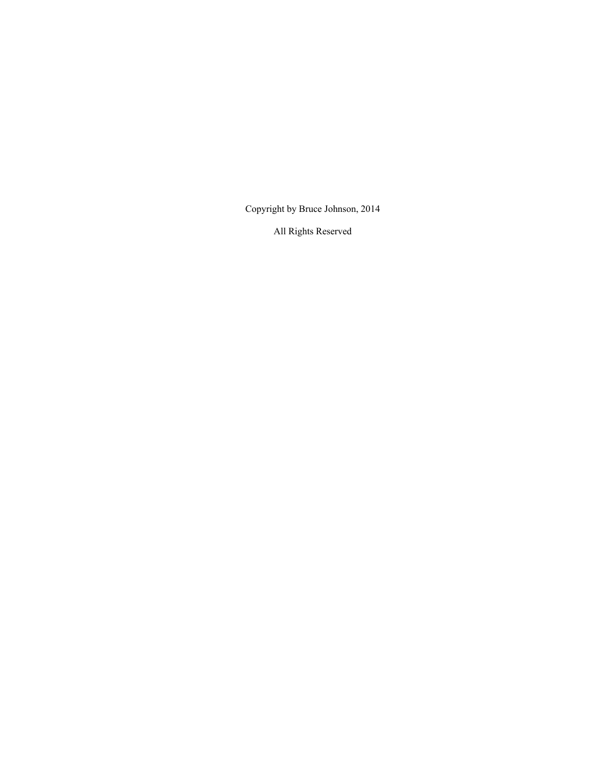Copyright by Bruce Johnson, 2014

All Rights Reserved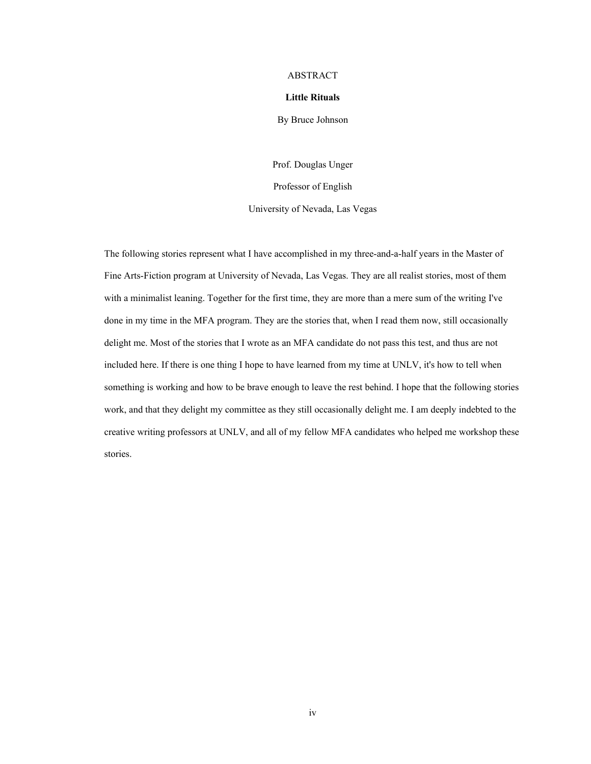#### ABSTRACT

#### **Little Rituals**

By Bruce Johnson

Prof. Douglas Unger

Professor of English

University of Nevada, Las Vegas

The following stories represent what I have accomplished in my three-and-a-half years in the Master of Fine Arts-Fiction program at University of Nevada, Las Vegas. They are all realist stories, most of them with a minimalist leaning. Together for the first time, they are more than a mere sum of the writing I've done in my time in the MFA program. They are the stories that, when I read them now, still occasionally delight me. Most of the stories that I wrote as an MFA candidate do not pass this test, and thus are not included here. If there is one thing I hope to have learned from my time at UNLV, it's how to tell when something is working and how to be brave enough to leave the rest behind. I hope that the following stories work, and that they delight my committee as they still occasionally delight me. I am deeply indebted to the creative writing professors at UNLV, and all of my fellow MFA candidates who helped me workshop these stories.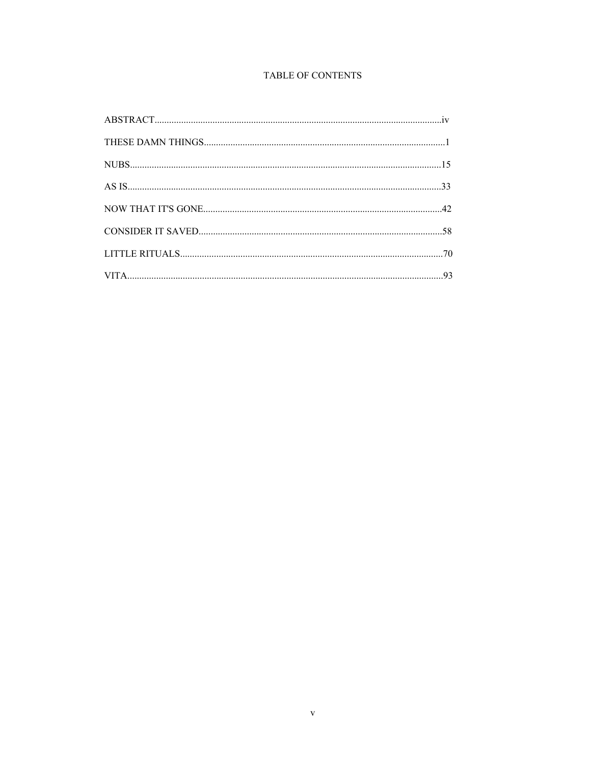## TABLE OF CONTENTS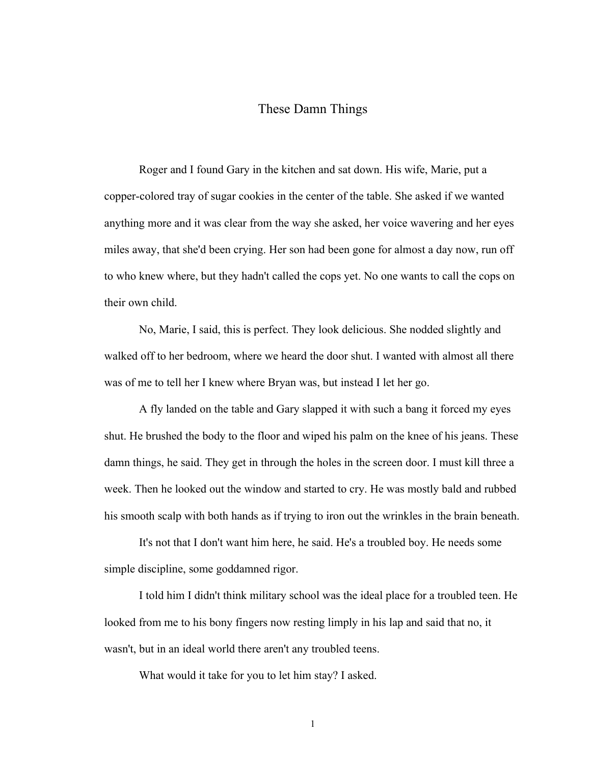## These Damn Things

Roger and I found Gary in the kitchen and sat down. His wife, Marie, put a copper-colored tray of sugar cookies in the center of the table. She asked if we wanted anything more and it was clear from the way she asked, her voice wavering and her eyes miles away, that she'd been crying. Her son had been gone for almost a day now, run off to who knew where, but they hadn't called the cops yet. No one wants to call the cops on their own child.

No, Marie, I said, this is perfect. They look delicious. She nodded slightly and walked off to her bedroom, where we heard the door shut. I wanted with almost all there was of me to tell her I knew where Bryan was, but instead I let her go.

A fly landed on the table and Gary slapped it with such a bang it forced my eyes shut. He brushed the body to the floor and wiped his palm on the knee of his jeans. These damn things, he said. They get in through the holes in the screen door. I must kill three a week. Then he looked out the window and started to cry. He was mostly bald and rubbed his smooth scalp with both hands as if trying to iron out the wrinkles in the brain beneath.

It's not that I don't want him here, he said. He's a troubled boy. He needs some simple discipline, some goddamned rigor.

I told him I didn't think military school was the ideal place for a troubled teen. He looked from me to his bony fingers now resting limply in his lap and said that no, it wasn't, but in an ideal world there aren't any troubled teens.

What would it take for you to let him stay? I asked.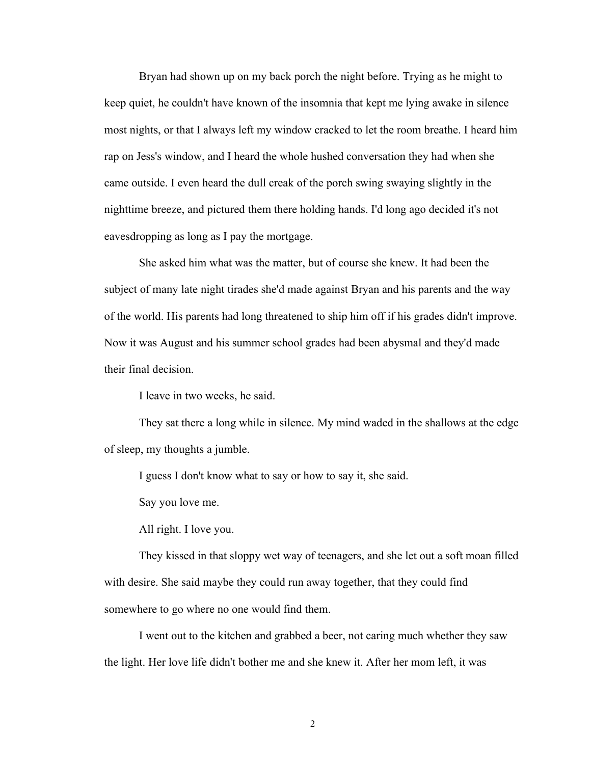Bryan had shown up on my back porch the night before. Trying as he might to keep quiet, he couldn't have known of the insomnia that kept me lying awake in silence most nights, or that I always left my window cracked to let the room breathe. I heard him rap on Jess's window, and I heard the whole hushed conversation they had when she came outside. I even heard the dull creak of the porch swing swaying slightly in the nighttime breeze, and pictured them there holding hands. I'd long ago decided it's not eavesdropping as long as I pay the mortgage.

She asked him what was the matter, but of course she knew. It had been the subject of many late night tirades she'd made against Bryan and his parents and the way of the world. His parents had long threatened to ship him off if his grades didn't improve. Now it was August and his summer school grades had been abysmal and they'd made their final decision.

I leave in two weeks, he said.

They sat there a long while in silence. My mind waded in the shallows at the edge of sleep, my thoughts a jumble.

I guess I don't know what to say or how to say it, she said.

Say you love me.

All right. I love you.

They kissed in that sloppy wet way of teenagers, and she let out a soft moan filled with desire. She said maybe they could run away together, that they could find somewhere to go where no one would find them.

I went out to the kitchen and grabbed a beer, not caring much whether they saw the light. Her love life didn't bother me and she knew it. After her mom left, it was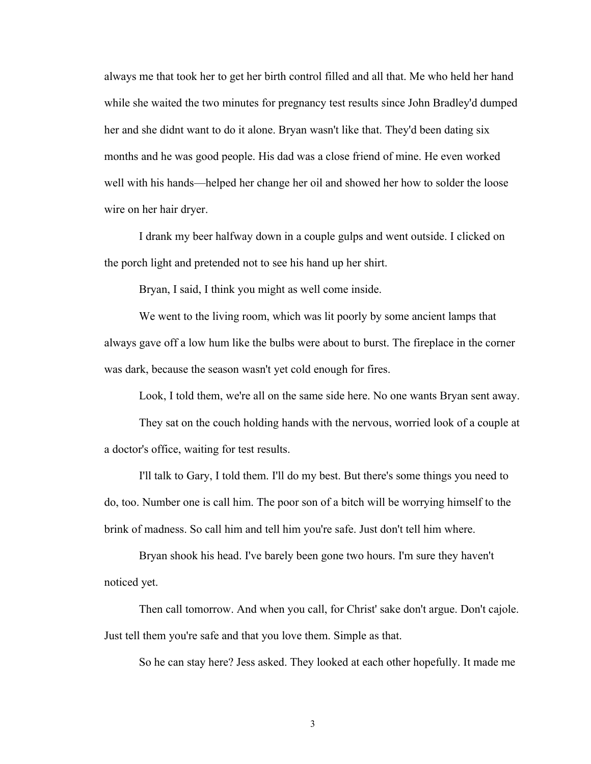always me that took her to get her birth control filled and all that. Me who held her hand while she waited the two minutes for pregnancy test results since John Bradley'd dumped her and she didnt want to do it alone. Bryan wasn't like that. They'd been dating six months and he was good people. His dad was a close friend of mine. He even worked well with his hands—helped her change her oil and showed her how to solder the loose wire on her hair dryer.

I drank my beer halfway down in a couple gulps and went outside. I clicked on the porch light and pretended not to see his hand up her shirt.

Bryan, I said, I think you might as well come inside.

We went to the living room, which was lit poorly by some ancient lamps that always gave off a low hum like the bulbs were about to burst. The fireplace in the corner was dark, because the season wasn't yet cold enough for fires.

Look, I told them, we're all on the same side here. No one wants Bryan sent away.

They sat on the couch holding hands with the nervous, worried look of a couple at a doctor's office, waiting for test results.

I'll talk to Gary, I told them. I'll do my best. But there's some things you need to do, too. Number one is call him. The poor son of a bitch will be worrying himself to the brink of madness. So call him and tell him you're safe. Just don't tell him where.

Bryan shook his head. I've barely been gone two hours. I'm sure they haven't noticed yet.

Then call tomorrow. And when you call, for Christ' sake don't argue. Don't cajole. Just tell them you're safe and that you love them. Simple as that.

So he can stay here? Jess asked. They looked at each other hopefully. It made me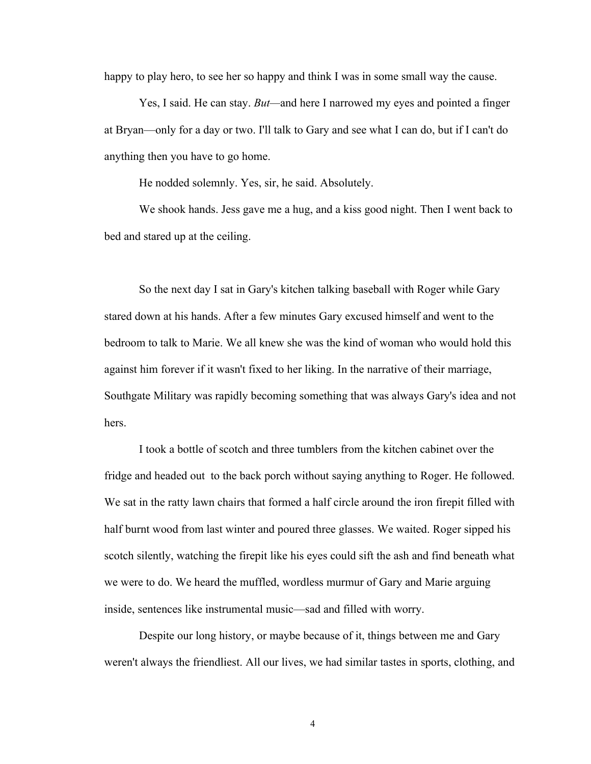happy to play hero, to see her so happy and think I was in some small way the cause.

Yes, I said. He can stay. *But—*and here I narrowed my eyes and pointed a finger at Bryan—only for a day or two. I'll talk to Gary and see what I can do, but if I can't do anything then you have to go home.

He nodded solemnly. Yes, sir, he said. Absolutely.

We shook hands. Jess gave me a hug, and a kiss good night. Then I went back to bed and stared up at the ceiling.

So the next day I sat in Gary's kitchen talking baseball with Roger while Gary stared down at his hands. After a few minutes Gary excused himself and went to the bedroom to talk to Marie. We all knew she was the kind of woman who would hold this against him forever if it wasn't fixed to her liking. In the narrative of their marriage, Southgate Military was rapidly becoming something that was always Gary's idea and not hers.

I took a bottle of scotch and three tumblers from the kitchen cabinet over the fridge and headed out to the back porch without saying anything to Roger. He followed. We sat in the ratty lawn chairs that formed a half circle around the iron firepit filled with half burnt wood from last winter and poured three glasses. We waited. Roger sipped his scotch silently, watching the firepit like his eyes could sift the ash and find beneath what we were to do. We heard the muffled, wordless murmur of Gary and Marie arguing inside, sentences like instrumental music—sad and filled with worry.

Despite our long history, or maybe because of it, things between me and Gary weren't always the friendliest. All our lives, we had similar tastes in sports, clothing, and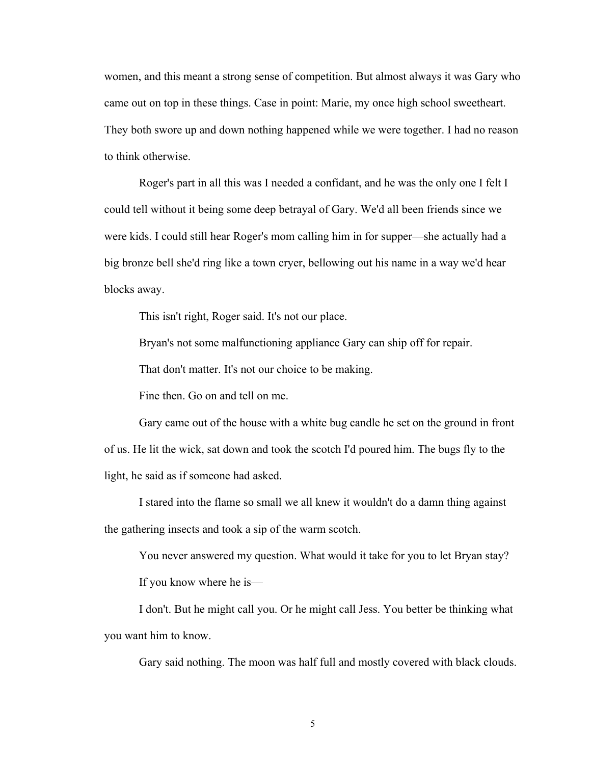women, and this meant a strong sense of competition. But almost always it was Gary who came out on top in these things. Case in point: Marie, my once high school sweetheart. They both swore up and down nothing happened while we were together. I had no reason to think otherwise.

Roger's part in all this was I needed a confidant, and he was the only one I felt I could tell without it being some deep betrayal of Gary. We'd all been friends since we were kids. I could still hear Roger's mom calling him in for supper—she actually had a big bronze bell she'd ring like a town cryer, bellowing out his name in a way we'd hear blocks away.

This isn't right, Roger said. It's not our place.

Bryan's not some malfunctioning appliance Gary can ship off for repair.

That don't matter. It's not our choice to be making.

Fine then. Go on and tell on me.

Gary came out of the house with a white bug candle he set on the ground in front of us. He lit the wick, sat down and took the scotch I'd poured him. The bugs fly to the light, he said as if someone had asked.

I stared into the flame so small we all knew it wouldn't do a damn thing against the gathering insects and took a sip of the warm scotch.

You never answered my question. What would it take for you to let Bryan stay? If you know where he is—

I don't. But he might call you. Or he might call Jess. You better be thinking what you want him to know.

Gary said nothing. The moon was half full and mostly covered with black clouds.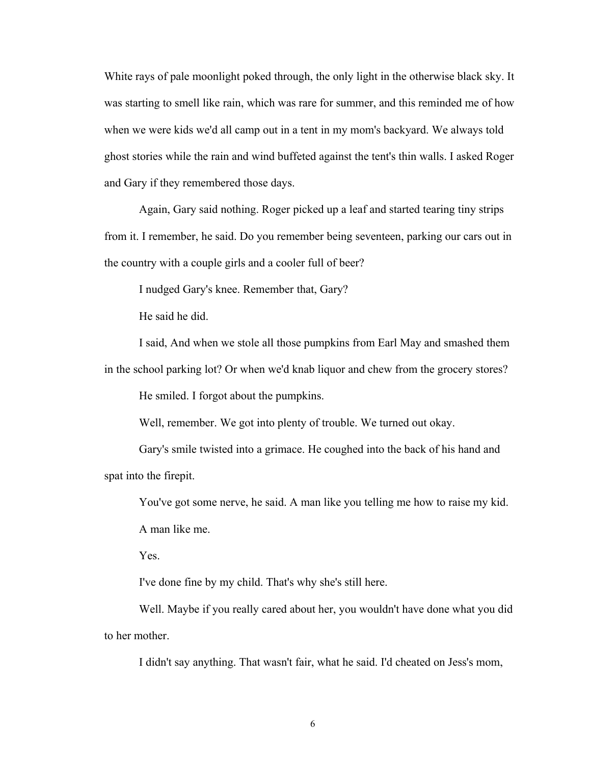White rays of pale moonlight poked through, the only light in the otherwise black sky. It was starting to smell like rain, which was rare for summer, and this reminded me of how when we were kids we'd all camp out in a tent in my mom's backyard. We always told ghost stories while the rain and wind buffeted against the tent's thin walls. I asked Roger and Gary if they remembered those days.

Again, Gary said nothing. Roger picked up a leaf and started tearing tiny strips from it. I remember, he said. Do you remember being seventeen, parking our cars out in the country with a couple girls and a cooler full of beer?

I nudged Gary's knee. Remember that, Gary?

He said he did.

I said, And when we stole all those pumpkins from Earl May and smashed them

in the school parking lot? Or when we'd knab liquor and chew from the grocery stores?

He smiled. I forgot about the pumpkins.

Well, remember. We got into plenty of trouble. We turned out okay.

Gary's smile twisted into a grimace. He coughed into the back of his hand and spat into the firepit.

You've got some nerve, he said. A man like you telling me how to raise my kid. A man like me.

Yes.

I've done fine by my child. That's why she's still here.

Well. Maybe if you really cared about her, you wouldn't have done what you did to her mother.

I didn't say anything. That wasn't fair, what he said. I'd cheated on Jess's mom,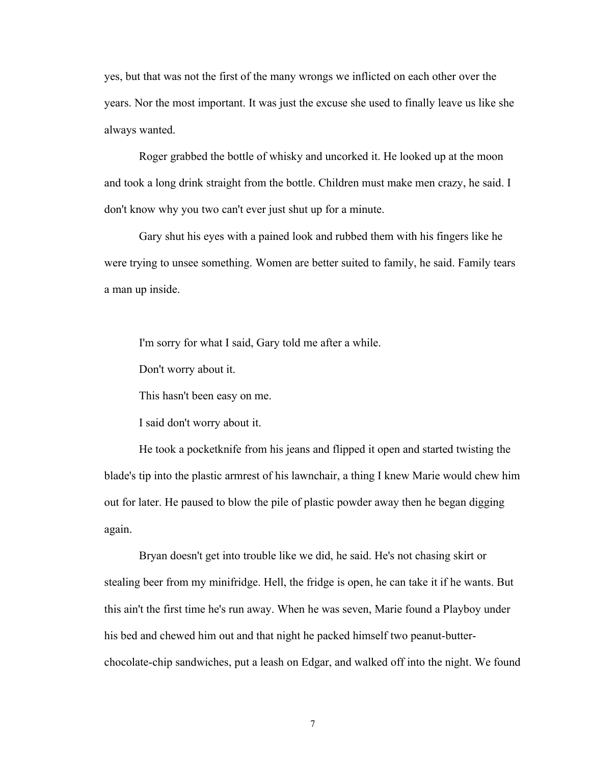yes, but that was not the first of the many wrongs we inflicted on each other over the years. Nor the most important. It was just the excuse she used to finally leave us like she always wanted.

Roger grabbed the bottle of whisky and uncorked it. He looked up at the moon and took a long drink straight from the bottle. Children must make men crazy, he said. I don't know why you two can't ever just shut up for a minute.

Gary shut his eyes with a pained look and rubbed them with his fingers like he were trying to unsee something. Women are better suited to family, he said. Family tears a man up inside.

I'm sorry for what I said, Gary told me after a while.

Don't worry about it.

This hasn't been easy on me.

I said don't worry about it.

He took a pocketknife from his jeans and flipped it open and started twisting the blade's tip into the plastic armrest of his lawnchair, a thing I knew Marie would chew him out for later. He paused to blow the pile of plastic powder away then he began digging again.

Bryan doesn't get into trouble like we did, he said. He's not chasing skirt or stealing beer from my minifridge. Hell, the fridge is open, he can take it if he wants. But this ain't the first time he's run away. When he was seven, Marie found a Playboy under his bed and chewed him out and that night he packed himself two peanut-butterchocolate-chip sandwiches, put a leash on Edgar, and walked off into the night. We found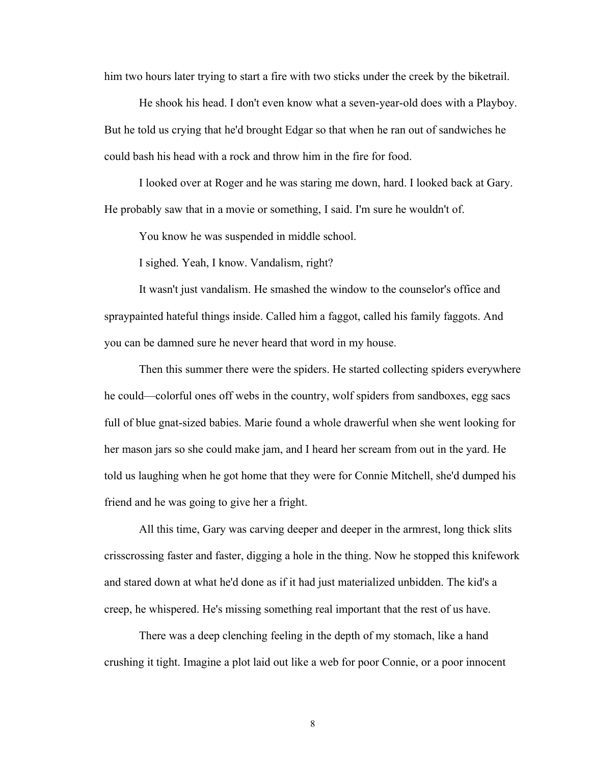him two hours later trying to start a fire with two sticks under the creek by the biketrail.

He shook his head. I don't even know what a seven-year-old does with a Playboy. But he told us crying that he'd brought Edgar so that when he ran out of sandwiches he could bash his head with a rock and throw him in the fire for food.

I looked over at Roger and he was staring me down, hard. I looked back at Gary. He probably saw that in a movie or something, I said. I'm sure he wouldn't of.

You know he was suspended in middle school.

I sighed. Yeah, I know. Vandalism, right?

It wasn't just vandalism. He smashed the window to the counselor's office and spraypainted hateful things inside. Called him a faggot, called his family faggots. And you can be damned sure he never heard that word in my house.

Then this summer there were the spiders. He started collecting spiders everywhere he could—colorful ones off webs in the country, wolf spiders from sandboxes, egg sacs full of blue gnat-sized babies. Marie found a whole drawerful when she went looking for her mason jars so she could make jam, and I heard her scream from out in the yard. He told us laughing when he got home that they were for Connie Mitchell, she'd dumped his friend and he was going to give her a fright.

All this time, Gary was carving deeper and deeper in the armrest, long thick slits crisscrossing faster and faster, digging a hole in the thing. Now he stopped this knifework and stared down at what he'd done as if it had just materialized unbidden. The kid's a creep, he whispered. He's missing something real important that the rest of us have.

There was a deep clenching feeling in the depth of my stomach, like a hand crushing it tight. Imagine a plot laid out like a web for poor Connie, or a poor innocent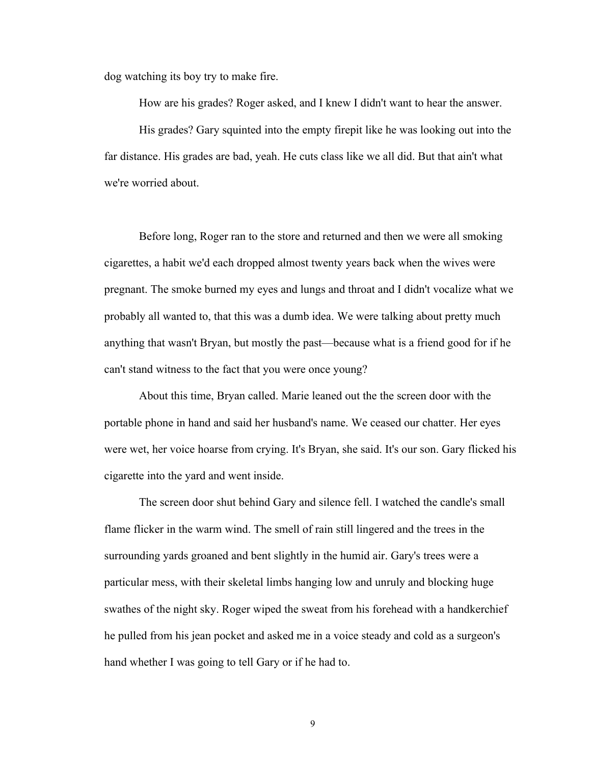dog watching its boy try to make fire.

How are his grades? Roger asked, and I knew I didn't want to hear the answer.

His grades? Gary squinted into the empty firepit like he was looking out into the far distance. His grades are bad, yeah. He cuts class like we all did. But that ain't what we're worried about.

Before long, Roger ran to the store and returned and then we were all smoking cigarettes, a habit we'd each dropped almost twenty years back when the wives were pregnant. The smoke burned my eyes and lungs and throat and I didn't vocalize what we probably all wanted to, that this was a dumb idea. We were talking about pretty much anything that wasn't Bryan, but mostly the past—because what is a friend good for if he can't stand witness to the fact that you were once young?

About this time, Bryan called. Marie leaned out the the screen door with the portable phone in hand and said her husband's name. We ceased our chatter. Her eyes were wet, her voice hoarse from crying. It's Bryan, she said. It's our son. Gary flicked his cigarette into the yard and went inside.

The screen door shut behind Gary and silence fell. I watched the candle's small flame flicker in the warm wind. The smell of rain still lingered and the trees in the surrounding yards groaned and bent slightly in the humid air. Gary's trees were a particular mess, with their skeletal limbs hanging low and unruly and blocking huge swathes of the night sky. Roger wiped the sweat from his forehead with a handkerchief he pulled from his jean pocket and asked me in a voice steady and cold as a surgeon's hand whether I was going to tell Gary or if he had to.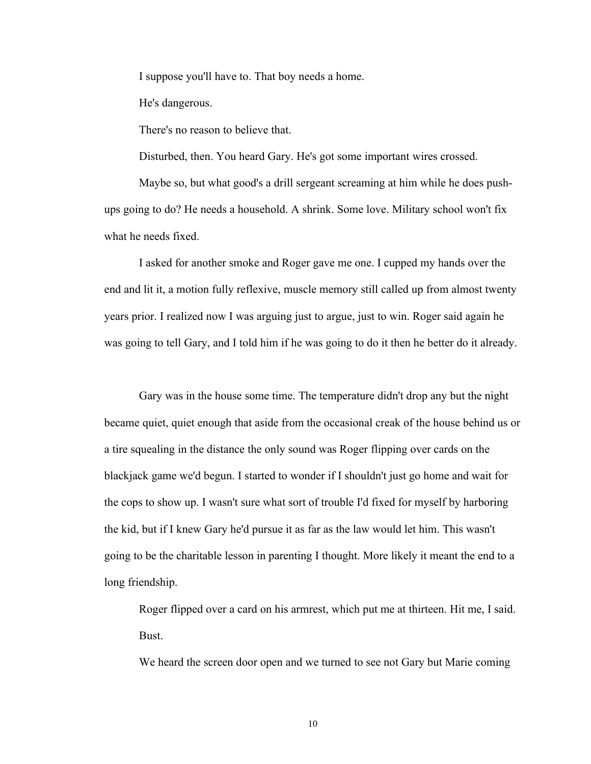I suppose you'll have to. That boy needs a home.

He's dangerous.

There's no reason to believe that.

Disturbed, then. You heard Gary. He's got some important wires crossed.

Maybe so, but what good's a drill sergeant screaming at him while he does pushups going to do? He needs a household. A shrink. Some love. Military school won't fix what he needs fixed.

I asked for another smoke and Roger gave me one. I cupped my hands over the end and lit it, a motion fully reflexive, muscle memory still called up from almost twenty years prior. I realized now I was arguing just to argue, just to win. Roger said again he was going to tell Gary, and I told him if he was going to do it then he better do it already.

Gary was in the house some time. The temperature didn't drop any but the night became quiet, quiet enough that aside from the occasional creak of the house behind us or a tire squealing in the distance the only sound was Roger flipping over cards on the blackjack game we'd begun. I started to wonder if I shouldn't just go home and wait for the cops to show up. I wasn't sure what sort of trouble I'd fixed for myself by harboring the kid, but if I knew Gary he'd pursue it as far as the law would let him. This wasn't going to be the charitable lesson in parenting I thought. More likely it meant the end to a long friendship.

Roger flipped over a card on his armrest, which put me at thirteen. Hit me, I said. Bust.

We heard the screen door open and we turned to see not Gary but Marie coming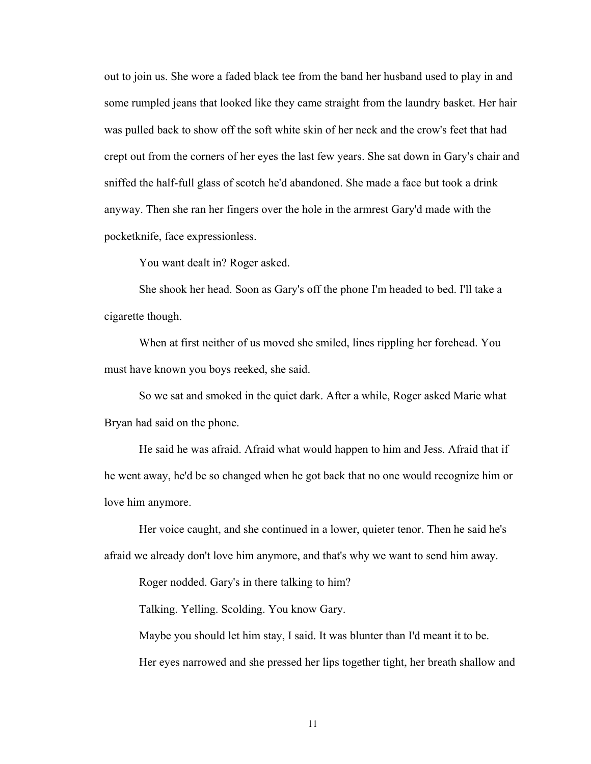out to join us. She wore a faded black tee from the band her husband used to play in and some rumpled jeans that looked like they came straight from the laundry basket. Her hair was pulled back to show off the soft white skin of her neck and the crow's feet that had crept out from the corners of her eyes the last few years. She sat down in Gary's chair and sniffed the half-full glass of scotch he'd abandoned. She made a face but took a drink anyway. Then she ran her fingers over the hole in the armrest Gary'd made with the pocketknife, face expressionless.

You want dealt in? Roger asked.

She shook her head. Soon as Gary's off the phone I'm headed to bed. I'll take a cigarette though.

When at first neither of us moved she smiled, lines rippling her forehead. You must have known you boys reeked, she said.

So we sat and smoked in the quiet dark. After a while, Roger asked Marie what Bryan had said on the phone.

He said he was afraid. Afraid what would happen to him and Jess. Afraid that if he went away, he'd be so changed when he got back that no one would recognize him or love him anymore.

Her voice caught, and she continued in a lower, quieter tenor. Then he said he's afraid we already don't love him anymore, and that's why we want to send him away.

Roger nodded. Gary's in there talking to him?

Talking. Yelling. Scolding. You know Gary.

Maybe you should let him stay, I said. It was blunter than I'd meant it to be. Her eyes narrowed and she pressed her lips together tight, her breath shallow and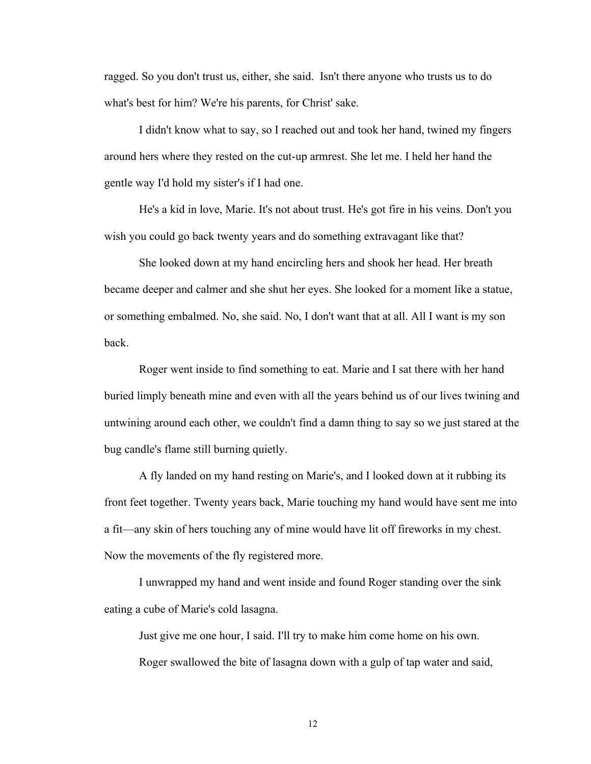ragged. So you don't trust us, either, she said. Isn't there anyone who trusts us to do what's best for him? We're his parents, for Christ' sake.

I didn't know what to say, so I reached out and took her hand, twined my fingers around hers where they rested on the cut-up armrest. She let me. I held her hand the gentle way I'd hold my sister's if I had one.

He's a kid in love, Marie. It's not about trust. He's got fire in his veins. Don't you wish you could go back twenty years and do something extravagant like that?

She looked down at my hand encircling hers and shook her head. Her breath became deeper and calmer and she shut her eyes. She looked for a moment like a statue, or something embalmed. No, she said. No, I don't want that at all. All I want is my son back.

Roger went inside to find something to eat. Marie and I sat there with her hand buried limply beneath mine and even with all the years behind us of our lives twining and untwining around each other, we couldn't find a damn thing to say so we just stared at the bug candle's flame still burning quietly.

A fly landed on my hand resting on Marie's, and I looked down at it rubbing its front feet together. Twenty years back, Marie touching my hand would have sent me into a fit—any skin of hers touching any of mine would have lit off fireworks in my chest. Now the movements of the fly registered more.

I unwrapped my hand and went inside and found Roger standing over the sink eating a cube of Marie's cold lasagna.

Just give me one hour, I said. I'll try to make him come home on his own. Roger swallowed the bite of lasagna down with a gulp of tap water and said,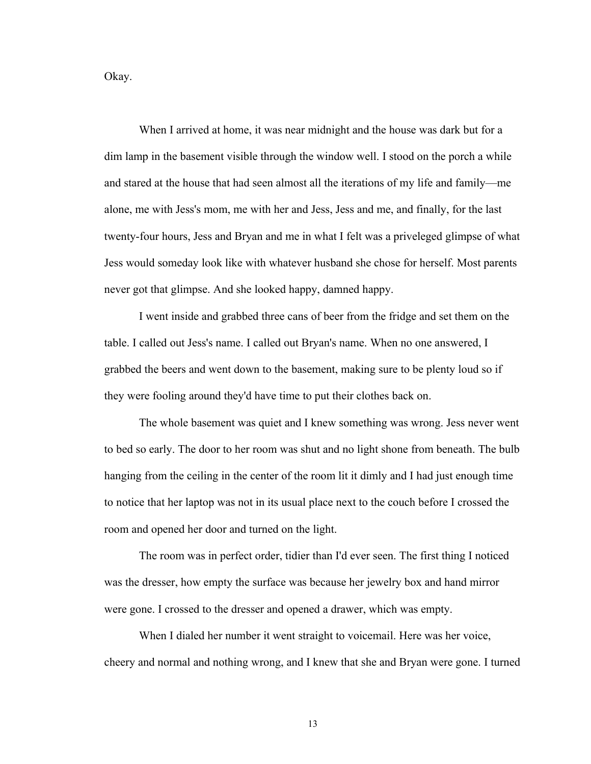Okay.

When I arrived at home, it was near midnight and the house was dark but for a dim lamp in the basement visible through the window well. I stood on the porch a while and stared at the house that had seen almost all the iterations of my life and family—me alone, me with Jess's mom, me with her and Jess, Jess and me, and finally, for the last twenty-four hours, Jess and Bryan and me in what I felt was a priveleged glimpse of what Jess would someday look like with whatever husband she chose for herself. Most parents never got that glimpse. And she looked happy, damned happy.

I went inside and grabbed three cans of beer from the fridge and set them on the table. I called out Jess's name. I called out Bryan's name. When no one answered, I grabbed the beers and went down to the basement, making sure to be plenty loud so if they were fooling around they'd have time to put their clothes back on.

The whole basement was quiet and I knew something was wrong. Jess never went to bed so early. The door to her room was shut and no light shone from beneath. The bulb hanging from the ceiling in the center of the room lit it dimly and I had just enough time to notice that her laptop was not in its usual place next to the couch before I crossed the room and opened her door and turned on the light.

The room was in perfect order, tidier than I'd ever seen. The first thing I noticed was the dresser, how empty the surface was because her jewelry box and hand mirror were gone. I crossed to the dresser and opened a drawer, which was empty.

When I dialed her number it went straight to voicemail. Here was her voice, cheery and normal and nothing wrong, and I knew that she and Bryan were gone. I turned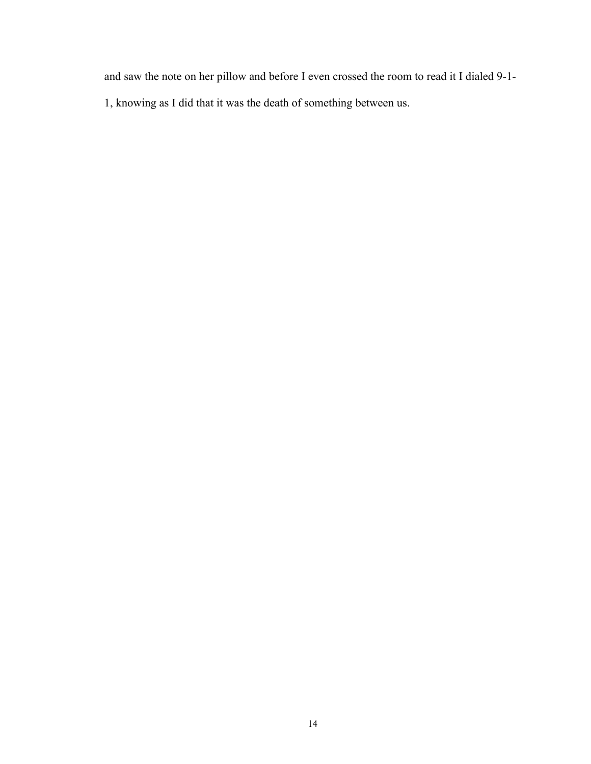and saw the note on her pillow and before I even crossed the room to read it I dialed 9-1-

1, knowing as I did that it was the death of something between us.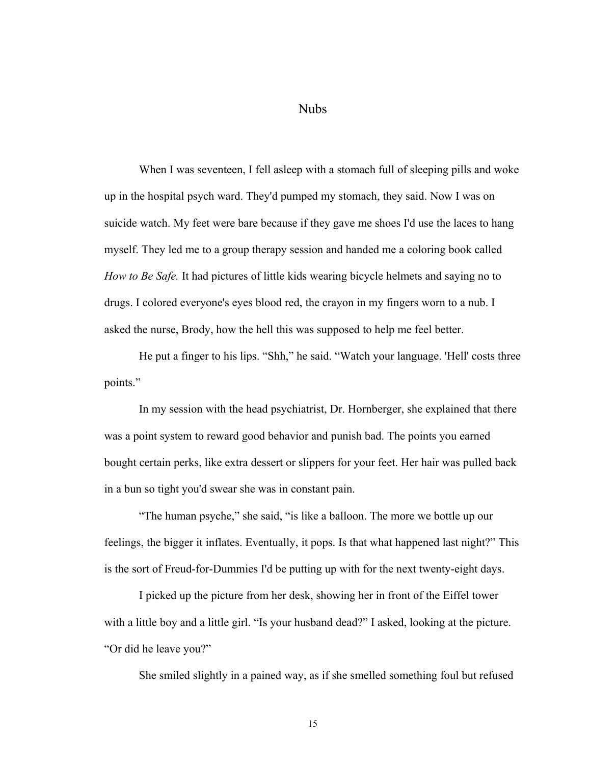Nubs

When I was seventeen, I fell asleep with a stomach full of sleeping pills and woke up in the hospital psych ward. They'd pumped my stomach, they said. Now I was on suicide watch. My feet were bare because if they gave me shoes I'd use the laces to hang myself. They led me to a group therapy session and handed me a coloring book called *How to Be Safe.* It had pictures of little kids wearing bicycle helmets and saying no to drugs. I colored everyone's eyes blood red, the crayon in my fingers worn to a nub. I asked the nurse, Brody, how the hell this was supposed to help me feel better.

He put a finger to his lips. "Shh," he said. "Watch your language. 'Hell' costs three points."

In my session with the head psychiatrist, Dr. Hornberger, she explained that there was a point system to reward good behavior and punish bad. The points you earned bought certain perks, like extra dessert or slippers for your feet. Her hair was pulled back in a bun so tight you'd swear she was in constant pain.

"The human psyche," she said, "is like a balloon. The more we bottle up our feelings, the bigger it inflates. Eventually, it pops. Is that what happened last night?" This is the sort of Freud-for-Dummies I'd be putting up with for the next twenty-eight days.

I picked up the picture from her desk, showing her in front of the Eiffel tower with a little boy and a little girl. "Is your husband dead?" I asked, looking at the picture. "Or did he leave you?"

She smiled slightly in a pained way, as if she smelled something foul but refused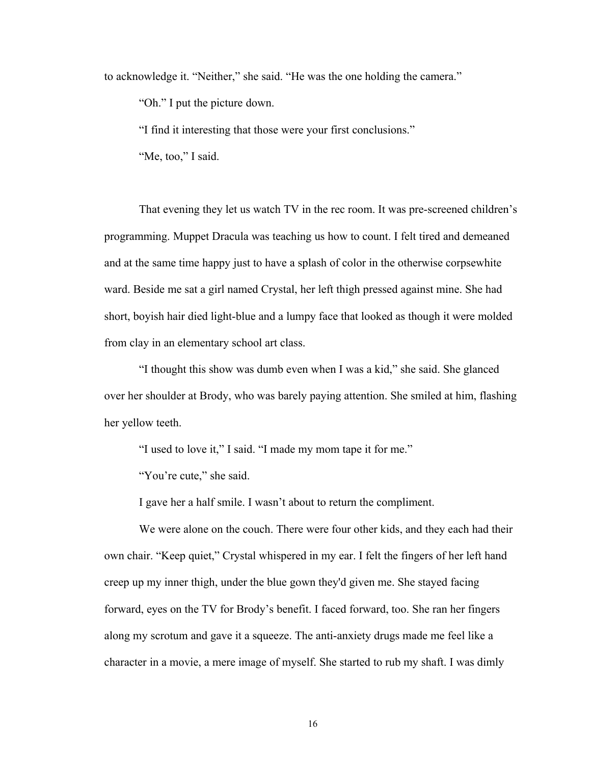to acknowledge it. "Neither," she said. "He was the one holding the camera."

"Oh." I put the picture down.

"I find it interesting that those were your first conclusions."

"Me, too," I said.

That evening they let us watch TV in the rec room. It was pre-screened children's programming. Muppet Dracula was teaching us how to count. I felt tired and demeaned and at the same time happy just to have a splash of color in the otherwise corpsewhite ward. Beside me sat a girl named Crystal, her left thigh pressed against mine. She had short, boyish hair died light-blue and a lumpy face that looked as though it were molded from clay in an elementary school art class.

"I thought this show was dumb even when I was a kid," she said. She glanced over her shoulder at Brody, who was barely paying attention. She smiled at him, flashing her yellow teeth.

"I used to love it," I said. "I made my mom tape it for me."

"You're cute," she said.

I gave her a half smile. I wasn't about to return the compliment.

We were alone on the couch. There were four other kids, and they each had their own chair. "Keep quiet," Crystal whispered in my ear. I felt the fingers of her left hand creep up my inner thigh, under the blue gown they'd given me. She stayed facing forward, eyes on the TV for Brody's benefit. I faced forward, too. She ran her fingers along my scrotum and gave it a squeeze. The anti-anxiety drugs made me feel like a character in a movie, a mere image of myself. She started to rub my shaft. I was dimly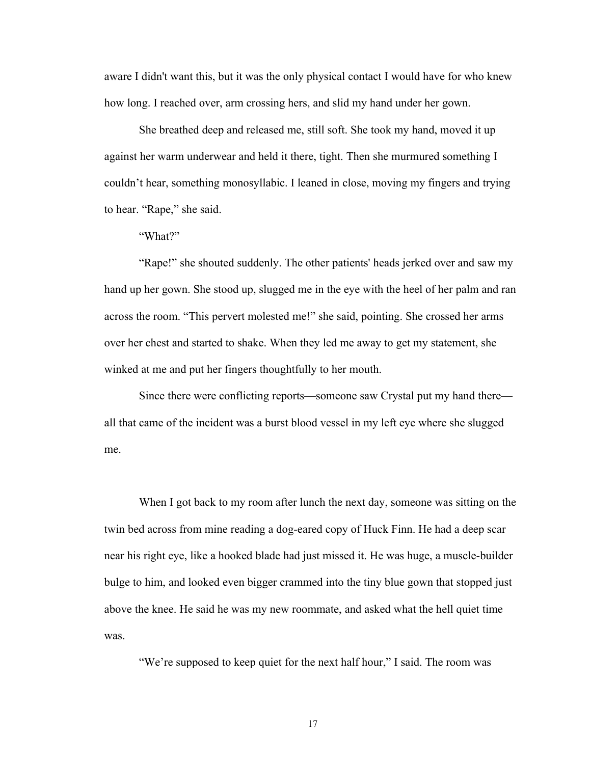aware I didn't want this, but it was the only physical contact I would have for who knew how long. I reached over, arm crossing hers, and slid my hand under her gown.

She breathed deep and released me, still soft. She took my hand, moved it up against her warm underwear and held it there, tight. Then she murmured something I couldn't hear, something monosyllabic. I leaned in close, moving my fingers and trying to hear. "Rape," she said.

"What?"

"Rape!" she shouted suddenly. The other patients' heads jerked over and saw my hand up her gown. She stood up, slugged me in the eye with the heel of her palm and ran across the room. "This pervert molested me!" she said, pointing. She crossed her arms over her chest and started to shake. When they led me away to get my statement, she winked at me and put her fingers thoughtfully to her mouth.

Since there were conflicting reports—someone saw Crystal put my hand there all that came of the incident was a burst blood vessel in my left eye where she slugged me.

When I got back to my room after lunch the next day, someone was sitting on the twin bed across from mine reading a dog-eared copy of Huck Finn. He had a deep scar near his right eye, like a hooked blade had just missed it. He was huge, a muscle-builder bulge to him, and looked even bigger crammed into the tiny blue gown that stopped just above the knee. He said he was my new roommate, and asked what the hell quiet time was.

"We're supposed to keep quiet for the next half hour," I said. The room was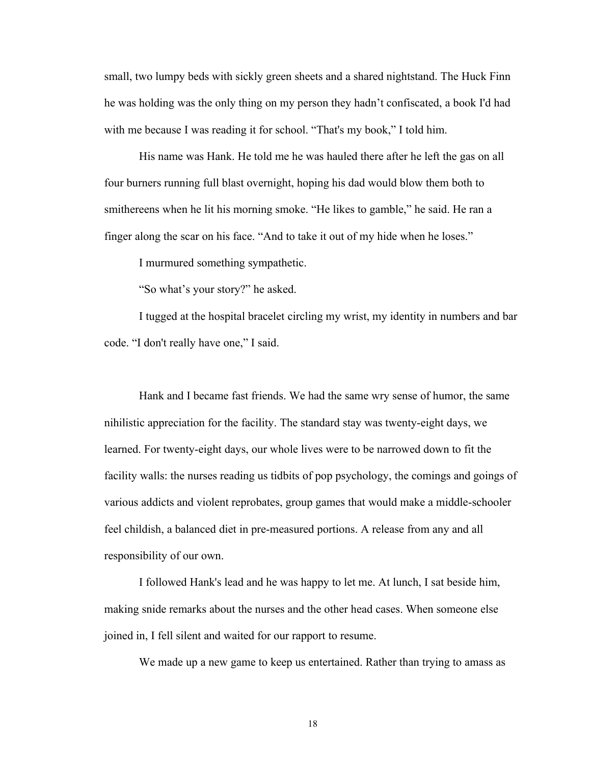small, two lumpy beds with sickly green sheets and a shared nightstand. The Huck Finn he was holding was the only thing on my person they hadn't confiscated, a book I'd had with me because I was reading it for school. "That's my book," I told him.

His name was Hank. He told me he was hauled there after he left the gas on all four burners running full blast overnight, hoping his dad would blow them both to smithereens when he lit his morning smoke. "He likes to gamble," he said. He ran a finger along the scar on his face. "And to take it out of my hide when he loses."

I murmured something sympathetic.

"So what's your story?" he asked.

I tugged at the hospital bracelet circling my wrist, my identity in numbers and bar code. "I don't really have one," I said.

Hank and I became fast friends. We had the same wry sense of humor, the same nihilistic appreciation for the facility. The standard stay was twenty-eight days, we learned. For twenty-eight days, our whole lives were to be narrowed down to fit the facility walls: the nurses reading us tidbits of pop psychology, the comings and goings of various addicts and violent reprobates, group games that would make a middle-schooler feel childish, a balanced diet in pre-measured portions. A release from any and all responsibility of our own.

I followed Hank's lead and he was happy to let me. At lunch, I sat beside him, making snide remarks about the nurses and the other head cases. When someone else joined in, I fell silent and waited for our rapport to resume.

We made up a new game to keep us entertained. Rather than trying to amass as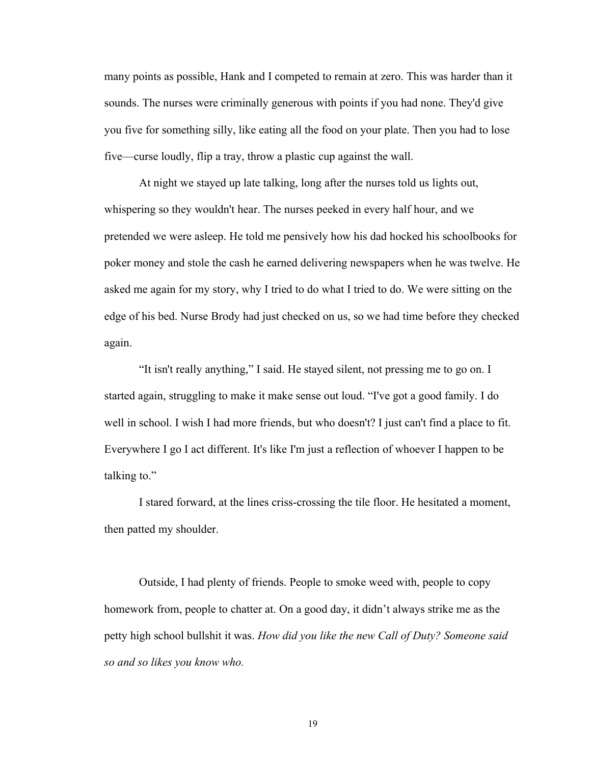many points as possible, Hank and I competed to remain at zero. This was harder than it sounds. The nurses were criminally generous with points if you had none. They'd give you five for something silly, like eating all the food on your plate. Then you had to lose five—curse loudly, flip a tray, throw a plastic cup against the wall.

At night we stayed up late talking, long after the nurses told us lights out, whispering so they wouldn't hear. The nurses peeked in every half hour, and we pretended we were asleep. He told me pensively how his dad hocked his schoolbooks for poker money and stole the cash he earned delivering newspapers when he was twelve. He asked me again for my story, why I tried to do what I tried to do. We were sitting on the edge of his bed. Nurse Brody had just checked on us, so we had time before they checked again.

"It isn't really anything," I said. He stayed silent, not pressing me to go on. I started again, struggling to make it make sense out loud. "I've got a good family. I do well in school. I wish I had more friends, but who doesn't? I just can't find a place to fit. Everywhere I go I act different. It's like I'm just a reflection of whoever I happen to be talking to."

I stared forward, at the lines criss-crossing the tile floor. He hesitated a moment, then patted my shoulder.

Outside, I had plenty of friends. People to smoke weed with, people to copy homework from, people to chatter at. On a good day, it didn't always strike me as the petty high school bullshit it was. *How did you like the new Call of Duty? Someone said so and so likes you know who.*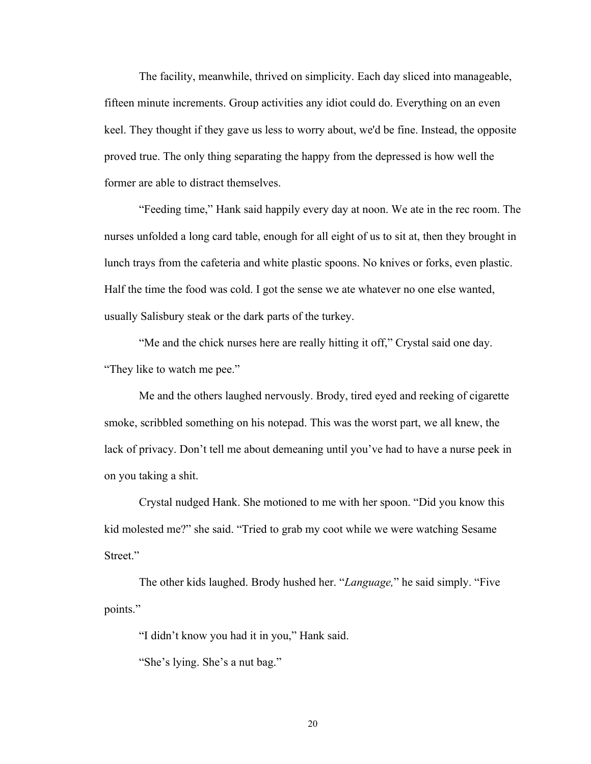The facility, meanwhile, thrived on simplicity. Each day sliced into manageable, fifteen minute increments. Group activities any idiot could do. Everything on an even keel. They thought if they gave us less to worry about, we'd be fine. Instead, the opposite proved true. The only thing separating the happy from the depressed is how well the former are able to distract themselves.

"Feeding time," Hank said happily every day at noon. We ate in the rec room. The nurses unfolded a long card table, enough for all eight of us to sit at, then they brought in lunch trays from the cafeteria and white plastic spoons. No knives or forks, even plastic. Half the time the food was cold. I got the sense we ate whatever no one else wanted, usually Salisbury steak or the dark parts of the turkey.

"Me and the chick nurses here are really hitting it off," Crystal said one day. "They like to watch me pee."

Me and the others laughed nervously. Brody, tired eyed and reeking of cigarette smoke, scribbled something on his notepad. This was the worst part, we all knew, the lack of privacy. Don't tell me about demeaning until you've had to have a nurse peek in on you taking a shit.

Crystal nudged Hank. She motioned to me with her spoon. "Did you know this kid molested me?" she said. "Tried to grab my coot while we were watching Sesame Street."

The other kids laughed. Brody hushed her. "*Language,*" he said simply. "Five points."

"I didn't know you had it in you," Hank said.

"She's lying. She's a nut bag."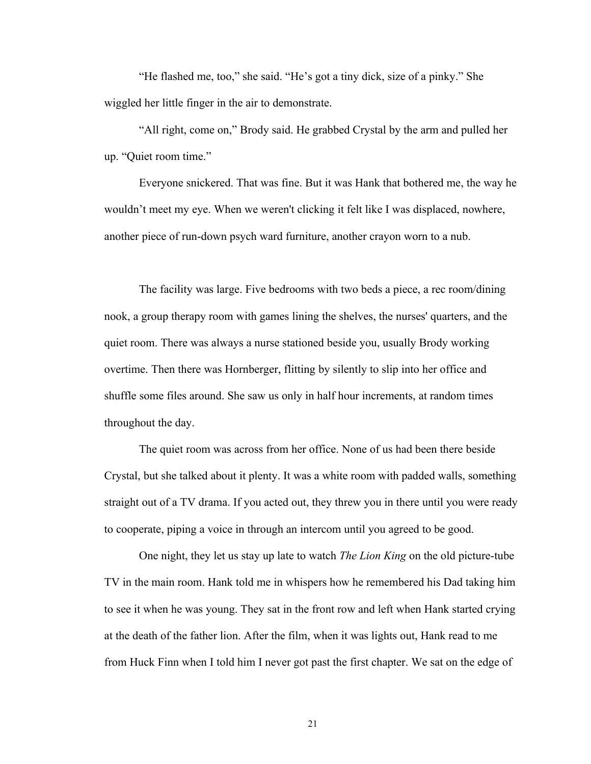"He flashed me, too," she said. "He's got a tiny dick, size of a pinky." She wiggled her little finger in the air to demonstrate.

"All right, come on," Brody said. He grabbed Crystal by the arm and pulled her up. "Quiet room time."

Everyone snickered. That was fine. But it was Hank that bothered me, the way he wouldn't meet my eye. When we weren't clicking it felt like I was displaced, nowhere, another piece of run-down psych ward furniture, another crayon worn to a nub.

The facility was large. Five bedrooms with two beds a piece, a rec room/dining nook, a group therapy room with games lining the shelves, the nurses' quarters, and the quiet room. There was always a nurse stationed beside you, usually Brody working overtime. Then there was Hornberger, flitting by silently to slip into her office and shuffle some files around. She saw us only in half hour increments, at random times throughout the day.

The quiet room was across from her office. None of us had been there beside Crystal, but she talked about it plenty. It was a white room with padded walls, something straight out of a TV drama. If you acted out, they threw you in there until you were ready to cooperate, piping a voice in through an intercom until you agreed to be good.

One night, they let us stay up late to watch *The Lion King* on the old picture-tube TV in the main room. Hank told me in whispers how he remembered his Dad taking him to see it when he was young. They sat in the front row and left when Hank started crying at the death of the father lion. After the film, when it was lights out, Hank read to me from Huck Finn when I told him I never got past the first chapter. We sat on the edge of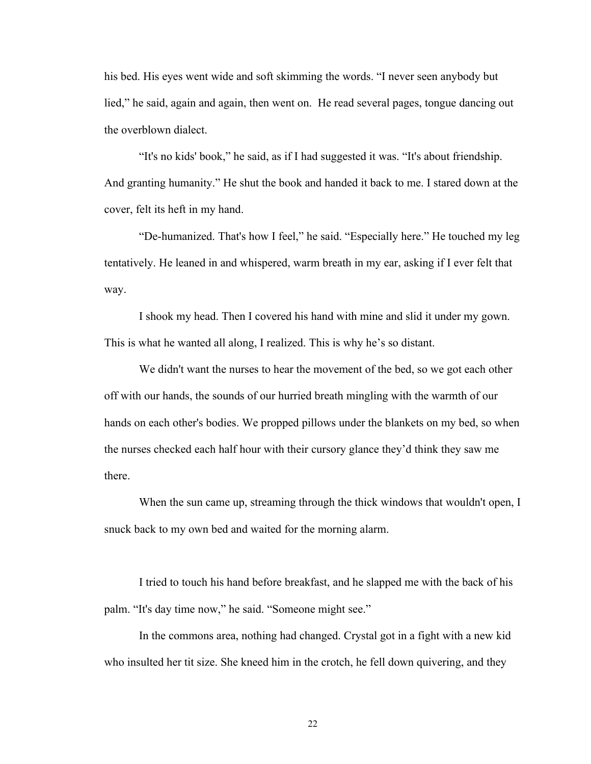his bed. His eyes went wide and soft skimming the words. "I never seen anybody but lied," he said, again and again, then went on. He read several pages, tongue dancing out the overblown dialect.

"It's no kids' book," he said, as if I had suggested it was. "It's about friendship. And granting humanity." He shut the book and handed it back to me. I stared down at the cover, felt its heft in my hand.

"De-humanized. That's how I feel," he said. "Especially here." He touched my leg tentatively. He leaned in and whispered, warm breath in my ear, asking if I ever felt that way.

I shook my head. Then I covered his hand with mine and slid it under my gown. This is what he wanted all along, I realized. This is why he's so distant.

We didn't want the nurses to hear the movement of the bed, so we got each other off with our hands, the sounds of our hurried breath mingling with the warmth of our hands on each other's bodies. We propped pillows under the blankets on my bed, so when the nurses checked each half hour with their cursory glance they'd think they saw me there.

When the sun came up, streaming through the thick windows that wouldn't open, I snuck back to my own bed and waited for the morning alarm.

I tried to touch his hand before breakfast, and he slapped me with the back of his palm. "It's day time now," he said. "Someone might see."

In the commons area, nothing had changed. Crystal got in a fight with a new kid who insulted her tit size. She kneed him in the crotch, he fell down quivering, and they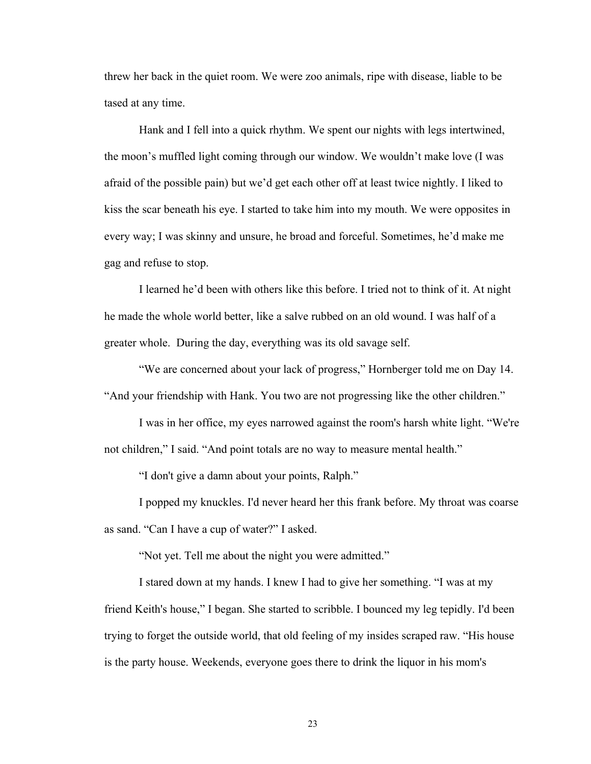threw her back in the quiet room. We were zoo animals, ripe with disease, liable to be tased at any time.

Hank and I fell into a quick rhythm. We spent our nights with legs intertwined, the moon's muffled light coming through our window. We wouldn't make love (I was afraid of the possible pain) but we'd get each other off at least twice nightly. I liked to kiss the scar beneath his eye. I started to take him into my mouth. We were opposites in every way; I was skinny and unsure, he broad and forceful. Sometimes, he'd make me gag and refuse to stop.

I learned he'd been with others like this before. I tried not to think of it. At night he made the whole world better, like a salve rubbed on an old wound. I was half of a greater whole. During the day, everything was its old savage self.

"We are concerned about your lack of progress," Hornberger told me on Day 14. "And your friendship with Hank. You two are not progressing like the other children."

I was in her office, my eyes narrowed against the room's harsh white light. "We're not children," I said. "And point totals are no way to measure mental health."

"I don't give a damn about your points, Ralph."

I popped my knuckles. I'd never heard her this frank before. My throat was coarse as sand. "Can I have a cup of water?" I asked.

"Not yet. Tell me about the night you were admitted."

I stared down at my hands. I knew I had to give her something. "I was at my friend Keith's house," I began. She started to scribble. I bounced my leg tepidly. I'd been trying to forget the outside world, that old feeling of my insides scraped raw. "His house is the party house. Weekends, everyone goes there to drink the liquor in his mom's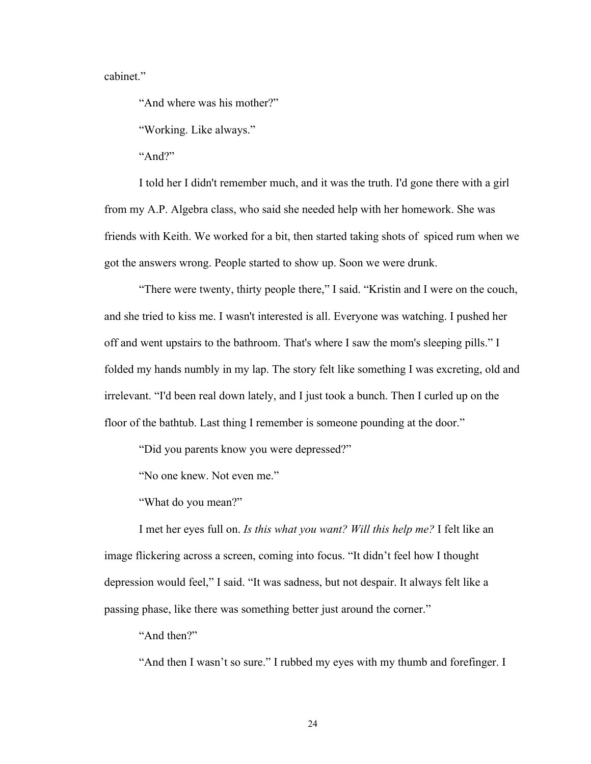cabinet."

"And where was his mother?"

"Working. Like always."

" $And?$ "

I told her I didn't remember much, and it was the truth. I'd gone there with a girl from my A.P. Algebra class, who said she needed help with her homework. She was friends with Keith. We worked for a bit, then started taking shots of spiced rum when we got the answers wrong. People started to show up. Soon we were drunk.

"There were twenty, thirty people there," I said. "Kristin and I were on the couch, and she tried to kiss me. I wasn't interested is all. Everyone was watching. I pushed her off and went upstairs to the bathroom. That's where I saw the mom's sleeping pills." I folded my hands numbly in my lap. The story felt like something I was excreting, old and irrelevant. "I'd been real down lately, and I just took a bunch. Then I curled up on the floor of the bathtub. Last thing I remember is someone pounding at the door."

"Did you parents know you were depressed?"

"No one knew. Not even me."

"What do you mean?"

I met her eyes full on. *Is this what you want? Will this help me?* I felt like an image flickering across a screen, coming into focus. "It didn't feel how I thought depression would feel," I said. "It was sadness, but not despair. It always felt like a passing phase, like there was something better just around the corner."

"And then?"

"And then I wasn't so sure." I rubbed my eyes with my thumb and forefinger. I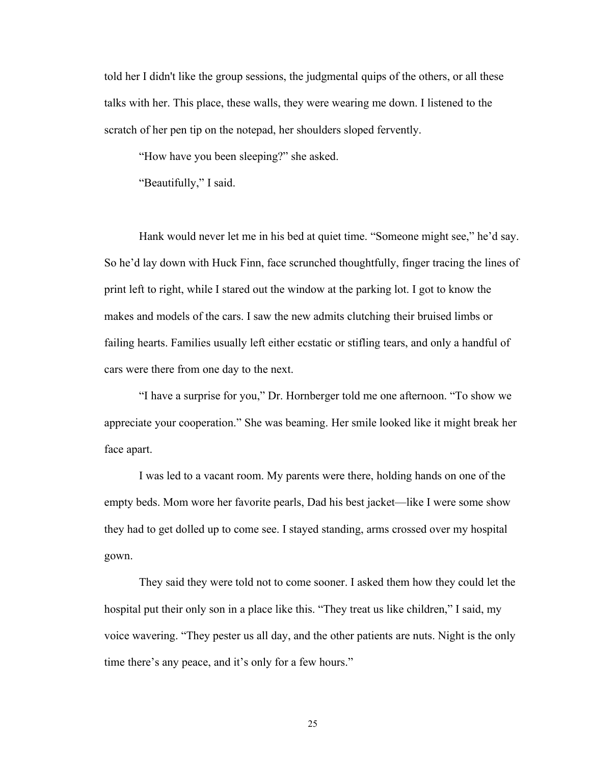told her I didn't like the group sessions, the judgmental quips of the others, or all these talks with her. This place, these walls, they were wearing me down. I listened to the scratch of her pen tip on the notepad, her shoulders sloped fervently.

"How have you been sleeping?" she asked.

"Beautifully," I said.

Hank would never let me in his bed at quiet time. "Someone might see," he'd say. So he'd lay down with Huck Finn, face scrunched thoughtfully, finger tracing the lines of print left to right, while I stared out the window at the parking lot. I got to know the makes and models of the cars. I saw the new admits clutching their bruised limbs or failing hearts. Families usually left either ecstatic or stifling tears, and only a handful of cars were there from one day to the next.

"I have a surprise for you," Dr. Hornberger told me one afternoon. "To show we appreciate your cooperation." She was beaming. Her smile looked like it might break her face apart.

I was led to a vacant room. My parents were there, holding hands on one of the empty beds. Mom wore her favorite pearls, Dad his best jacket—like I were some show they had to get dolled up to come see. I stayed standing, arms crossed over my hospital gown.

They said they were told not to come sooner. I asked them how they could let the hospital put their only son in a place like this. "They treat us like children," I said, my voice wavering. "They pester us all day, and the other patients are nuts. Night is the only time there's any peace, and it's only for a few hours."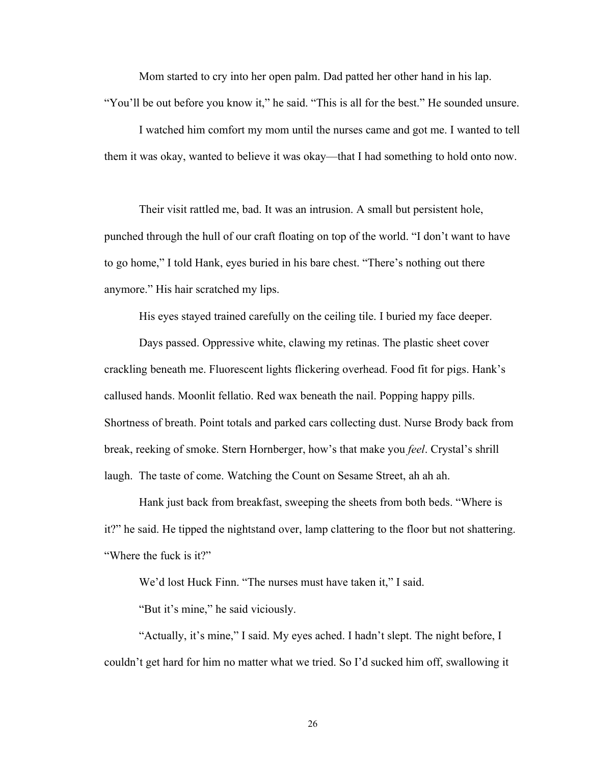Mom started to cry into her open palm. Dad patted her other hand in his lap. "You'll be out before you know it," he said. "This is all for the best." He sounded unsure.

I watched him comfort my mom until the nurses came and got me. I wanted to tell them it was okay, wanted to believe it was okay—that I had something to hold onto now.

Their visit rattled me, bad. It was an intrusion. A small but persistent hole, punched through the hull of our craft floating on top of the world. "I don't want to have to go home," I told Hank, eyes buried in his bare chest. "There's nothing out there anymore." His hair scratched my lips.

His eyes stayed trained carefully on the ceiling tile. I buried my face deeper.

Days passed. Oppressive white, clawing my retinas. The plastic sheet cover crackling beneath me. Fluorescent lights flickering overhead. Food fit for pigs. Hank's callused hands. Moonlit fellatio. Red wax beneath the nail. Popping happy pills. Shortness of breath. Point totals and parked cars collecting dust. Nurse Brody back from break, reeking of smoke. Stern Hornberger, how's that make you *feel*. Crystal's shrill laugh. The taste of come. Watching the Count on Sesame Street, ah ah ah.

Hank just back from breakfast, sweeping the sheets from both beds. "Where is it?" he said. He tipped the nightstand over, lamp clattering to the floor but not shattering. "Where the fuck is it?"

We'd lost Huck Finn. "The nurses must have taken it," I said.

"But it's mine," he said viciously.

"Actually, it's mine," I said. My eyes ached. I hadn't slept. The night before, I couldn't get hard for him no matter what we tried. So I'd sucked him off, swallowing it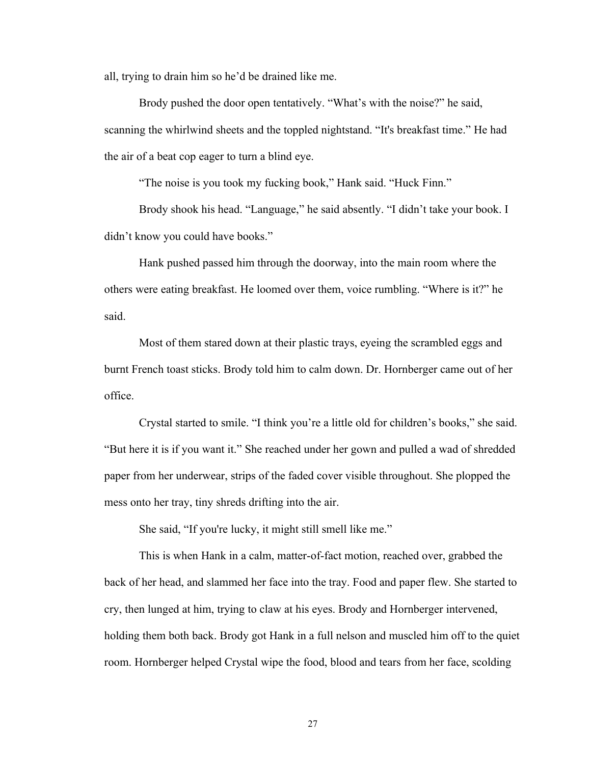all, trying to drain him so he'd be drained like me.

Brody pushed the door open tentatively. "What's with the noise?" he said, scanning the whirlwind sheets and the toppled nightstand. "It's breakfast time." He had the air of a beat cop eager to turn a blind eye.

"The noise is you took my fucking book," Hank said. "Huck Finn."

Brody shook his head. "Language," he said absently. "I didn't take your book. I didn't know you could have books."

Hank pushed passed him through the doorway, into the main room where the others were eating breakfast. He loomed over them, voice rumbling. "Where is it?" he said.

Most of them stared down at their plastic trays, eyeing the scrambled eggs and burnt French toast sticks. Brody told him to calm down. Dr. Hornberger came out of her office.

Crystal started to smile. "I think you're a little old for children's books," she said. "But here it is if you want it." She reached under her gown and pulled a wad of shredded paper from her underwear, strips of the faded cover visible throughout. She plopped the mess onto her tray, tiny shreds drifting into the air.

She said, "If you're lucky, it might still smell like me."

This is when Hank in a calm, matter-of-fact motion, reached over, grabbed the back of her head, and slammed her face into the tray. Food and paper flew. She started to cry, then lunged at him, trying to claw at his eyes. Brody and Hornberger intervened, holding them both back. Brody got Hank in a full nelson and muscled him off to the quiet room. Hornberger helped Crystal wipe the food, blood and tears from her face, scolding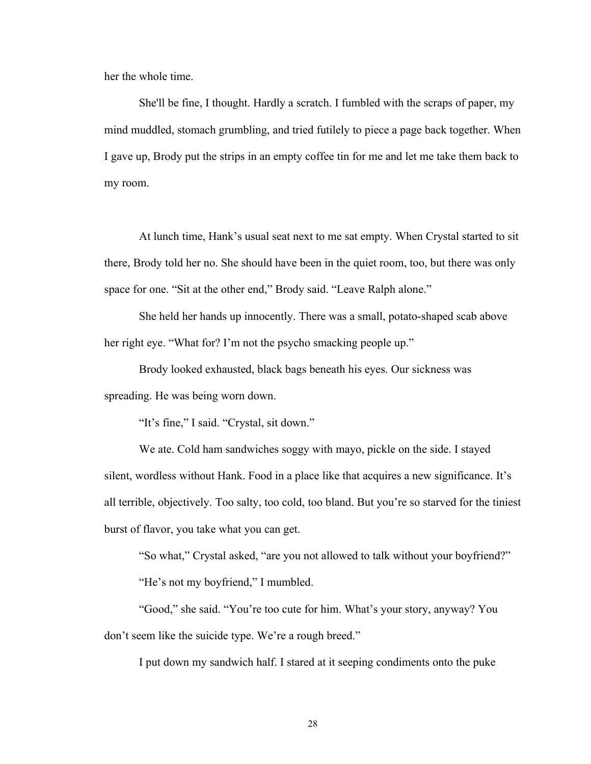her the whole time.

She'll be fine, I thought. Hardly a scratch. I fumbled with the scraps of paper, my mind muddled, stomach grumbling, and tried futilely to piece a page back together. When I gave up, Brody put the strips in an empty coffee tin for me and let me take them back to my room.

At lunch time, Hank's usual seat next to me sat empty. When Crystal started to sit there, Brody told her no. She should have been in the quiet room, too, but there was only space for one. "Sit at the other end," Brody said. "Leave Ralph alone."

She held her hands up innocently. There was a small, potato-shaped scab above her right eye. "What for? I'm not the psycho smacking people up."

Brody looked exhausted, black bags beneath his eyes. Our sickness was spreading. He was being worn down.

"It's fine," I said. "Crystal, sit down."

We ate. Cold ham sandwiches soggy with mayo, pickle on the side. I stayed silent, wordless without Hank. Food in a place like that acquires a new significance. It's all terrible, objectively. Too salty, too cold, too bland. But you're so starved for the tiniest burst of flavor, you take what you can get.

"So what," Crystal asked, "are you not allowed to talk without your boyfriend?"

"He's not my boyfriend," I mumbled.

"Good," she said. "You're too cute for him. What's your story, anyway? You don't seem like the suicide type. We're a rough breed."

I put down my sandwich half. I stared at it seeping condiments onto the puke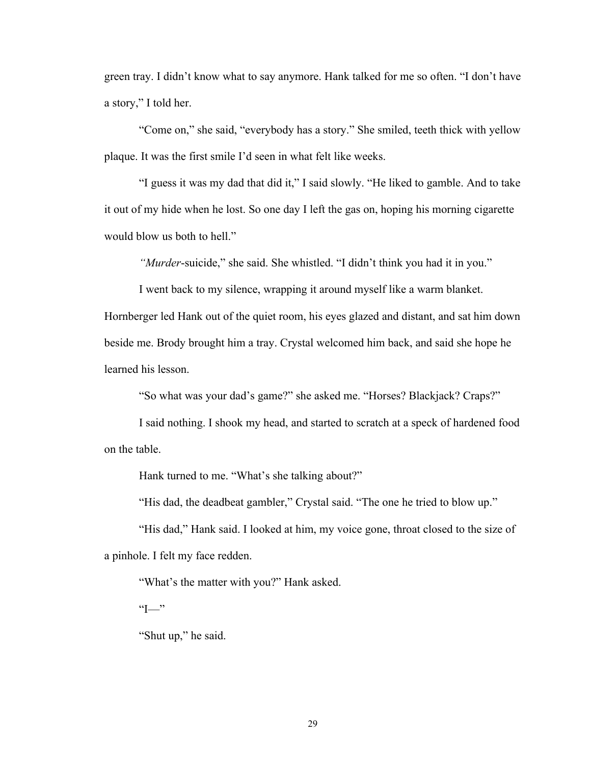green tray. I didn't know what to say anymore. Hank talked for me so often. "I don't have a story," I told her.

"Come on," she said, "everybody has a story." She smiled, teeth thick with yellow plaque. It was the first smile I'd seen in what felt like weeks.

"I guess it was my dad that did it," I said slowly. "He liked to gamble. And to take it out of my hide when he lost. So one day I left the gas on, hoping his morning cigarette would blow us both to hell."

*"Murder*-suicide," she said. She whistled. "I didn't think you had it in you."

I went back to my silence, wrapping it around myself like a warm blanket.

Hornberger led Hank out of the quiet room, his eyes glazed and distant, and sat him down beside me. Brody brought him a tray. Crystal welcomed him back, and said she hope he learned his lesson.

"So what was your dad's game?" she asked me. "Horses? Blackjack? Craps?"

I said nothing. I shook my head, and started to scratch at a speck of hardened food on the table.

Hank turned to me. "What's she talking about?"

"His dad, the deadbeat gambler," Crystal said. "The one he tried to blow up."

"His dad," Hank said. I looked at him, my voice gone, throat closed to the size of a pinhole. I felt my face redden.

"What's the matter with you?" Hank asked.

 $"$ 

"Shut up," he said.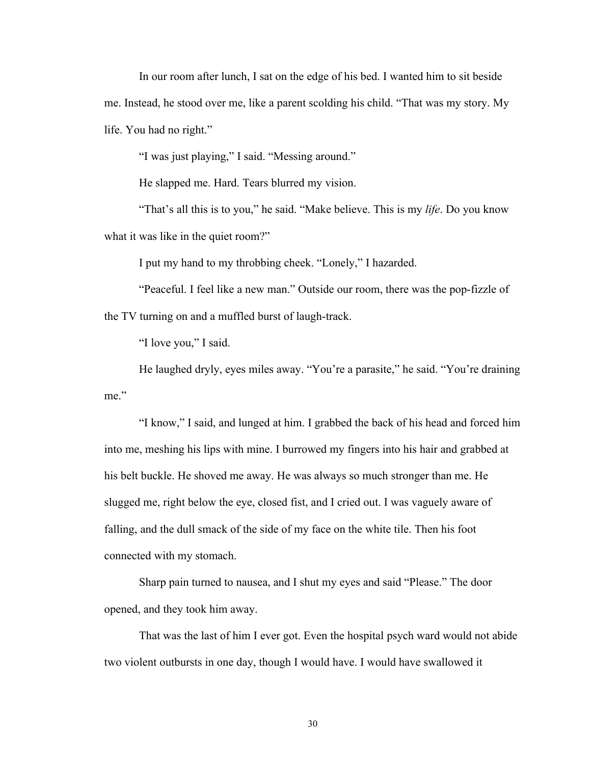In our room after lunch, I sat on the edge of his bed. I wanted him to sit beside me. Instead, he stood over me, like a parent scolding his child. "That was my story. My life. You had no right."

"I was just playing," I said. "Messing around."

He slapped me. Hard. Tears blurred my vision.

"That's all this is to you," he said. "Make believe. This is my *life*. Do you know what it was like in the quiet room?"

I put my hand to my throbbing cheek. "Lonely," I hazarded.

"Peaceful. I feel like a new man." Outside our room, there was the pop-fizzle of the TV turning on and a muffled burst of laugh-track.

"I love you," I said.

He laughed dryly, eyes miles away. "You're a parasite," he said. "You're draining me."

"I know," I said, and lunged at him. I grabbed the back of his head and forced him into me, meshing his lips with mine. I burrowed my fingers into his hair and grabbed at his belt buckle. He shoved me away. He was always so much stronger than me. He slugged me, right below the eye, closed fist, and I cried out. I was vaguely aware of falling, and the dull smack of the side of my face on the white tile. Then his foot connected with my stomach.

Sharp pain turned to nausea, and I shut my eyes and said "Please." The door opened, and they took him away.

That was the last of him I ever got. Even the hospital psych ward would not abide two violent outbursts in one day, though I would have. I would have swallowed it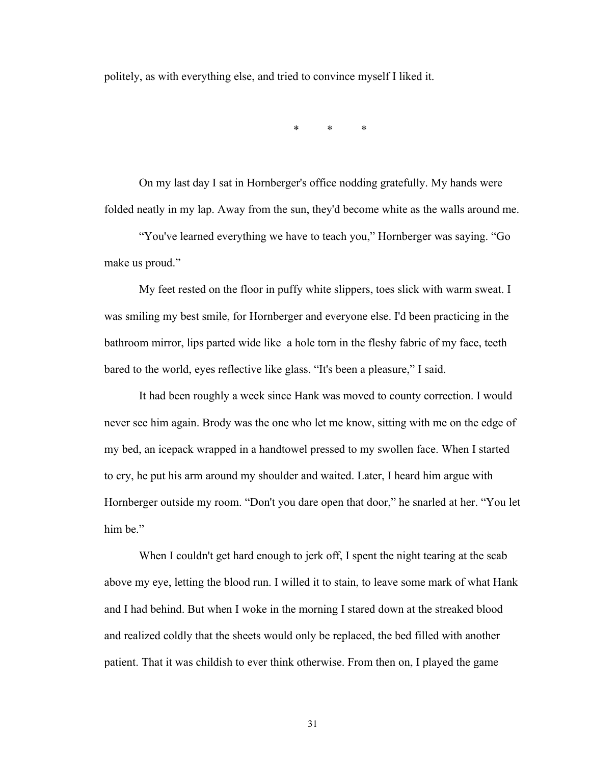politely, as with everything else, and tried to convince myself I liked it.

\* \* \*

On my last day I sat in Hornberger's office nodding gratefully. My hands were folded neatly in my lap. Away from the sun, they'd become white as the walls around me.

"You've learned everything we have to teach you," Hornberger was saying. "Go make us proud."

My feet rested on the floor in puffy white slippers, toes slick with warm sweat. I was smiling my best smile, for Hornberger and everyone else. I'd been practicing in the bathroom mirror, lips parted wide like a hole torn in the fleshy fabric of my face, teeth bared to the world, eyes reflective like glass. "It's been a pleasure," I said.

It had been roughly a week since Hank was moved to county correction. I would never see him again. Brody was the one who let me know, sitting with me on the edge of my bed, an icepack wrapped in a handtowel pressed to my swollen face. When I started to cry, he put his arm around my shoulder and waited. Later, I heard him argue with Hornberger outside my room. "Don't you dare open that door," he snarled at her. "You let him be."

When I couldn't get hard enough to jerk off, I spent the night tearing at the scab above my eye, letting the blood run. I willed it to stain, to leave some mark of what Hank and I had behind. But when I woke in the morning I stared down at the streaked blood and realized coldly that the sheets would only be replaced, the bed filled with another patient. That it was childish to ever think otherwise. From then on, I played the game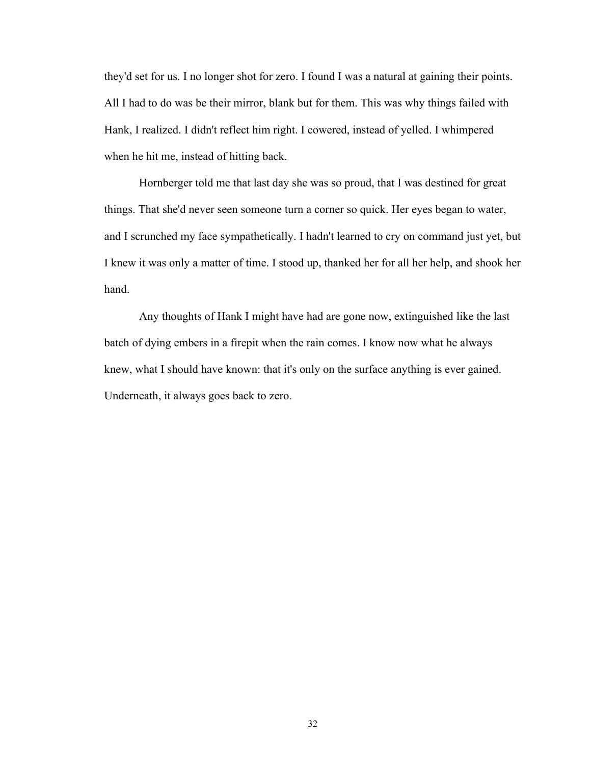they'd set for us. I no longer shot for zero. I found I was a natural at gaining their points. All I had to do was be their mirror, blank but for them. This was why things failed with Hank, I realized. I didn't reflect him right. I cowered, instead of yelled. I whimpered when he hit me, instead of hitting back.

Hornberger told me that last day she was so proud, that I was destined for great things. That she'd never seen someone turn a corner so quick. Her eyes began to water, and I scrunched my face sympathetically. I hadn't learned to cry on command just yet, but I knew it was only a matter of time. I stood up, thanked her for all her help, and shook her hand.

Any thoughts of Hank I might have had are gone now, extinguished like the last batch of dying embers in a firepit when the rain comes. I know now what he always knew, what I should have known: that it's only on the surface anything is ever gained. Underneath, it always goes back to zero.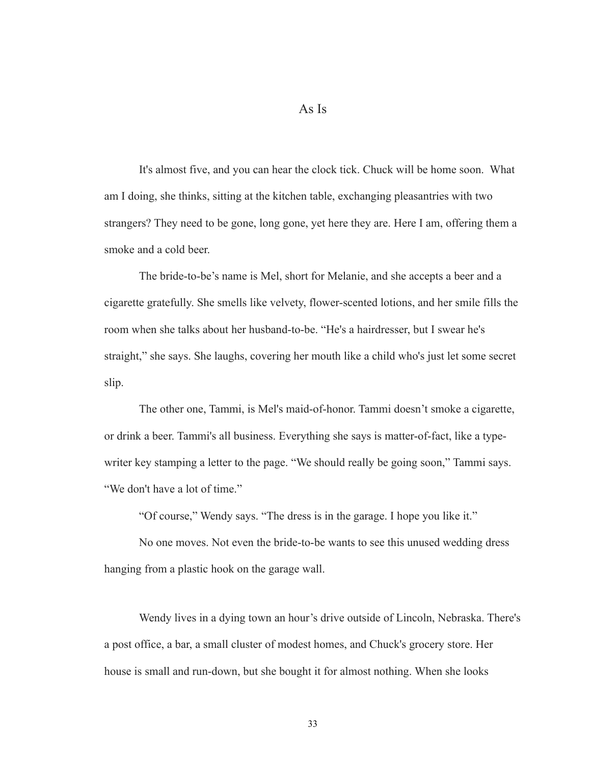It's almost five, and you can hear the clock tick. Chuck will be home soon. What am I doing, she thinks, sitting at the kitchen table, exchanging pleasantries with two strangers? They need to be gone, long gone, yet here they are. Here I am, offering them a smoke and a cold beer.

The bride-to-be's name is Mel, short for Melanie, and she accepts a beer and a cigarette gratefully. She smells like velvety, flower-scented lotions, and her smile fills the room when she talks about her husband-to-be. "He's a hairdresser, but I swear he's straight," she says. She laughs, covering her mouth like a child who's just let some secret slip.

The other one, Tammi, is Mel's maid-of-honor. Tammi doesn't smoke a cigarette, or drink a beer. Tammi's all business. Everything she says is matter-of-fact, like a typewriter key stamping a letter to the page. "We should really be going soon," Tammi says. "We don't have a lot of time."

"Of course," Wendy says. "The dress is in the garage. I hope you like it."

No one moves. Not even the bride-to-be wants to see this unused wedding dress hanging from a plastic hook on the garage wall.

Wendy lives in a dying town an hour's drive outside of Lincoln, Nebraska. There's a post office, a bar, a small cluster of modest homes, and Chuck's grocery store. Her house is small and run-down, but she bought it for almost nothing. When she looks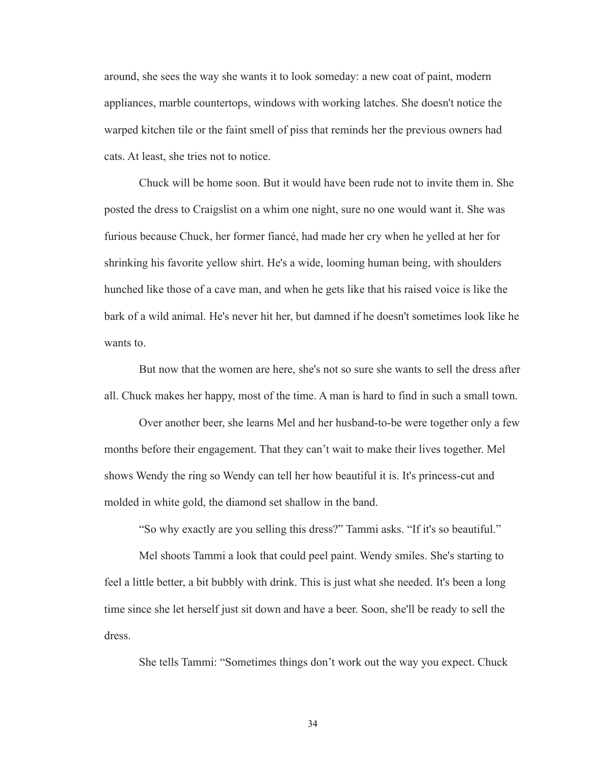around, she sees the way she wants it to look someday: a new coat of paint, modern appliances, marble countertops, windows with working latches. She doesn't notice the warped kitchen tile or the faint smell of piss that reminds her the previous owners had cats. At least, she tries not to notice.

Chuck will be home soon. But it would have been rude not to invite them in. She posted the dress to Craigslist on a whim one night, sure no one would want it. She was furious because Chuck, her former fiancé, had made her cry when he yelled at her for shrinking his favorite yellow shirt. He's a wide, looming human being, with shoulders hunched like those of a cave man, and when he gets like that his raised voice is like the bark of a wild animal. He's never hit her, but damned if he doesn't sometimes look like he wants to.

But now that the women are here, she's not so sure she wants to sell the dress after all. Chuck makes her happy, most of the time. A man is hard to find in such a small town.

Over another beer, she learns Mel and her husband-to-be were together only a few months before their engagement. That they can't wait to make their lives together. Mel shows Wendy the ring so Wendy can tell her how beautiful it is. It's princess-cut and molded in white gold, the diamond set shallow in the band.

"So why exactly are you selling this dress?" Tammi asks. "If it's so beautiful."

Mel shoots Tammi a look that could peel paint. Wendy smiles. She's starting to feel a little better, a bit bubbly with drink. This is just what she needed. It's been a long time since she let herself just sit down and have a beer. Soon, she'll be ready to sell the dress.

She tells Tammi: "Sometimes things don't work out the way you expect. Chuck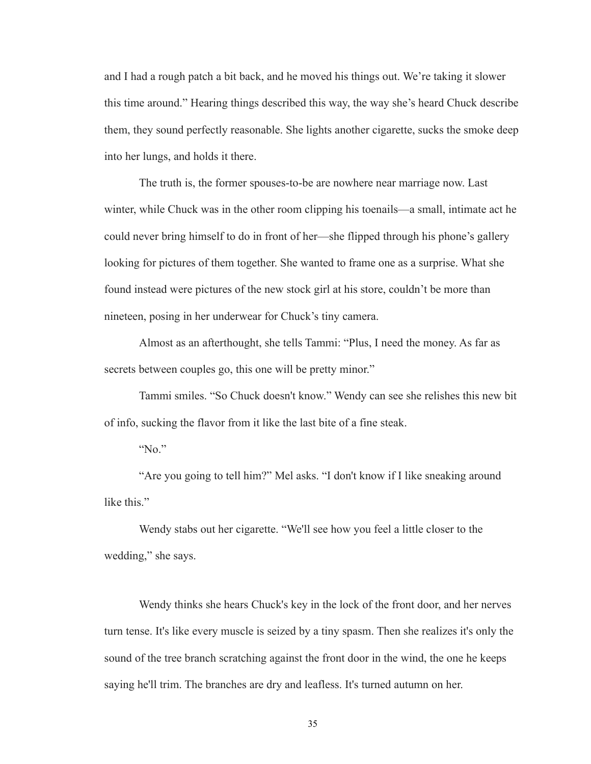and I had a rough patch a bit back, and he moved his things out. We're taking it slower this time around." Hearing things described this way, the way she's heard Chuck describe them, they sound perfectly reasonable. She lights another cigarette, sucks the smoke deep into her lungs, and holds it there.

The truth is, the former spouses-to-be are nowhere near marriage now. Last winter, while Chuck was in the other room clipping his toenails—a small, intimate act he could never bring himself to do in front of her—she flipped through his phone's gallery looking for pictures of them together. She wanted to frame one as a surprise. What she found instead were pictures of the new stock girl at his store, couldn't be more than nineteen, posing in her underwear for Chuck's tiny camera.

Almost as an afterthought, she tells Tammi: "Plus, I need the money. As far as secrets between couples go, this one will be pretty minor."

Tammi smiles. "So Chuck doesn't know." Wendy can see she relishes this new bit of info, sucking the flavor from it like the last bite of a fine steak.

"No."

"Are you going to tell him?" Mel asks. "I don't know if I like sneaking around like this."

Wendy stabs out her cigarette. "We'll see how you feel a little closer to the wedding," she says.

Wendy thinks she hears Chuck's key in the lock of the front door, and her nerves turn tense. It's like every muscle is seized by a tiny spasm. Then she realizes it's only the sound of the tree branch scratching against the front door in the wind, the one he keeps saying he'll trim. The branches are dry and leafless. It's turned autumn on her.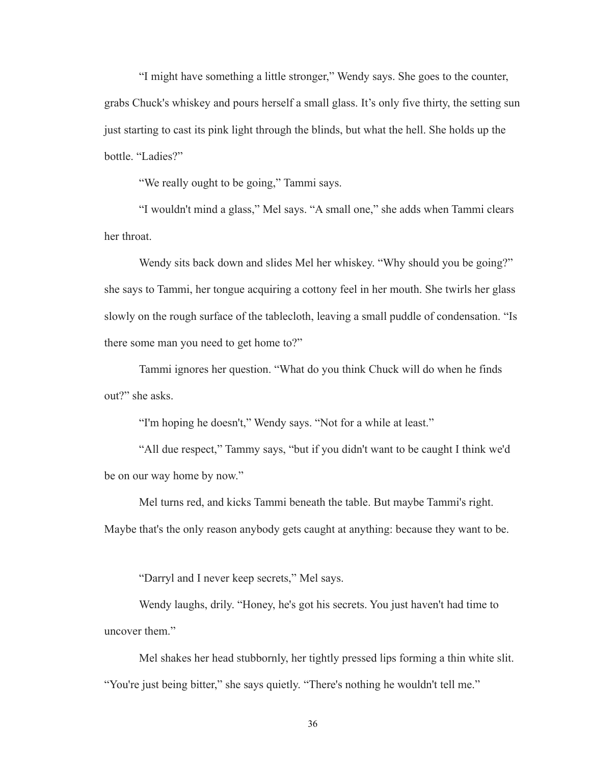"I might have something a little stronger," Wendy says. She goes to the counter, grabs Chuck's whiskey and pours herself a small glass. It's only five thirty, the setting sun just starting to cast its pink light through the blinds, but what the hell. She holds up the bottle. "Ladies?"

"We really ought to be going," Tammi says.

"I wouldn't mind a glass," Mel says. "A small one," she adds when Tammi clears her throat.

Wendy sits back down and slides Mel her whiskey. "Why should you be going?" she says to Tammi, her tongue acquiring a cottony feel in her mouth. She twirls her glass slowly on the rough surface of the tablecloth, leaving a small puddle of condensation. "Is there some man you need to get home to?"

Tammi ignores her question. "What do you think Chuck will do when he finds out?" she asks.

"I'm hoping he doesn't," Wendy says. "Not for a while at least."

"All due respect," Tammy says, "but if you didn't want to be caught I think we'd be on our way home by now."

Mel turns red, and kicks Tammi beneath the table. But maybe Tammi's right. Maybe that's the only reason anybody gets caught at anything: because they want to be.

"Darryl and I never keep secrets," Mel says.

Wendy laughs, drily. "Honey, he's got his secrets. You just haven't had time to uncover them."

Mel shakes her head stubbornly, her tightly pressed lips forming a thin white slit. "You're just being bitter," she says quietly. "There's nothing he wouldn't tell me."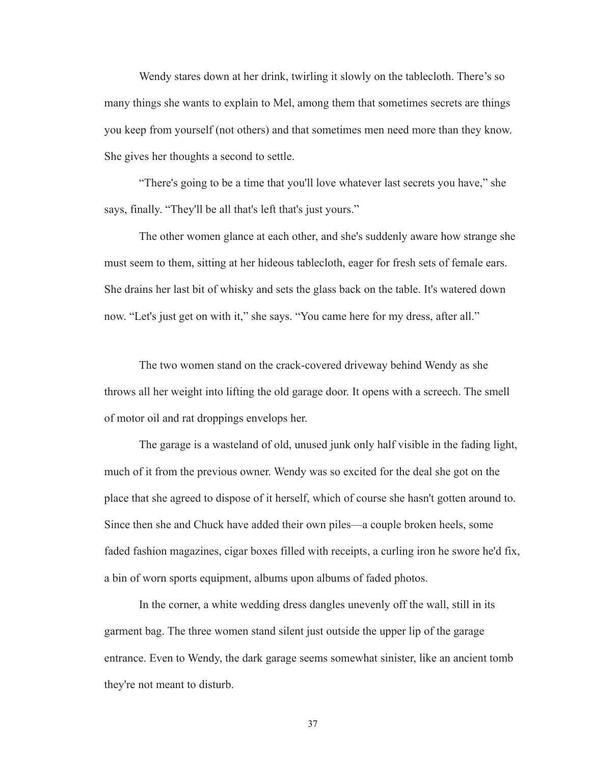Wendy stares down at her drink, twirling it slowly on the tablecloth. There's so many things she wants to explain to Mel, among them that sometimes secrets are things you keep from yourself (not others) and that sometimes men need more than they know. She gives her thoughts a second to settle.

"There's going to be a time that you'll love whatever last secrets you have," she says, finally. "They'll be all that's left that's just yours."

The other women glance at each other, and she's suddenly aware how strange she must seem to them, sitting at her hideous tablecloth, eager for fresh sets of female ears. She drains her last bit of whisky and sets the glass back on the table. It's watered down now. "Let's just get on with it," she says. "You came here for my dress, after all."

The two women stand on the crack-covered driveway behind Wendy as she throws all her weight into lifting the old garage door. It opens with a screech. The smell of motor oil and rat droppings envelops her.

The garage is a wasteland of old, unused junk only half visible in the fading light, much of it from the previous owner. Wendy was so excited for the deal she got on the place that she agreed to dispose of it herself, which of course she hasn't gotten around to. Since then she and Chuck have added their own piles—a couple broken heels, some faded fashion magazines, cigar boxes filled with receipts, a curling iron he swore he'd fix, a bin of worn sports equipment, albums upon albums of faded photos.

In the corner, a white wedding dress dangles unevenly off the wall, still in its garment bag. The three women stand silent just outside the upper lip of the garage entrance. Even to Wendy, the dark garage seems somewhat sinister, like an ancient tomb they're not meant to disturb.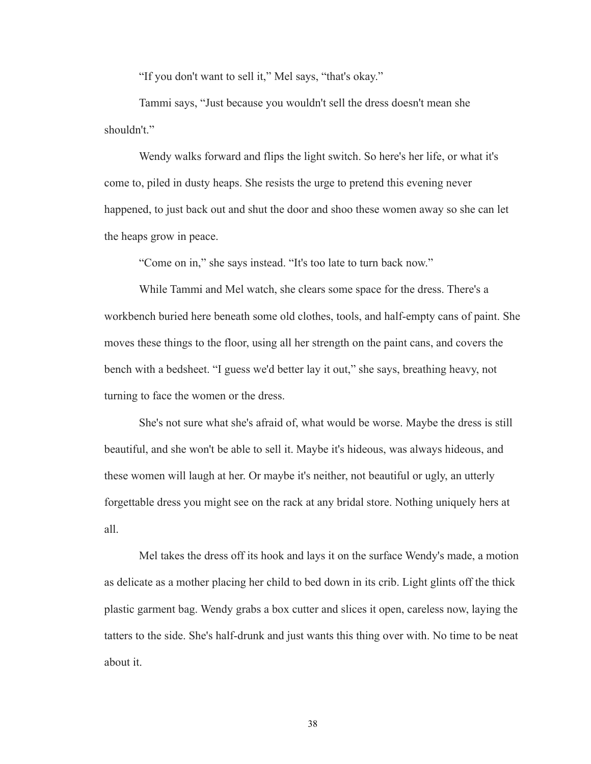"If you don't want to sell it," Mel says, "that's okay."

Tammi says, "Just because you wouldn't sell the dress doesn't mean she shouldn't."

Wendy walks forward and flips the light switch. So here's her life, or what it's come to, piled in dusty heaps. She resists the urge to pretend this evening never happened, to just back out and shut the door and shoo these women away so she can let the heaps grow in peace.

"Come on in," she says instead. "It's too late to turn back now."

While Tammi and Mel watch, she clears some space for the dress. There's a workbench buried here beneath some old clothes, tools, and half-empty cans of paint. She moves these things to the floor, using all her strength on the paint cans, and covers the bench with a bedsheet. "I guess we'd better lay it out," she says, breathing heavy, not turning to face the women or the dress.

She's not sure what she's afraid of, what would be worse. Maybe the dress is still beautiful, and she won't be able to sell it. Maybe it's hideous, was always hideous, and these women will laugh at her. Or maybe it's neither, not beautiful or ugly, an utterly forgettable dress you might see on the rack at any bridal store. Nothing uniquely hers at all.

Mel takes the dress off its hook and lays it on the surface Wendy's made, a motion as delicate as a mother placing her child to bed down in its crib. Light glints off the thick plastic garment bag. Wendy grabs a box cutter and slices it open, careless now, laying the tatters to the side. She's half-drunk and just wants this thing over with. No time to be neat about it.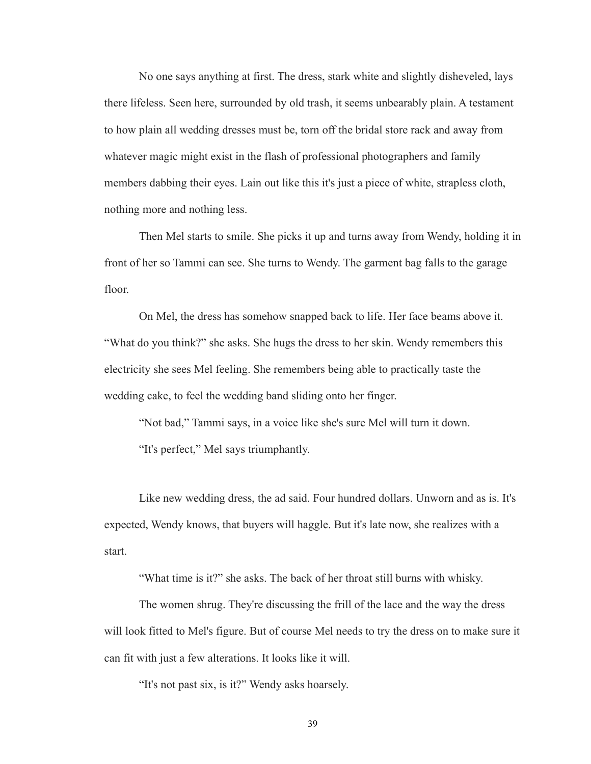No one says anything at first. The dress, stark white and slightly disheveled, lays there lifeless. Seen here, surrounded by old trash, it seems unbearably plain. A testament to how plain all wedding dresses must be, torn off the bridal store rack and away from whatever magic might exist in the flash of professional photographers and family members dabbing their eyes. Lain out like this it's just a piece of white, strapless cloth, nothing more and nothing less.

Then Mel starts to smile. She picks it up and turns away from Wendy, holding it in front of her so Tammi can see. She turns to Wendy. The garment bag falls to the garage floor.

On Mel, the dress has somehow snapped back to life. Her face beams above it. "What do you think?" she asks. She hugs the dress to her skin. Wendy remembers this electricity she sees Mel feeling. She remembers being able to practically taste the wedding cake, to feel the wedding band sliding onto her finger.

"Not bad," Tammi says, in a voice like she's sure Mel will turn it down. "It's perfect," Mel says triumphantly.

Like new wedding dress, the ad said. Four hundred dollars. Unworn and as is. It's expected, Wendy knows, that buyers will haggle. But it's late now, she realizes with a start.

"What time is it?" she asks. The back of her throat still burns with whisky.

The women shrug. They're discussing the frill of the lace and the way the dress will look fitted to Mel's figure. But of course Mel needs to try the dress on to make sure it can fit with just a few alterations. It looks like it will.

"It's not past six, is it?" Wendy asks hoarsely.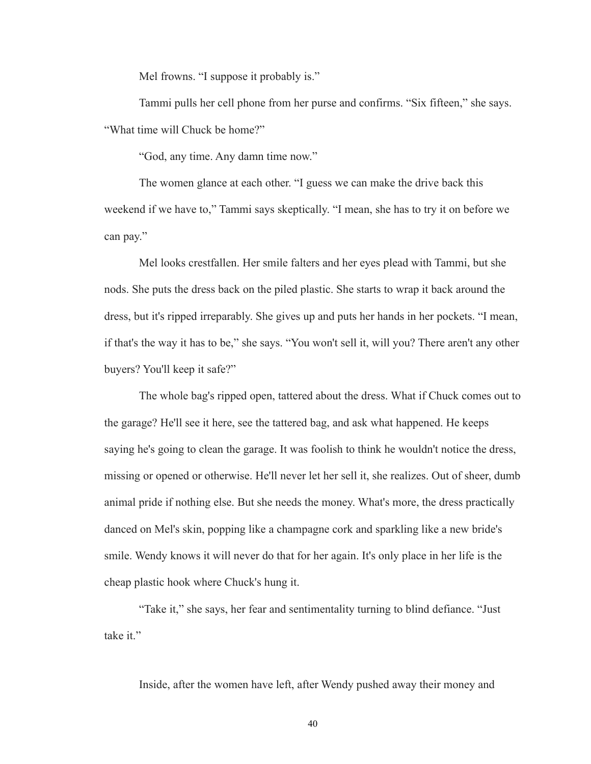Mel frowns. "I suppose it probably is."

Tammi pulls her cell phone from her purse and confirms. "Six fifteen," she says. "What time will Chuck be home?"

"God, any time. Any damn time now."

The women glance at each other. "I guess we can make the drive back this weekend if we have to," Tammi says skeptically. "I mean, she has to try it on before we can pay."

Mel looks crestfallen. Her smile falters and her eyes plead with Tammi, but she nods. She puts the dress back on the piled plastic. She starts to wrap it back around the dress, but it's ripped irreparably. She gives up and puts her hands in her pockets. "I mean, if that's the way it has to be," she says. "You won't sell it, will you? There aren't any other buyers? You'll keep it safe?"

The whole bag's ripped open, tattered about the dress. What if Chuck comes out to the garage? He'll see it here, see the tattered bag, and ask what happened. He keeps saying he's going to clean the garage. It was foolish to think he wouldn't notice the dress, missing or opened or otherwise. He'll never let her sell it, she realizes. Out of sheer, dumb animal pride if nothing else. But she needs the money. What's more, the dress practically danced on Mel's skin, popping like a champagne cork and sparkling like a new bride's smile. Wendy knows it will never do that for her again. It's only place in her life is the cheap plastic hook where Chuck's hung it.

"Take it," she says, her fear and sentimentality turning to blind defiance. "Just take it."

Inside, after the women have left, after Wendy pushed away their money and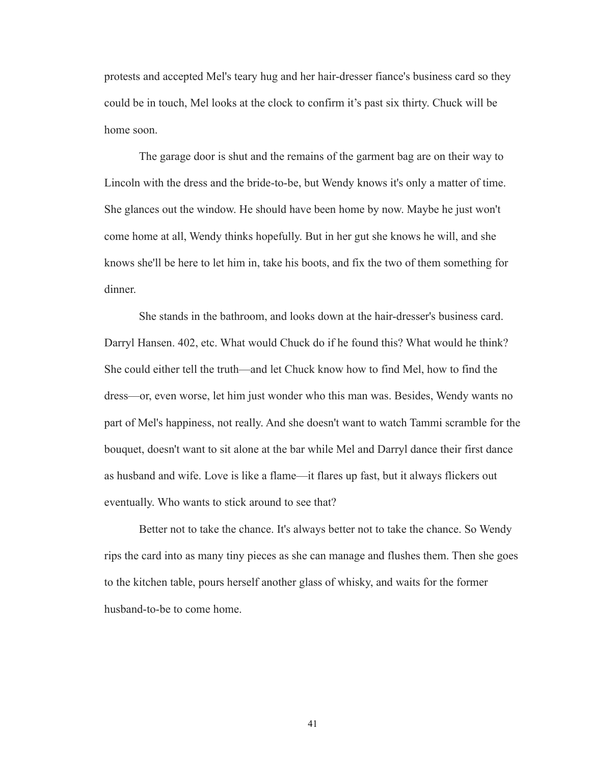protests and accepted Mel's teary hug and her hair-dresser fiance's business card so they could be in touch, Mel looks at the clock to confirm it's past six thirty. Chuck will be home soon.

The garage door is shut and the remains of the garment bag are on their way to Lincoln with the dress and the bride-to-be, but Wendy knows it's only a matter of time. She glances out the window. He should have been home by now. Maybe he just won't come home at all, Wendy thinks hopefully. But in her gut she knows he will, and she knows she'll be here to let him in, take his boots, and fix the two of them something for dinner.

She stands in the bathroom, and looks down at the hair-dresser's business card. Darryl Hansen. 402, etc. What would Chuck do if he found this? What would he think? She could either tell the truth—and let Chuck know how to find Mel, how to find the dress—or, even worse, let him just wonder who this man was. Besides, Wendy wants no part of Mel's happiness, not really. And she doesn't want to watch Tammi scramble for the bouquet, doesn't want to sit alone at the bar while Mel and Darryl dance their first dance as husband and wife. Love is like a flame—it flares up fast, but it always flickers out eventually. Who wants to stick around to see that?

Better not to take the chance. It's always better not to take the chance. So Wendy rips the card into as many tiny pieces as she can manage and flushes them. Then she goes to the kitchen table, pours herself another glass of whisky, and waits for the former husband-to-be to come home.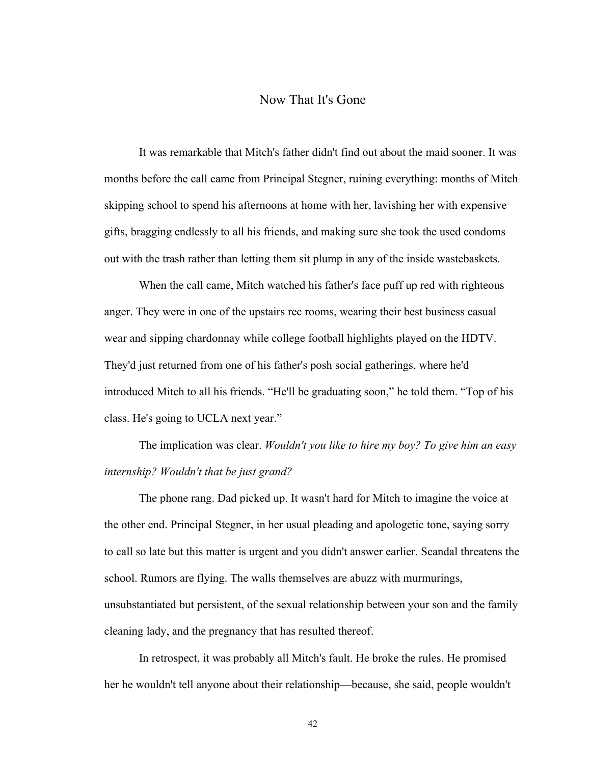## Now That It's Gone

It was remarkable that Mitch's father didn't find out about the maid sooner. It was months before the call came from Principal Stegner, ruining everything: months of Mitch skipping school to spend his afternoons at home with her, lavishing her with expensive gifts, bragging endlessly to all his friends, and making sure she took the used condoms out with the trash rather than letting them sit plump in any of the inside wastebaskets.

When the call came, Mitch watched his father's face puff up red with righteous anger. They were in one of the upstairs rec rooms, wearing their best business casual wear and sipping chardonnay while college football highlights played on the HDTV. They'd just returned from one of his father's posh social gatherings, where he'd introduced Mitch to all his friends. "He'll be graduating soon," he told them. "Top of his class. He's going to UCLA next year."

The implication was clear. *Wouldn't you like to hire my boy? To give him an easy internship? Wouldn't that be just grand?*

The phone rang. Dad picked up. It wasn't hard for Mitch to imagine the voice at the other end. Principal Stegner, in her usual pleading and apologetic tone, saying sorry to call so late but this matter is urgent and you didn't answer earlier. Scandal threatens the school. Rumors are flying. The walls themselves are abuzz with murmurings, unsubstantiated but persistent, of the sexual relationship between your son and the family cleaning lady, and the pregnancy that has resulted thereof.

In retrospect, it was probably all Mitch's fault. He broke the rules. He promised her he wouldn't tell anyone about their relationship—because, she said, people wouldn't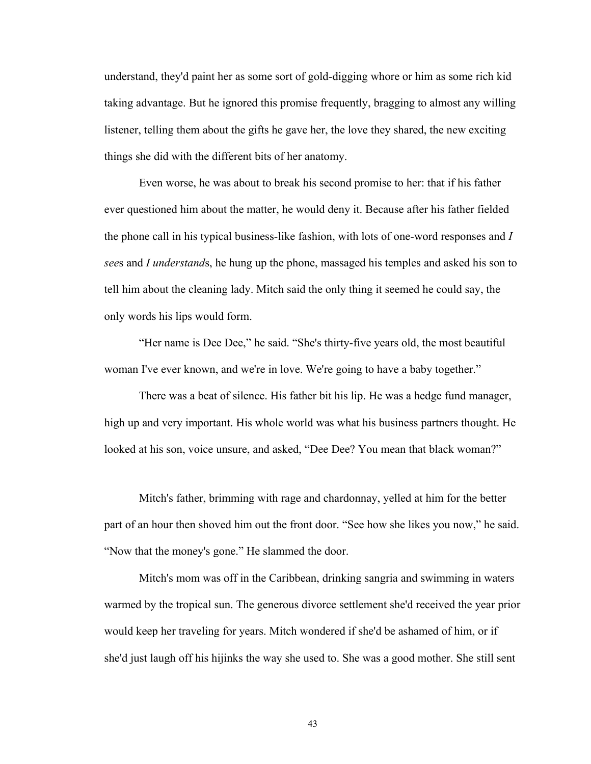understand, they'd paint her as some sort of gold-digging whore or him as some rich kid taking advantage. But he ignored this promise frequently, bragging to almost any willing listener, telling them about the gifts he gave her, the love they shared, the new exciting things she did with the different bits of her anatomy.

Even worse, he was about to break his second promise to her: that if his father ever questioned him about the matter, he would deny it. Because after his father fielded the phone call in his typical business-like fashion, with lots of one-word responses and *I see*s and *I understand*s, he hung up the phone, massaged his temples and asked his son to tell him about the cleaning lady. Mitch said the only thing it seemed he could say, the only words his lips would form.

"Her name is Dee Dee," he said. "She's thirty-five years old, the most beautiful woman I've ever known, and we're in love. We're going to have a baby together."

There was a beat of silence. His father bit his lip. He was a hedge fund manager, high up and very important. His whole world was what his business partners thought. He looked at his son, voice unsure, and asked, "Dee Dee? You mean that black woman?"

Mitch's father, brimming with rage and chardonnay, yelled at him for the better part of an hour then shoved him out the front door. "See how she likes you now," he said. "Now that the money's gone." He slammed the door.

Mitch's mom was off in the Caribbean, drinking sangria and swimming in waters warmed by the tropical sun. The generous divorce settlement she'd received the year prior would keep her traveling for years. Mitch wondered if she'd be ashamed of him, or if she'd just laugh off his hijinks the way she used to. She was a good mother. She still sent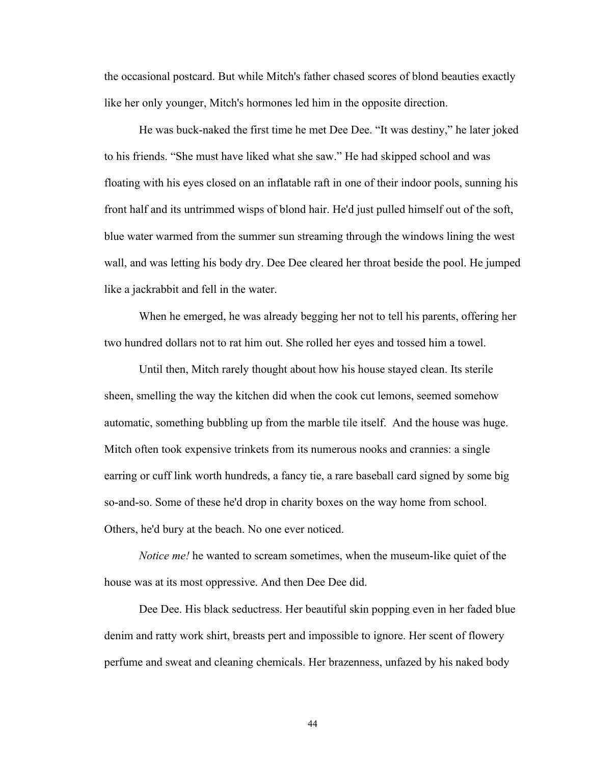the occasional postcard. But while Mitch's father chased scores of blond beauties exactly like her only younger, Mitch's hormones led him in the opposite direction.

He was buck-naked the first time he met Dee Dee. "It was destiny," he later joked to his friends. "She must have liked what she saw." He had skipped school and was floating with his eyes closed on an inflatable raft in one of their indoor pools, sunning his front half and its untrimmed wisps of blond hair. He'd just pulled himself out of the soft, blue water warmed from the summer sun streaming through the windows lining the west wall, and was letting his body dry. Dee Dee cleared her throat beside the pool. He jumped like a jackrabbit and fell in the water.

When he emerged, he was already begging her not to tell his parents, offering her two hundred dollars not to rat him out. She rolled her eyes and tossed him a towel.

Until then, Mitch rarely thought about how his house stayed clean. Its sterile sheen, smelling the way the kitchen did when the cook cut lemons, seemed somehow automatic, something bubbling up from the marble tile itself. And the house was huge. Mitch often took expensive trinkets from its numerous nooks and crannies: a single earring or cuff link worth hundreds, a fancy tie, a rare baseball card signed by some big so-and-so. Some of these he'd drop in charity boxes on the way home from school. Others, he'd bury at the beach. No one ever noticed.

*Notice me!* he wanted to scream sometimes, when the museum-like quiet of the house was at its most oppressive. And then Dee Dee did.

Dee Dee. His black seductress. Her beautiful skin popping even in her faded blue denim and ratty work shirt, breasts pert and impossible to ignore. Her scent of flowery perfume and sweat and cleaning chemicals. Her brazenness, unfazed by his naked body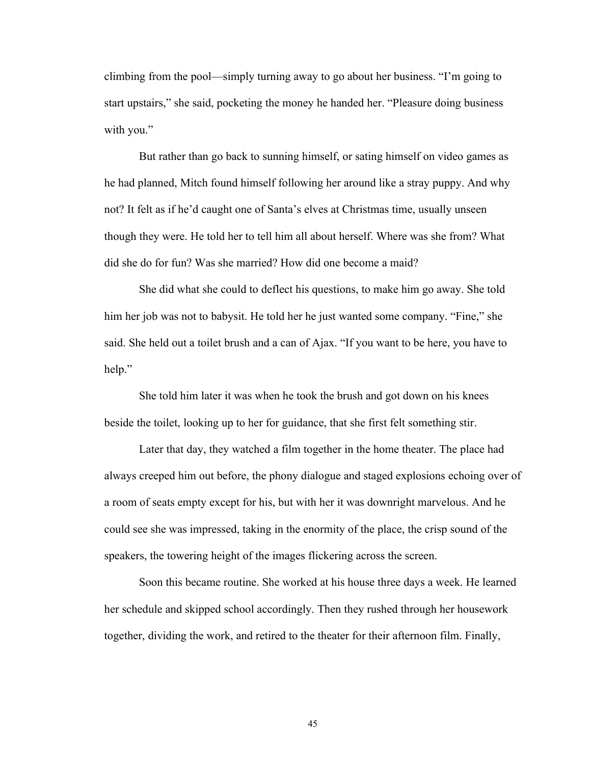climbing from the pool—simply turning away to go about her business. "I'm going to start upstairs," she said, pocketing the money he handed her. "Pleasure doing business with you."

But rather than go back to sunning himself, or sating himself on video games as he had planned, Mitch found himself following her around like a stray puppy. And why not? It felt as if he'd caught one of Santa's elves at Christmas time, usually unseen though they were. He told her to tell him all about herself. Where was she from? What did she do for fun? Was she married? How did one become a maid?

She did what she could to deflect his questions, to make him go away. She told him her job was not to babysit. He told her he just wanted some company. "Fine," she said. She held out a toilet brush and a can of Ajax. "If you want to be here, you have to help."

She told him later it was when he took the brush and got down on his knees beside the toilet, looking up to her for guidance, that she first felt something stir.

Later that day, they watched a film together in the home theater. The place had always creeped him out before, the phony dialogue and staged explosions echoing over of a room of seats empty except for his, but with her it was downright marvelous. And he could see she was impressed, taking in the enormity of the place, the crisp sound of the speakers, the towering height of the images flickering across the screen.

Soon this became routine. She worked at his house three days a week. He learned her schedule and skipped school accordingly. Then they rushed through her housework together, dividing the work, and retired to the theater for their afternoon film. Finally,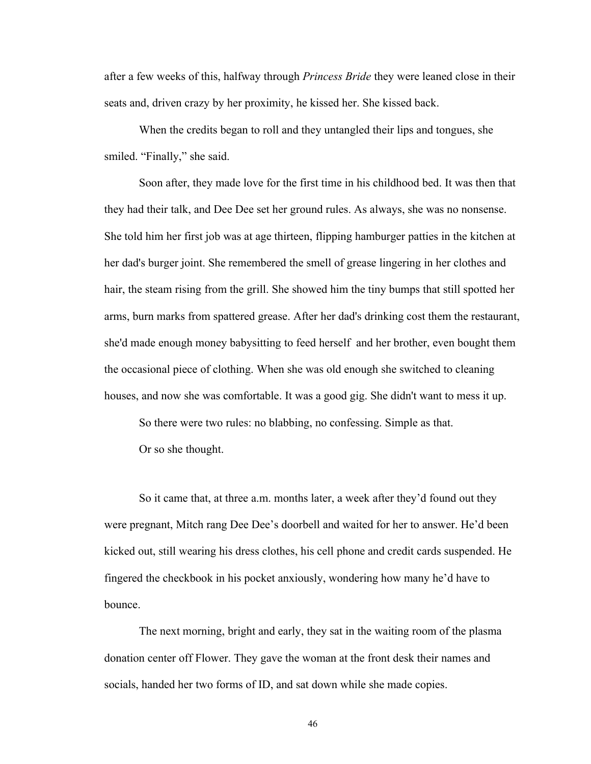after a few weeks of this, halfway through *Princess Bride* they were leaned close in their seats and, driven crazy by her proximity, he kissed her. She kissed back.

When the credits began to roll and they untangled their lips and tongues, she smiled. "Finally," she said.

Soon after, they made love for the first time in his childhood bed. It was then that they had their talk, and Dee Dee set her ground rules. As always, she was no nonsense. She told him her first job was at age thirteen, flipping hamburger patties in the kitchen at her dad's burger joint. She remembered the smell of grease lingering in her clothes and hair, the steam rising from the grill. She showed him the tiny bumps that still spotted her arms, burn marks from spattered grease. After her dad's drinking cost them the restaurant, she'd made enough money babysitting to feed herself and her brother, even bought them the occasional piece of clothing. When she was old enough she switched to cleaning houses, and now she was comfortable. It was a good gig. She didn't want to mess it up.

So there were two rules: no blabbing, no confessing. Simple as that.

Or so she thought.

So it came that, at three a.m. months later, a week after they'd found out they were pregnant, Mitch rang Dee Dee's doorbell and waited for her to answer. He'd been kicked out, still wearing his dress clothes, his cell phone and credit cards suspended. He fingered the checkbook in his pocket anxiously, wondering how many he'd have to bounce.

The next morning, bright and early, they sat in the waiting room of the plasma donation center off Flower. They gave the woman at the front desk their names and socials, handed her two forms of ID, and sat down while she made copies.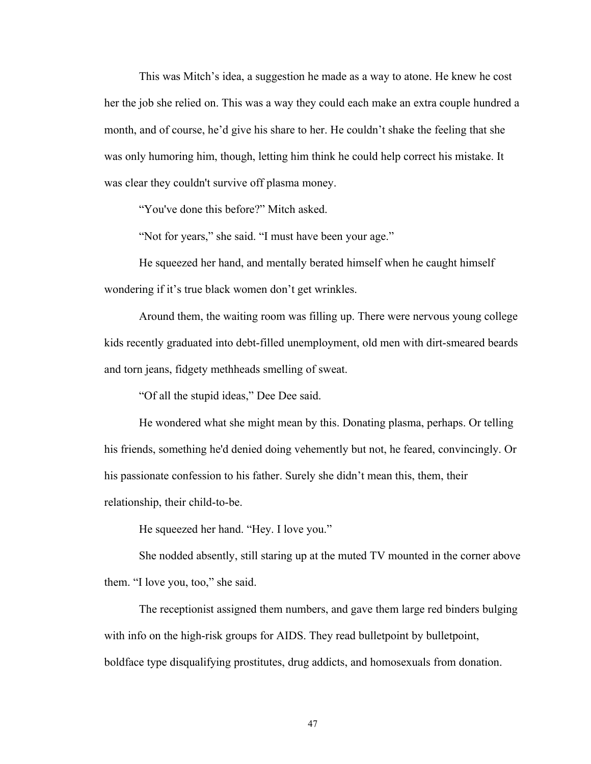This was Mitch's idea, a suggestion he made as a way to atone. He knew he cost her the job she relied on. This was a way they could each make an extra couple hundred a month, and of course, he'd give his share to her. He couldn't shake the feeling that she was only humoring him, though, letting him think he could help correct his mistake. It was clear they couldn't survive off plasma money.

"You've done this before?" Mitch asked.

"Not for years," she said. "I must have been your age."

He squeezed her hand, and mentally berated himself when he caught himself wondering if it's true black women don't get wrinkles.

Around them, the waiting room was filling up. There were nervous young college kids recently graduated into debt-filled unemployment, old men with dirt-smeared beards and torn jeans, fidgety methheads smelling of sweat.

"Of all the stupid ideas," Dee Dee said.

He wondered what she might mean by this. Donating plasma, perhaps. Or telling his friends, something he'd denied doing vehemently but not, he feared, convincingly. Or his passionate confession to his father. Surely she didn't mean this, them, their relationship, their child-to-be.

He squeezed her hand. "Hey. I love you."

She nodded absently, still staring up at the muted TV mounted in the corner above them. "I love you, too," she said.

The receptionist assigned them numbers, and gave them large red binders bulging with info on the high-risk groups for AIDS. They read bullet point by bullet point, boldface type disqualifying prostitutes, drug addicts, and homosexuals from donation.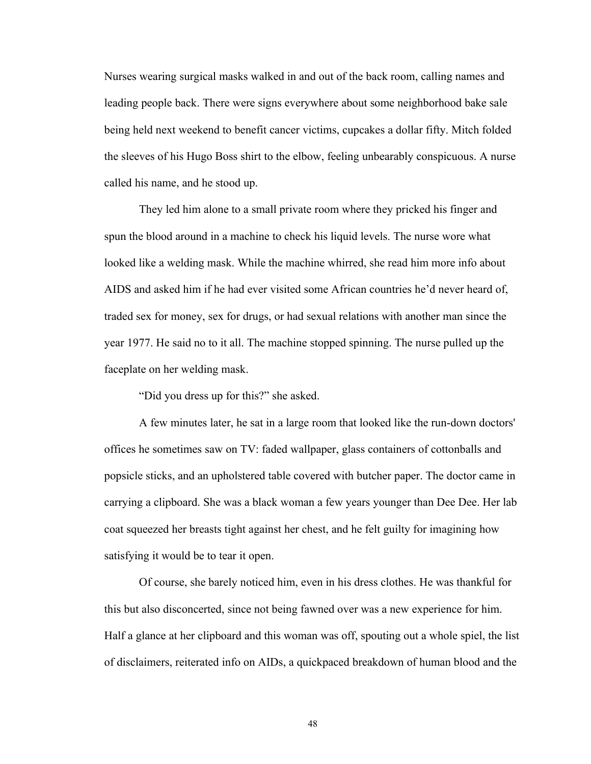Nurses wearing surgical masks walked in and out of the back room, calling names and leading people back. There were signs everywhere about some neighborhood bake sale being held next weekend to benefit cancer victims, cupcakes a dollar fifty. Mitch folded the sleeves of his Hugo Boss shirt to the elbow, feeling unbearably conspicuous. A nurse called his name, and he stood up.

They led him alone to a small private room where they pricked his finger and spun the blood around in a machine to check his liquid levels. The nurse wore what looked like a welding mask. While the machine whirred, she read him more info about AIDS and asked him if he had ever visited some African countries he'd never heard of, traded sex for money, sex for drugs, or had sexual relations with another man since the year 1977. He said no to it all. The machine stopped spinning. The nurse pulled up the faceplate on her welding mask.

"Did you dress up for this?" she asked.

A few minutes later, he sat in a large room that looked like the run-down doctors' offices he sometimes saw on TV: faded wallpaper, glass containers of cottonballs and popsicle sticks, and an upholstered table covered with butcher paper. The doctor came in carrying a clipboard. She was a black woman a few years younger than Dee Dee. Her lab coat squeezed her breasts tight against her chest, and he felt guilty for imagining how satisfying it would be to tear it open.

Of course, she barely noticed him, even in his dress clothes. He was thankful for this but also disconcerted, since not being fawned over was a new experience for him. Half a glance at her clipboard and this woman was off, spouting out a whole spiel, the list of disclaimers, reiterated info on AIDs, a quickpaced breakdown of human blood and the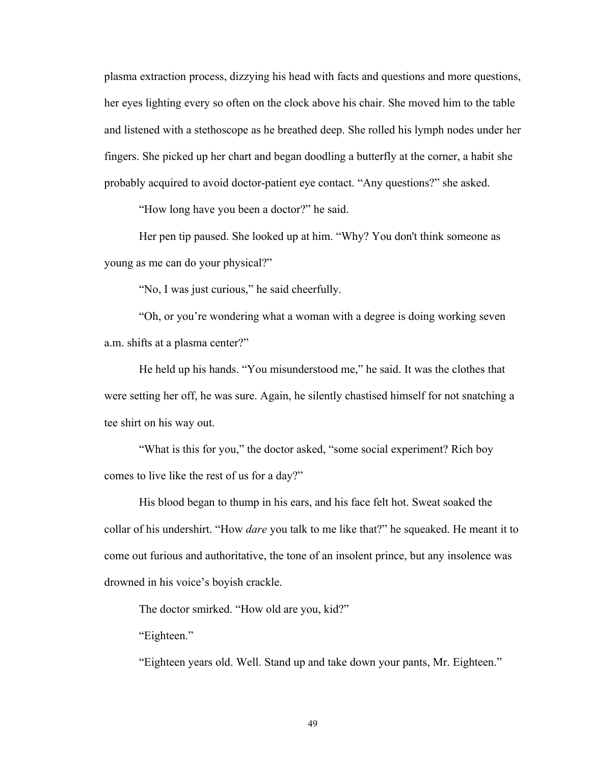plasma extraction process, dizzying his head with facts and questions and more questions, her eyes lighting every so often on the clock above his chair. She moved him to the table and listened with a stethoscope as he breathed deep. She rolled his lymph nodes under her fingers. She picked up her chart and began doodling a butterfly at the corner, a habit she probably acquired to avoid doctor-patient eye contact. "Any questions?" she asked.

"How long have you been a doctor?" he said.

Her pen tip paused. She looked up at him. "Why? You don't think someone as young as me can do your physical?"

"No, I was just curious," he said cheerfully.

"Oh, or you're wondering what a woman with a degree is doing working seven a.m. shifts at a plasma center?"

He held up his hands. "You misunderstood me," he said. It was the clothes that were setting her off, he was sure. Again, he silently chastised himself for not snatching a tee shirt on his way out.

"What is this for you," the doctor asked, "some social experiment? Rich boy comes to live like the rest of us for a day?"

His blood began to thump in his ears, and his face felt hot. Sweat soaked the collar of his undershirt. "How *dare* you talk to me like that?" he squeaked. He meant it to come out furious and authoritative, the tone of an insolent prince, but any insolence was drowned in his voice's boyish crackle.

The doctor smirked. "How old are you, kid?"

"Eighteen."

"Eighteen years old. Well. Stand up and take down your pants, Mr. Eighteen."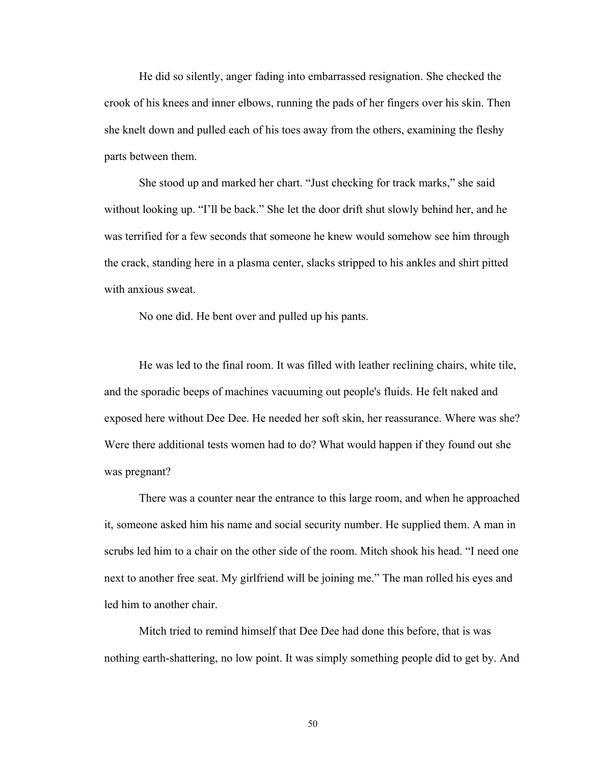He did so silently, anger fading into embarrassed resignation. She checked the crook of his knees and inner elbows, running the pads of her fingers over his skin. Then she knelt down and pulled each of his toes away from the others, examining the fleshy parts between them.

She stood up and marked her chart. "Just checking for track marks," she said without looking up. "I'll be back." She let the door drift shut slowly behind her, and he was terrified for a few seconds that someone he knew would somehow see him through the crack, standing here in a plasma center, slacks stripped to his ankles and shirt pitted with anxious sweat.

No one did. He bent over and pulled up his pants.

He was led to the final room. It was filled with leather reclining chairs, white tile, and the sporadic beeps of machines vacuuming out people's fluids. He felt naked and exposed here without Dee Dee. He needed her soft skin, her reassurance. Where was she? Were there additional tests women had to do? What would happen if they found out she was pregnant?

There was a counter near the entrance to this large room, and when he approached it, someone asked him his name and social security number. He supplied them. A man in scrubs led him to a chair on the other side of the room. Mitch shook his head. "I need one next to another free seat. My girlfriend will be joining me." The man rolled his eyes and led him to another chair.

Mitch tried to remind himself that Dee Dee had done this before, that is was nothing earth-shattering, no low point. It was simply something people did to get by. And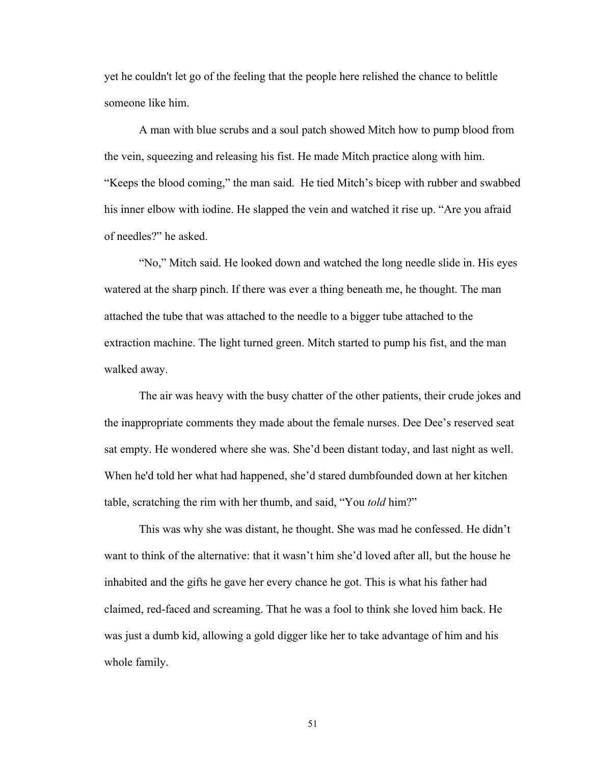yet he couldn't let go of the feeling that the people here relished the chance to belittle someone like him.

A man with blue scrubs and a soul patch showed Mitch how to pump blood from the vein, squeezing and releasing his fist. He made Mitch practice along with him. "Keeps the blood coming," the man said. He tied Mitch's bicep with rubber and swabbed his inner elbow with iodine. He slapped the vein and watched it rise up. "Are you afraid of needles?" he asked.

"No," Mitch said. He looked down and watched the long needle slide in. His eyes watered at the sharp pinch. If there was ever a thing beneath me, he thought. The man attached the tube that was attached to the needle to a bigger tube attached to the extraction machine. The light turned green. Mitch started to pump his fist, and the man walked away.

The air was heavy with the busy chatter of the other patients, their crude jokes and the inappropriate comments they made about the female nurses. Dee Dee's reserved seat sat empty. He wondered where she was. She'd been distant today, and last night as well. When he'd told her what had happened, she'd stared dumbfounded down at her kitchen table, scratching the rim with her thumb, and said, "You *told* him?"

This was why she was distant, he thought. She was mad he confessed. He didn't want to think of the alternative: that it wasn't him she'd loved after all, but the house he inhabited and the gifts he gave her every chance he got. This is what his father had claimed, red-faced and screaming. That he was a fool to think she loved him back. He was just a dumb kid, allowing a gold digger like her to take advantage of him and his whole family.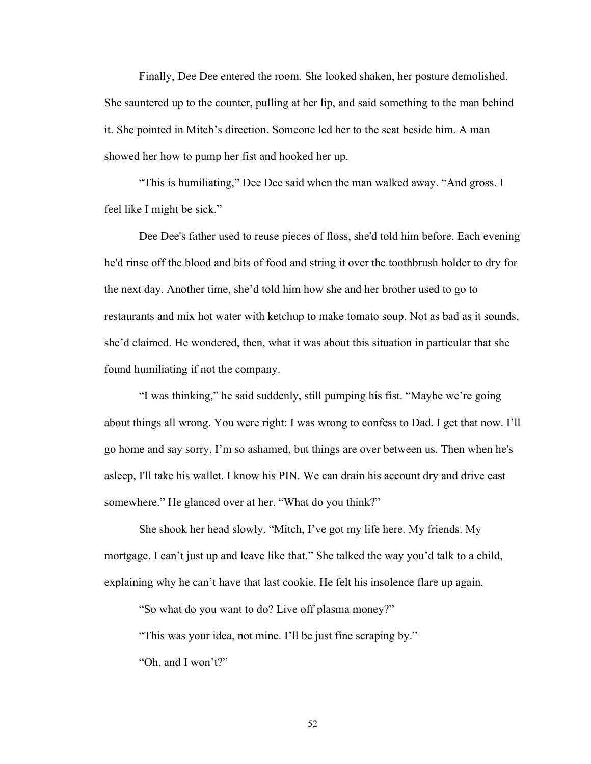Finally, Dee Dee entered the room. She looked shaken, her posture demolished. She sauntered up to the counter, pulling at her lip, and said something to the man behind it. She pointed in Mitch's direction. Someone led her to the seat beside him. A man showed her how to pump her fist and hooked her up.

"This is humiliating," Dee Dee said when the man walked away. "And gross. I feel like I might be sick."

Dee Dee's father used to reuse pieces of floss, she'd told him before. Each evening he'd rinse off the blood and bits of food and string it over the toothbrush holder to dry for the next day. Another time, she'd told him how she and her brother used to go to restaurants and mix hot water with ketchup to make tomato soup. Not as bad as it sounds, she'd claimed. He wondered, then, what it was about this situation in particular that she found humiliating if not the company.

"I was thinking," he said suddenly, still pumping his fist. "Maybe we're going about things all wrong. You were right: I was wrong to confess to Dad. I get that now. I'll go home and say sorry, I'm so ashamed, but things are over between us. Then when he's asleep, I'll take his wallet. I know his PIN. We can drain his account dry and drive east somewhere." He glanced over at her. "What do you think?"

She shook her head slowly. "Mitch, I've got my life here. My friends. My mortgage. I can't just up and leave like that." She talked the way you'd talk to a child, explaining why he can't have that last cookie. He felt his insolence flare up again.

"So what do you want to do? Live off plasma money?"

"This was your idea, not mine. I'll be just fine scraping by."

"Oh, and I won't?"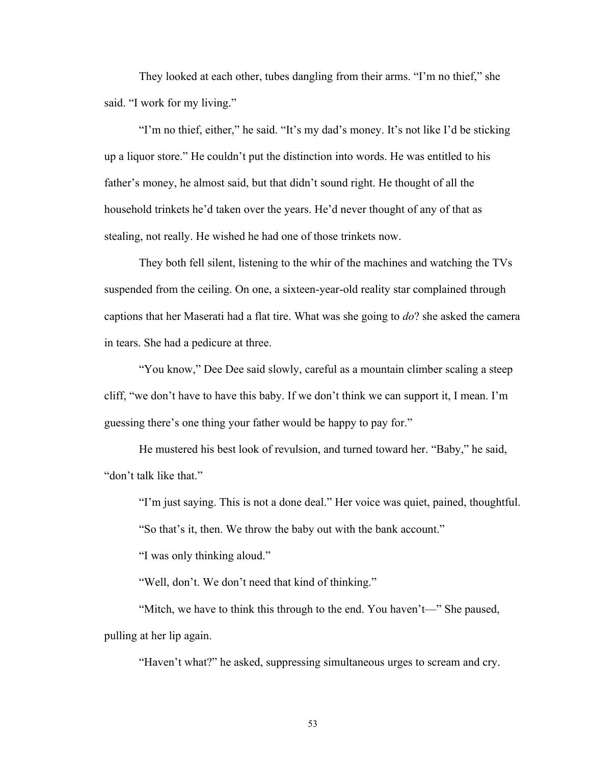They looked at each other, tubes dangling from their arms. "I'm no thief," she said. "I work for my living."

"I'm no thief, either," he said. "It's my dad's money. It's not like I'd be sticking up a liquor store." He couldn't put the distinction into words. He was entitled to his father's money, he almost said, but that didn't sound right. He thought of all the household trinkets he'd taken over the years. He'd never thought of any of that as stealing, not really. He wished he had one of those trinkets now.

They both fell silent, listening to the whir of the machines and watching the TVs suspended from the ceiling. On one, a sixteen-year-old reality star complained through captions that her Maserati had a flat tire. What was she going to *do*? she asked the camera in tears. She had a pedicure at three.

"You know," Dee Dee said slowly, careful as a mountain climber scaling a steep cliff, "we don't have to have this baby. If we don't think we can support it, I mean. I'm guessing there's one thing your father would be happy to pay for."

He mustered his best look of revulsion, and turned toward her. "Baby," he said, "don't talk like that."

"I'm just saying. This is not a done deal." Her voice was quiet, pained, thoughtful. "So that's it, then. We throw the baby out with the bank account."

"I was only thinking aloud."

"Well, don't. We don't need that kind of thinking."

"Mitch, we have to think this through to the end. You haven't—" She paused, pulling at her lip again.

"Haven't what?" he asked, suppressing simultaneous urges to scream and cry.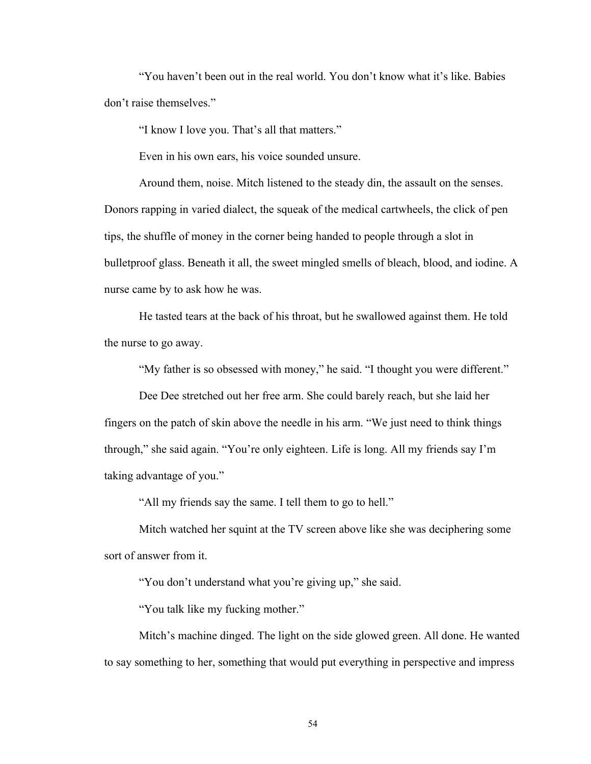"You haven't been out in the real world. You don't know what it's like. Babies don't raise themselves."

"I know I love you. That's all that matters."

Even in his own ears, his voice sounded unsure.

Around them, noise. Mitch listened to the steady din, the assault on the senses. Donors rapping in varied dialect, the squeak of the medical cartwheels, the click of pen tips, the shuffle of money in the corner being handed to people through a slot in bulletproof glass. Beneath it all, the sweet mingled smells of bleach, blood, and iodine. A nurse came by to ask how he was.

He tasted tears at the back of his throat, but he swallowed against them. He told the nurse to go away.

"My father is so obsessed with money," he said. "I thought you were different."

Dee Dee stretched out her free arm. She could barely reach, but she laid her fingers on the patch of skin above the needle in his arm. "We just need to think things through," she said again. "You're only eighteen. Life is long. All my friends say I'm taking advantage of you."

"All my friends say the same. I tell them to go to hell."

Mitch watched her squint at the TV screen above like she was deciphering some sort of answer from it.

"You don't understand what you're giving up," she said.

"You talk like my fucking mother."

Mitch's machine dinged. The light on the side glowed green. All done. He wanted to say something to her, something that would put everything in perspective and impress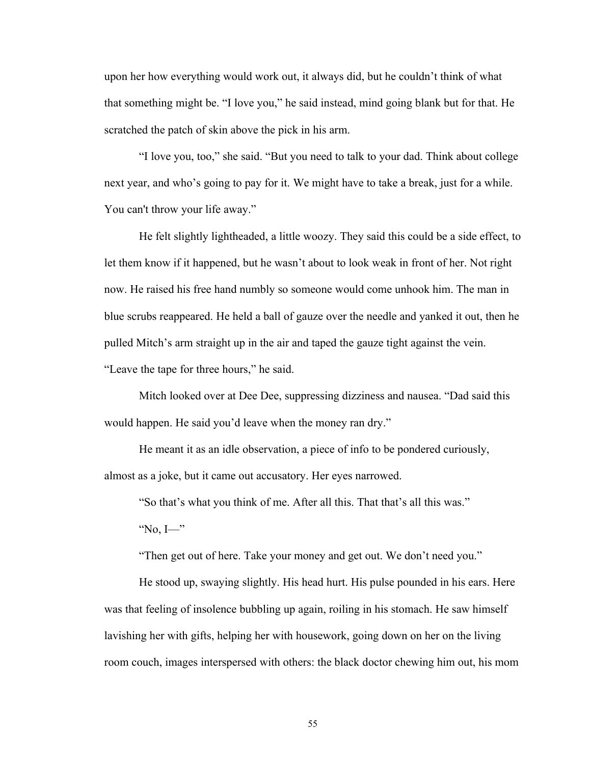upon her how everything would work out, it always did, but he couldn't think of what that something might be. "I love you," he said instead, mind going blank but for that. He scratched the patch of skin above the pick in his arm.

"I love you, too," she said. "But you need to talk to your dad. Think about college next year, and who's going to pay for it. We might have to take a break, just for a while. You can't throw your life away."

He felt slightly lightheaded, a little woozy. They said this could be a side effect, to let them know if it happened, but he wasn't about to look weak in front of her. Not right now. He raised his free hand numbly so someone would come unhook him. The man in blue scrubs reappeared. He held a ball of gauze over the needle and yanked it out, then he pulled Mitch's arm straight up in the air and taped the gauze tight against the vein. "Leave the tape for three hours," he said.

Mitch looked over at Dee Dee, suppressing dizziness and nausea. "Dad said this would happen. He said you'd leave when the money ran dry."

He meant it as an idle observation, a piece of info to be pondered curiously, almost as a joke, but it came out accusatory. Her eyes narrowed.

"So that's what you think of me. After all this. That that's all this was."

"No,  $I$ —"

"Then get out of here. Take your money and get out. We don't need you."

He stood up, swaying slightly. His head hurt. His pulse pounded in his ears. Here was that feeling of insolence bubbling up again, roiling in his stomach. He saw himself lavishing her with gifts, helping her with housework, going down on her on the living room couch, images interspersed with others: the black doctor chewing him out, his mom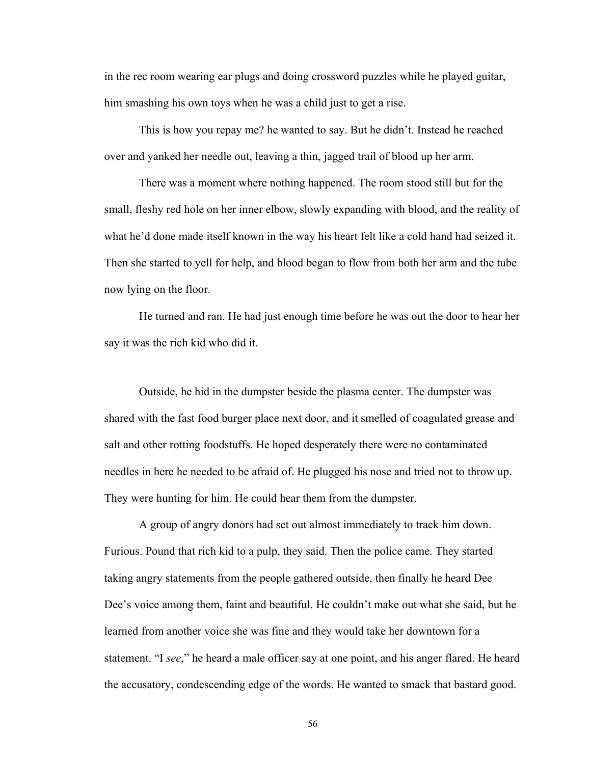in the rec room wearing ear plugs and doing crossword puzzles while he played guitar, him smashing his own toys when he was a child just to get a rise.

This is how you repay me? he wanted to say. But he didn't. Instead he reached over and yanked her needle out, leaving a thin, jagged trail of blood up her arm.

There was a moment where nothing happened. The room stood still but for the small, fleshy red hole on her inner elbow, slowly expanding with blood, and the reality of what he'd done made itself known in the way his heart felt like a cold hand had seized it. Then she started to yell for help, and blood began to flow from both her arm and the tube now lying on the floor.

He turned and ran. He had just enough time before he was out the door to hear her say it was the rich kid who did it.

Outside, he hid in the dumpster beside the plasma center. The dumpster was shared with the fast food burger place next door, and it smelled of coagulated grease and salt and other rotting foodstuffs. He hoped desperately there were no contaminated needles in here he needed to be afraid of. He plugged his nose and tried not to throw up. They were hunting for him. He could hear them from the dumpster.

A group of angry donors had set out almost immediately to track him down. Furious. Pound that rich kid to a pulp, they said. Then the police came. They started taking angry statements from the people gathered outside, then finally he heard Dee Dee's voice among them, faint and beautiful. He couldn't make out what she said, but he learned from another voice she was fine and they would take her downtown for a statement. "I *see*," he heard a male officer say at one point, and his anger flared. He heard the accusatory, condescending edge of the words. He wanted to smack that bastard good.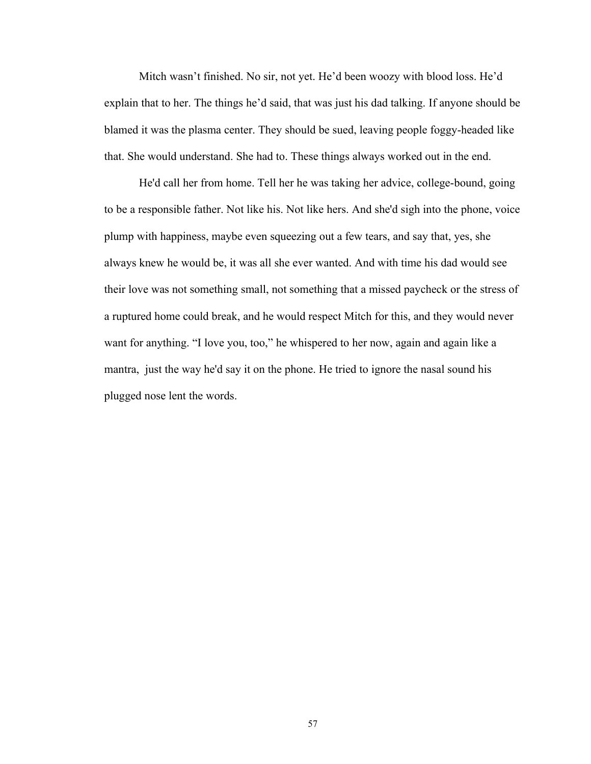Mitch wasn't finished. No sir, not yet. He'd been woozy with blood loss. He'd explain that to her. The things he'd said, that was just his dad talking. If anyone should be blamed it was the plasma center. They should be sued, leaving people foggy-headed like that. She would understand. She had to. These things always worked out in the end.

He'd call her from home. Tell her he was taking her advice, college-bound, going to be a responsible father. Not like his. Not like hers. And she'd sigh into the phone, voice plump with happiness, maybe even squeezing out a few tears, and say that, yes, she always knew he would be, it was all she ever wanted. And with time his dad would see their love was not something small, not something that a missed paycheck or the stress of a ruptured home could break, and he would respect Mitch for this, and they would never want for anything. "I love you, too," he whispered to her now, again and again like a mantra, just the way he'd say it on the phone. He tried to ignore the nasal sound his plugged nose lent the words.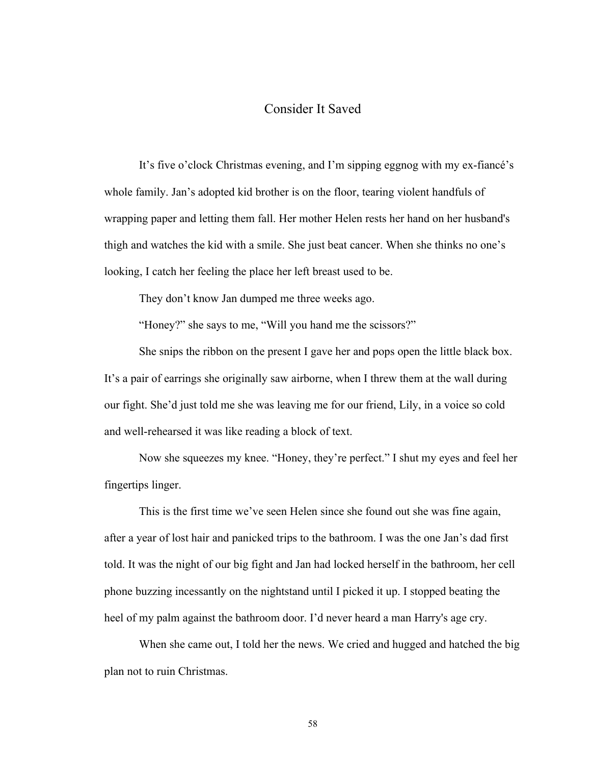## Consider It Saved

It's five o'clock Christmas evening, and I'm sipping eggnog with my ex-fiancé's whole family. Jan's adopted kid brother is on the floor, tearing violent handfuls of wrapping paper and letting them fall. Her mother Helen rests her hand on her husband's thigh and watches the kid with a smile. She just beat cancer. When she thinks no one's looking, I catch her feeling the place her left breast used to be.

They don't know Jan dumped me three weeks ago.

"Honey?" she says to me, "Will you hand me the scissors?"

She snips the ribbon on the present I gave her and pops open the little black box. It's a pair of earrings she originally saw airborne, when I threw them at the wall during our fight. She'd just told me she was leaving me for our friend, Lily, in a voice so cold and well-rehearsed it was like reading a block of text.

Now she squeezes my knee. "Honey, they're perfect." I shut my eyes and feel her fingertips linger.

This is the first time we've seen Helen since she found out she was fine again, after a year of lost hair and panicked trips to the bathroom. I was the one Jan's dad first told. It was the night of our big fight and Jan had locked herself in the bathroom, her cell phone buzzing incessantly on the nightstand until I picked it up. I stopped beating the heel of my palm against the bathroom door. I'd never heard a man Harry's age cry.

When she came out, I told her the news. We cried and hugged and hatched the big plan not to ruin Christmas.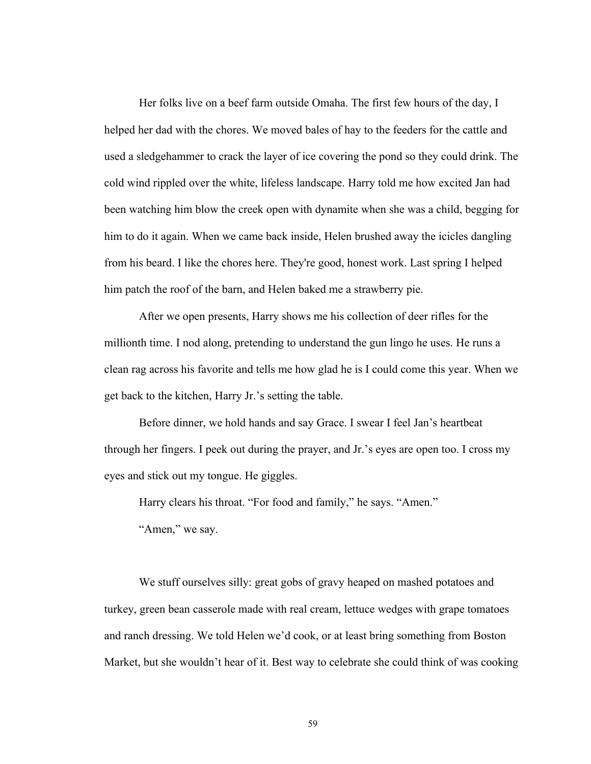Her folks live on a beef farm outside Omaha. The first few hours of the day, I helped her dad with the chores. We moved bales of hay to the feeders for the cattle and used a sledgehammer to crack the layer of ice covering the pond so they could drink. The cold wind rippled over the white, lifeless landscape. Harry told me how excited Jan had been watching him blow the creek open with dynamite when she was a child, begging for him to do it again. When we came back inside, Helen brushed away the icicles dangling from his beard. I like the chores here. They're good, honest work. Last spring I helped him patch the roof of the barn, and Helen baked me a strawberry pie.

After we open presents, Harry shows me his collection of deer rifles for the millionth time. I nod along, pretending to understand the gun lingo he uses. He runs a clean rag across his favorite and tells me how glad he is I could come this year. When we get back to the kitchen, Harry Jr.'s setting the table.

Before dinner, we hold hands and say Grace. I swear I feel Jan's heartbeat through her fingers. I peek out during the prayer, and Jr.'s eyes are open too. I cross my eyes and stick out my tongue. He giggles.

Harry clears his throat. "For food and family," he says. "Amen."

"Amen," we say.

We stuff ourselves silly: great gobs of gravy heaped on mashed potatoes and turkey, green bean casserole made with real cream, lettuce wedges with grape tomatoes and ranch dressing. We told Helen we'd cook, or at least bring something from Boston Market, but she wouldn't hear of it. Best way to celebrate she could think of was cooking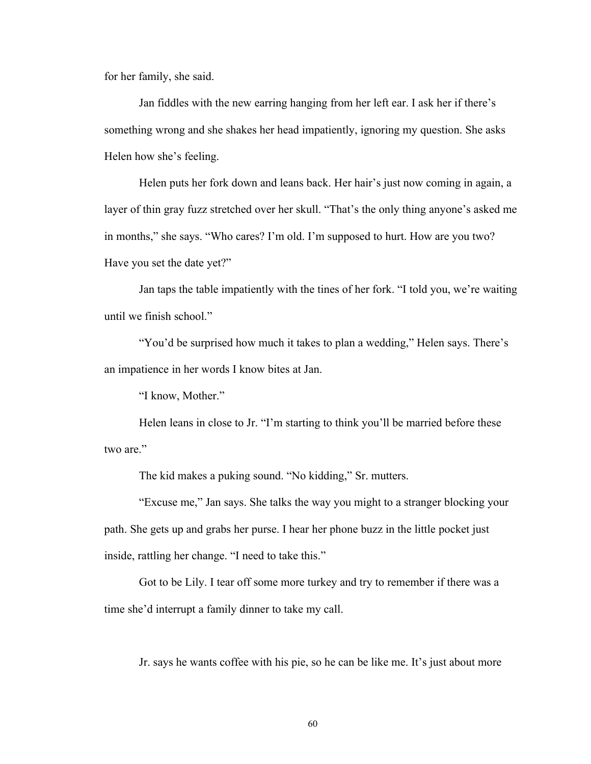for her family, she said.

Jan fiddles with the new earring hanging from her left ear. I ask her if there's something wrong and she shakes her head impatiently, ignoring my question. She asks Helen how she's feeling.

Helen puts her fork down and leans back. Her hair's just now coming in again, a layer of thin gray fuzz stretched over her skull. "That's the only thing anyone's asked me in months," she says. "Who cares? I'm old. I'm supposed to hurt. How are you two? Have you set the date yet?"

Jan taps the table impatiently with the tines of her fork. "I told you, we're waiting until we finish school."

"You'd be surprised how much it takes to plan a wedding," Helen says. There's an impatience in her words I know bites at Jan.

"I know, Mother."

Helen leans in close to Jr. "I'm starting to think you'll be married before these two are."

The kid makes a puking sound. "No kidding," Sr. mutters.

"Excuse me," Jan says. She talks the way you might to a stranger blocking your path. She gets up and grabs her purse. I hear her phone buzz in the little pocket just inside, rattling her change. "I need to take this."

Got to be Lily. I tear off some more turkey and try to remember if there was a time she'd interrupt a family dinner to take my call.

Jr. says he wants coffee with his pie, so he can be like me. It's just about more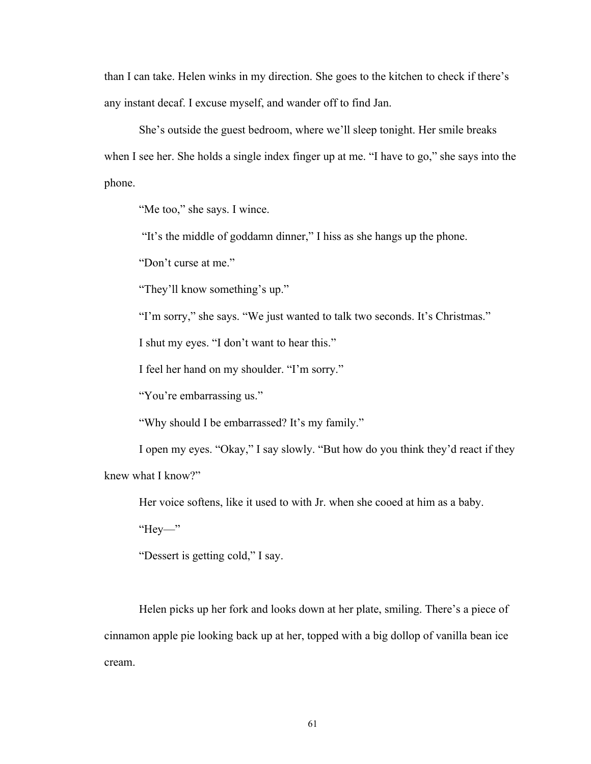than I can take. Helen winks in my direction. She goes to the kitchen to check if there's any instant decaf. I excuse myself, and wander off to find Jan.

She's outside the guest bedroom, where we'll sleep tonight. Her smile breaks when I see her. She holds a single index finger up at me. "I have to go," she says into the phone.

"Me too," she says. I wince.

"It's the middle of goddamn dinner," I hiss as she hangs up the phone.

"Don't curse at me."

"They'll know something's up."

"I'm sorry," she says. "We just wanted to talk two seconds. It's Christmas."

I shut my eyes. "I don't want to hear this."

I feel her hand on my shoulder. "I'm sorry."

"You're embarrassing us."

"Why should I be embarrassed? It's my family."

I open my eyes. "Okay," I say slowly. "But how do you think they'd react if they knew what I know?"

Her voice softens, like it used to with Jr. when she cooed at him as a baby.

"Hey—"

"Dessert is getting cold," I say.

Helen picks up her fork and looks down at her plate, smiling. There's a piece of cinnamon apple pie looking back up at her, topped with a big dollop of vanilla bean ice cream.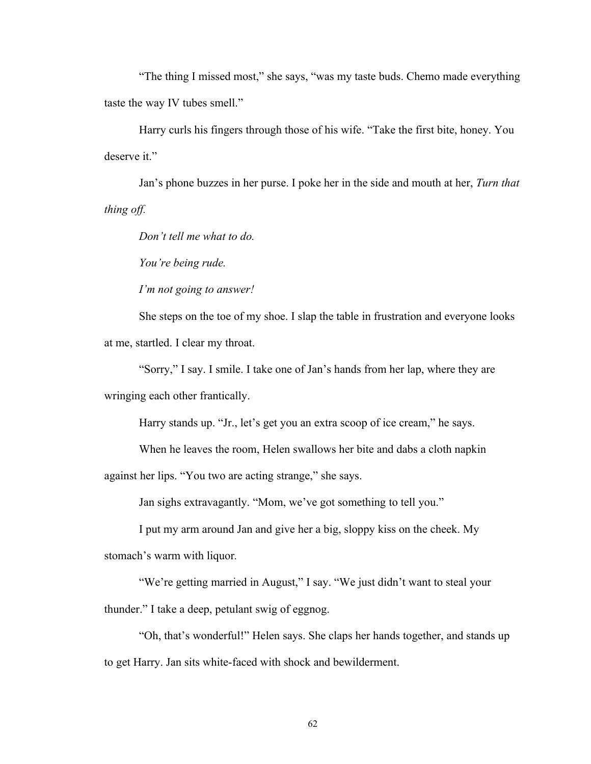"The thing I missed most," she says, "was my taste buds. Chemo made everything taste the way IV tubes smell."

Harry curls his fingers through those of his wife. "Take the first bite, honey. You deserve it."

Jan's phone buzzes in her purse. I poke her in the side and mouth at her, *Turn that thing off.* 

*Don't tell me what to do.*

*You're being rude.*

*I'm not going to answer!*

She steps on the toe of my shoe. I slap the table in frustration and everyone looks at me, startled. I clear my throat.

"Sorry," I say. I smile. I take one of Jan's hands from her lap, where they are wringing each other frantically.

Harry stands up. "Jr., let's get you an extra scoop of ice cream," he says.

When he leaves the room, Helen swallows her bite and dabs a cloth napkin

against her lips. "You two are acting strange," she says.

Jan sighs extravagantly. "Mom, we've got something to tell you."

I put my arm around Jan and give her a big, sloppy kiss on the cheek. My stomach's warm with liquor*.*

"We're getting married in August," I say. "We just didn't want to steal your thunder." I take a deep, petulant swig of eggnog.

"Oh, that's wonderful!" Helen says. She claps her hands together, and stands up to get Harry. Jan sits white-faced with shock and bewilderment.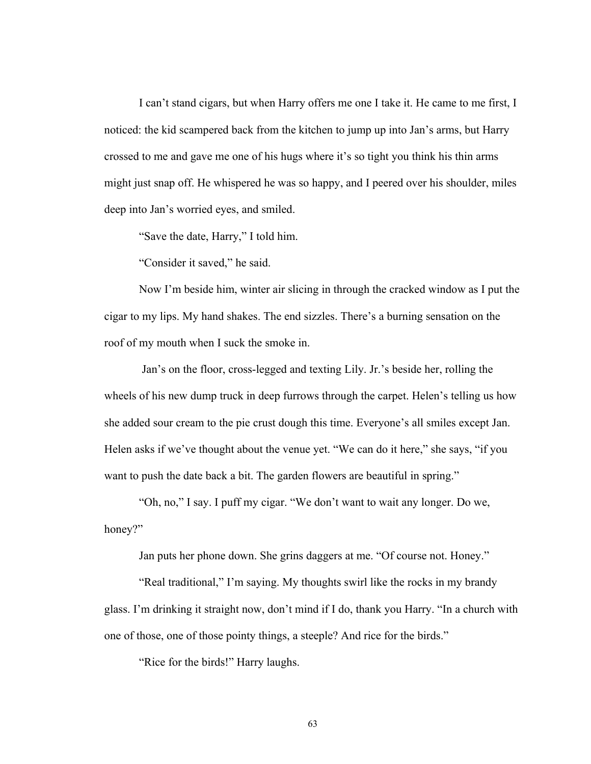I can't stand cigars, but when Harry offers me one I take it. He came to me first, I noticed: the kid scampered back from the kitchen to jump up into Jan's arms, but Harry crossed to me and gave me one of his hugs where it's so tight you think his thin arms might just snap off. He whispered he was so happy, and I peered over his shoulder, miles deep into Jan's worried eyes, and smiled.

"Save the date, Harry," I told him.

"Consider it saved," he said.

Now I'm beside him, winter air slicing in through the cracked window as I put the cigar to my lips. My hand shakes. The end sizzles. There's a burning sensation on the roof of my mouth when I suck the smoke in.

 Jan's on the floor, cross-legged and texting Lily. Jr.'s beside her, rolling the wheels of his new dump truck in deep furrows through the carpet. Helen's telling us how she added sour cream to the pie crust dough this time. Everyone's all smiles except Jan. Helen asks if we've thought about the venue yet. "We can do it here," she says, "if you want to push the date back a bit. The garden flowers are beautiful in spring."

"Oh, no," I say. I puff my cigar. "We don't want to wait any longer. Do we, honey?"

Jan puts her phone down. She grins daggers at me. "Of course not. Honey."

"Real traditional," I'm saying. My thoughts swirl like the rocks in my brandy glass. I'm drinking it straight now, don't mind if I do, thank you Harry. "In a church with one of those, one of those pointy things, a steeple? And rice for the birds."

"Rice for the birds!" Harry laughs.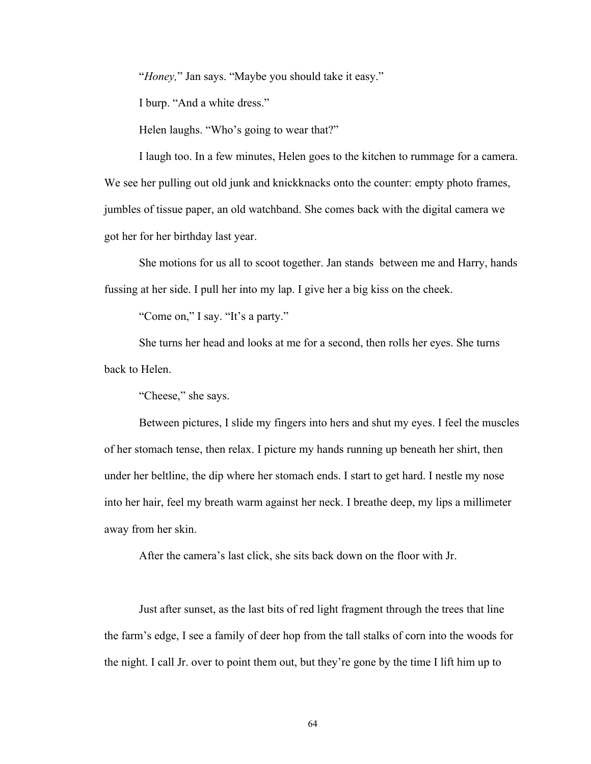"*Honey,*" Jan says. "Maybe you should take it easy."

I burp. "And a white dress."

Helen laughs. "Who's going to wear that?"

I laugh too. In a few minutes, Helen goes to the kitchen to rummage for a camera. We see her pulling out old junk and knickknacks onto the counter: empty photo frames, jumbles of tissue paper, an old watchband. She comes back with the digital camera we got her for her birthday last year.

She motions for us all to scoot together. Jan stands between me and Harry, hands fussing at her side. I pull her into my lap. I give her a big kiss on the cheek.

"Come on," I say. "It's a party."

She turns her head and looks at me for a second, then rolls her eyes. She turns back to Helen.

"Cheese," she says.

Between pictures, I slide my fingers into hers and shut my eyes. I feel the muscles of her stomach tense, then relax. I picture my hands running up beneath her shirt, then under her beltline, the dip where her stomach ends. I start to get hard. I nestle my nose into her hair, feel my breath warm against her neck. I breathe deep, my lips a millimeter away from her skin.

After the camera's last click, she sits back down on the floor with Jr.

Just after sunset, as the last bits of red light fragment through the trees that line the farm's edge, I see a family of deer hop from the tall stalks of corn into the woods for the night. I call Jr. over to point them out, but they're gone by the time I lift him up to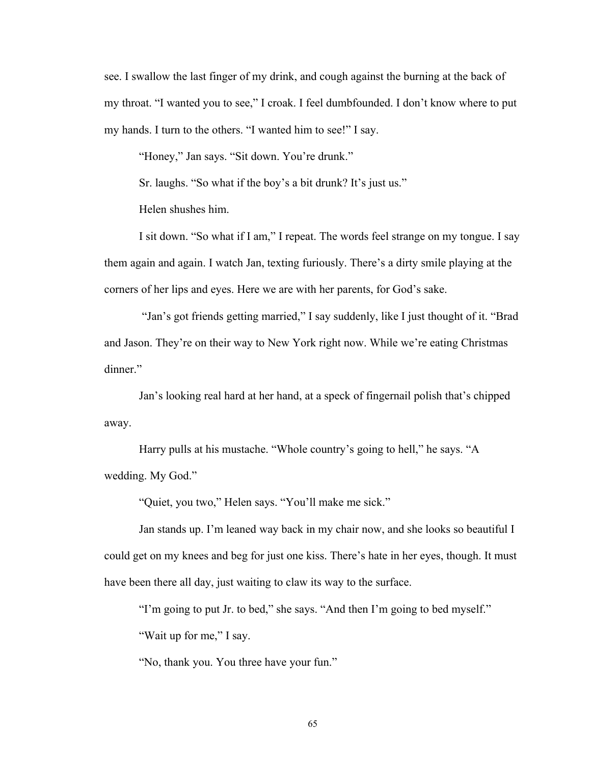see. I swallow the last finger of my drink, and cough against the burning at the back of my throat. "I wanted you to see," I croak. I feel dumbfounded. I don't know where to put my hands. I turn to the others. "I wanted him to see!" I say.

"Honey," Jan says. "Sit down. You're drunk."

Sr. laughs. "So what if the boy's a bit drunk? It's just us."

Helen shushes him.

I sit down. "So what if I am," I repeat. The words feel strange on my tongue. I say them again and again. I watch Jan, texting furiously. There's a dirty smile playing at the corners of her lips and eyes. Here we are with her parents, for God's sake.

 "Jan's got friends getting married," I say suddenly, like I just thought of it. "Brad and Jason. They're on their way to New York right now. While we're eating Christmas dinner."

Jan's looking real hard at her hand, at a speck of fingernail polish that's chipped away.

Harry pulls at his mustache. "Whole country's going to hell," he says. "A wedding. My God."

"Quiet, you two," Helen says. "You'll make me sick."

Jan stands up. I'm leaned way back in my chair now, and she looks so beautiful I could get on my knees and beg for just one kiss. There's hate in her eyes, though. It must have been there all day, just waiting to claw its way to the surface.

"I'm going to put Jr. to bed," she says. "And then I'm going to bed myself."

"Wait up for me," I say.

"No, thank you. You three have your fun."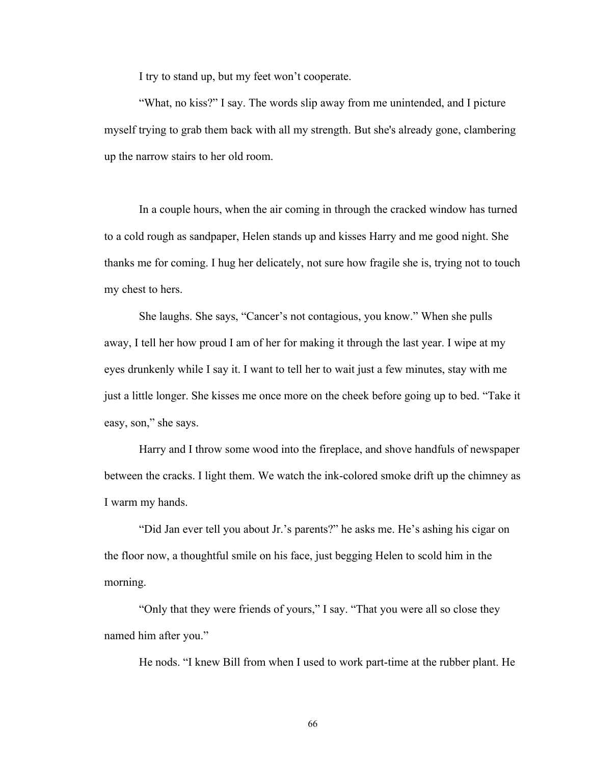I try to stand up, but my feet won't cooperate.

"What, no kiss?" I say. The words slip away from me unintended, and I picture myself trying to grab them back with all my strength. But she's already gone, clambering up the narrow stairs to her old room.

In a couple hours, when the air coming in through the cracked window has turned to a cold rough as sandpaper, Helen stands up and kisses Harry and me good night. She thanks me for coming. I hug her delicately, not sure how fragile she is, trying not to touch my chest to hers.

She laughs. She says, "Cancer's not contagious, you know." When she pulls away, I tell her how proud I am of her for making it through the last year. I wipe at my eyes drunkenly while I say it. I want to tell her to wait just a few minutes, stay with me just a little longer. She kisses me once more on the cheek before going up to bed. "Take it easy, son," she says.

Harry and I throw some wood into the fireplace, and shove handfuls of newspaper between the cracks. I light them. We watch the ink-colored smoke drift up the chimney as I warm my hands.

"Did Jan ever tell you about Jr.'s parents?" he asks me. He's ashing his cigar on the floor now, a thoughtful smile on his face, just begging Helen to scold him in the morning.

"Only that they were friends of yours," I say. "That you were all so close they named him after you."

He nods. "I knew Bill from when I used to work part-time at the rubber plant. He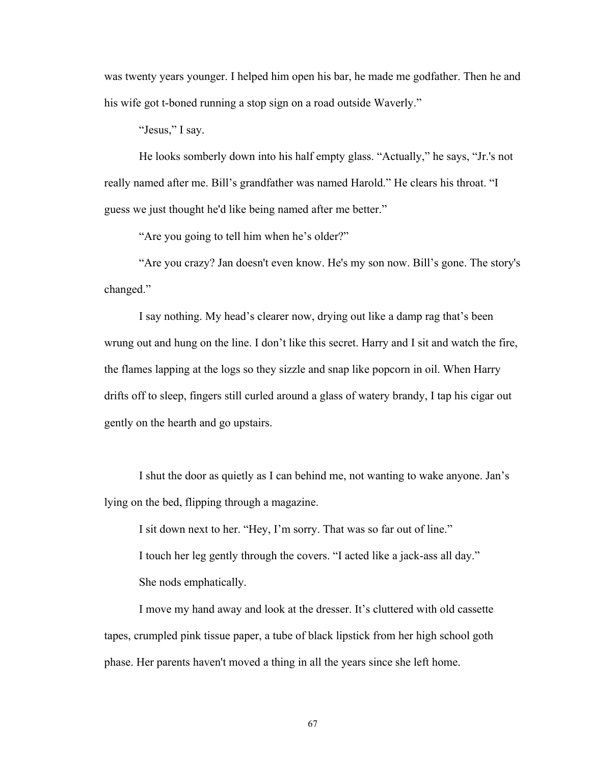was twenty years younger. I helped him open his bar, he made me godfather. Then he and his wife got t-boned running a stop sign on a road outside Waverly."

"Jesus," I say.

He looks somberly down into his half empty glass. "Actually," he says, "Jr.'s not really named after me. Bill's grandfather was named Harold." He clears his throat. "I guess we just thought he'd like being named after me better."

"Are you going to tell him when he's older?"

"Are you crazy? Jan doesn't even know. He's my son now. Bill's gone. The story's changed."

I say nothing. My head's clearer now, drying out like a damp rag that's been wrung out and hung on the line. I don't like this secret. Harry and I sit and watch the fire, the flames lapping at the logs so they sizzle and snap like popcorn in oil. When Harry drifts off to sleep, fingers still curled around a glass of watery brandy, I tap his cigar out gently on the hearth and go upstairs.

I shut the door as quietly as I can behind me, not wanting to wake anyone. Jan's lying on the bed, flipping through a magazine.

I sit down next to her. "Hey, I'm sorry. That was so far out of line." I touch her leg gently through the covers. "I acted like a jack-ass all day." She nods emphatically.

I move my hand away and look at the dresser. It's cluttered with old cassette tapes, crumpled pink tissue paper, a tube of black lipstick from her high school goth phase. Her parents haven't moved a thing in all the years since she left home.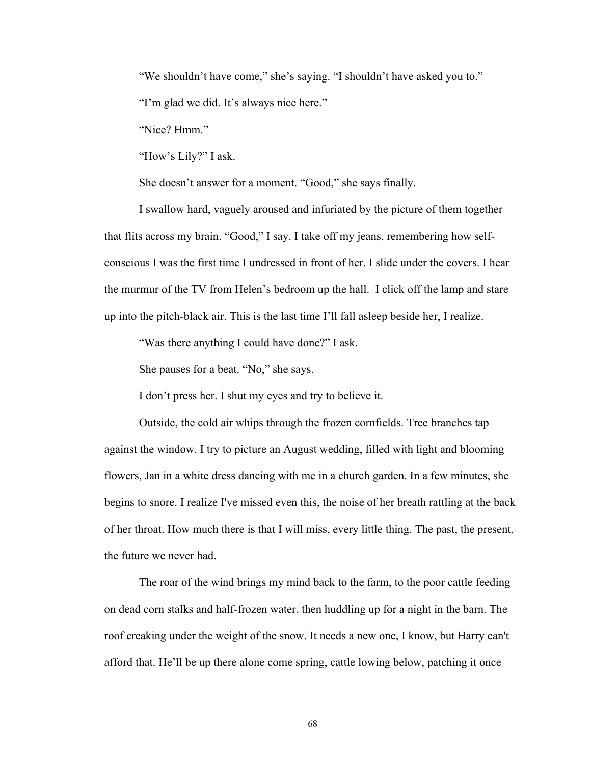"We shouldn't have come," she's saying. "I shouldn't have asked you to."

"I'm glad we did. It's always nice here."

"Nice? Hmm."

"How's Lily?" I ask.

She doesn't answer for a moment. "Good," she says finally.

I swallow hard, vaguely aroused and infuriated by the picture of them together that flits across my brain. "Good," I say. I take off my jeans, remembering how selfconscious I was the first time I undressed in front of her. I slide under the covers. I hear the murmur of the TV from Helen's bedroom up the hall. I click off the lamp and stare up into the pitch-black air. This is the last time I'll fall asleep beside her, I realize.

"Was there anything I could have done?" I ask.

She pauses for a beat. "No," she says.

I don't press her. I shut my eyes and try to believe it.

Outside, the cold air whips through the frozen cornfields. Tree branches tap against the window. I try to picture an August wedding, filled with light and blooming flowers, Jan in a white dress dancing with me in a church garden. In a few minutes, she begins to snore. I realize I've missed even this, the noise of her breath rattling at the back of her throat. How much there is that I will miss, every little thing. The past, the present, the future we never had.

The roar of the wind brings my mind back to the farm, to the poor cattle feeding on dead corn stalks and half-frozen water, then huddling up for a night in the barn. The roof creaking under the weight of the snow. It needs a new one, I know, but Harry can't afford that. He'll be up there alone come spring, cattle lowing below, patching it once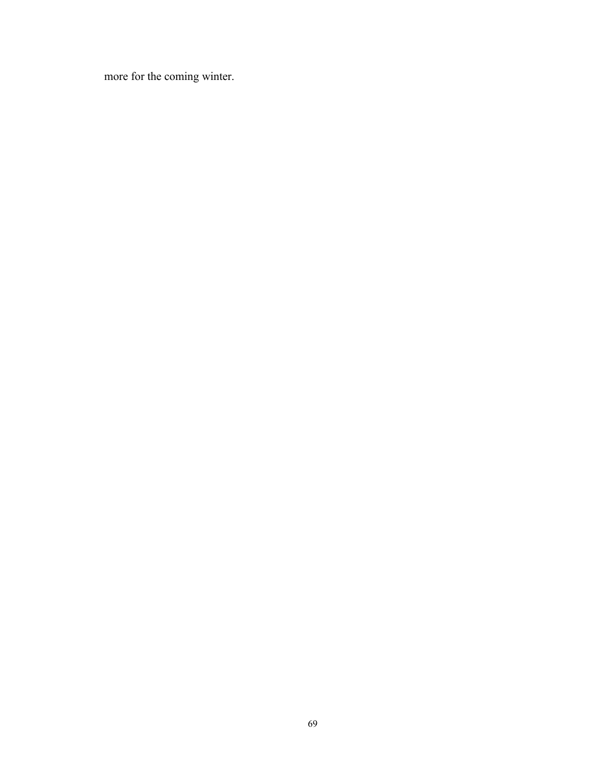more for the coming winter.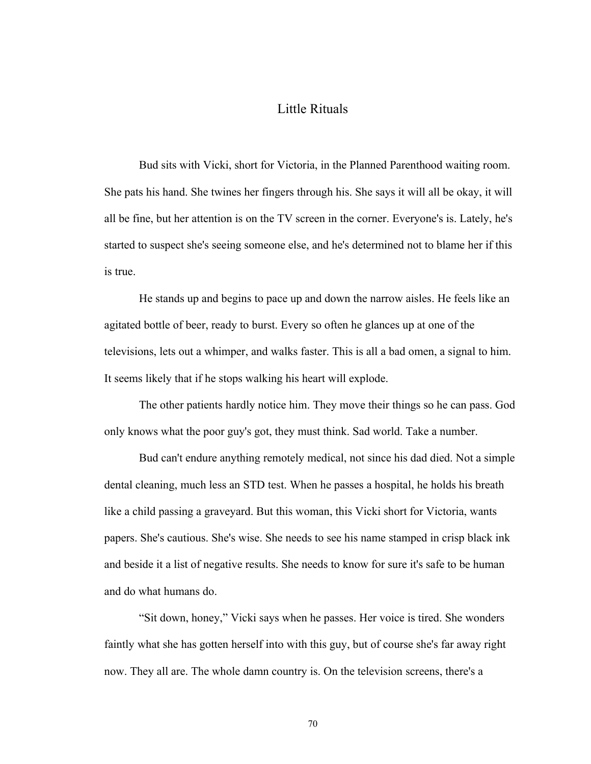# Little Rituals

Bud sits with Vicki, short for Victoria, in the Planned Parenthood waiting room. She pats his hand. She twines her fingers through his. She says it will all be okay, it will all be fine, but her attention is on the TV screen in the corner. Everyone's is. Lately, he's started to suspect she's seeing someone else, and he's determined not to blame her if this is true.

He stands up and begins to pace up and down the narrow aisles. He feels like an agitated bottle of beer, ready to burst. Every so often he glances up at one of the televisions, lets out a whimper, and walks faster. This is all a bad omen, a signal to him. It seems likely that if he stops walking his heart will explode.

The other patients hardly notice him. They move their things so he can pass. God only knows what the poor guy's got, they must think. Sad world. Take a number.

Bud can't endure anything remotely medical, not since his dad died. Not a simple dental cleaning, much less an STD test. When he passes a hospital, he holds his breath like a child passing a graveyard. But this woman, this Vicki short for Victoria, wants papers. She's cautious. She's wise. She needs to see his name stamped in crisp black ink and beside it a list of negative results. She needs to know for sure it's safe to be human and do what humans do.

"Sit down, honey," Vicki says when he passes. Her voice is tired. She wonders faintly what she has gotten herself into with this guy, but of course she's far away right now. They all are. The whole damn country is. On the television screens, there's a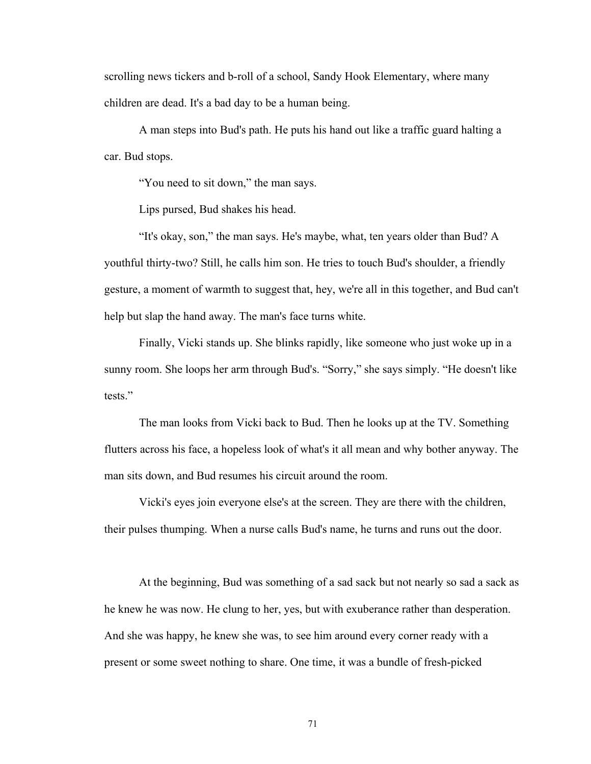scrolling news tickers and b-roll of a school, Sandy Hook Elementary, where many children are dead. It's a bad day to be a human being.

A man steps into Bud's path. He puts his hand out like a traffic guard halting a car. Bud stops.

"You need to sit down," the man says.

Lips pursed, Bud shakes his head.

"It's okay, son," the man says. He's maybe, what, ten years older than Bud? A youthful thirty-two? Still, he calls him son. He tries to touch Bud's shoulder, a friendly gesture, a moment of warmth to suggest that, hey, we're all in this together, and Bud can't help but slap the hand away. The man's face turns white.

Finally, Vicki stands up. She blinks rapidly, like someone who just woke up in a sunny room. She loops her arm through Bud's. "Sorry," she says simply. "He doesn't like tests."

The man looks from Vicki back to Bud. Then he looks up at the TV. Something flutters across his face, a hopeless look of what's it all mean and why bother anyway. The man sits down, and Bud resumes his circuit around the room.

Vicki's eyes join everyone else's at the screen. They are there with the children, their pulses thumping. When a nurse calls Bud's name, he turns and runs out the door.

At the beginning, Bud was something of a sad sack but not nearly so sad a sack as he knew he was now. He clung to her, yes, but with exuberance rather than desperation. And she was happy, he knew she was, to see him around every corner ready with a present or some sweet nothing to share. One time, it was a bundle of fresh-picked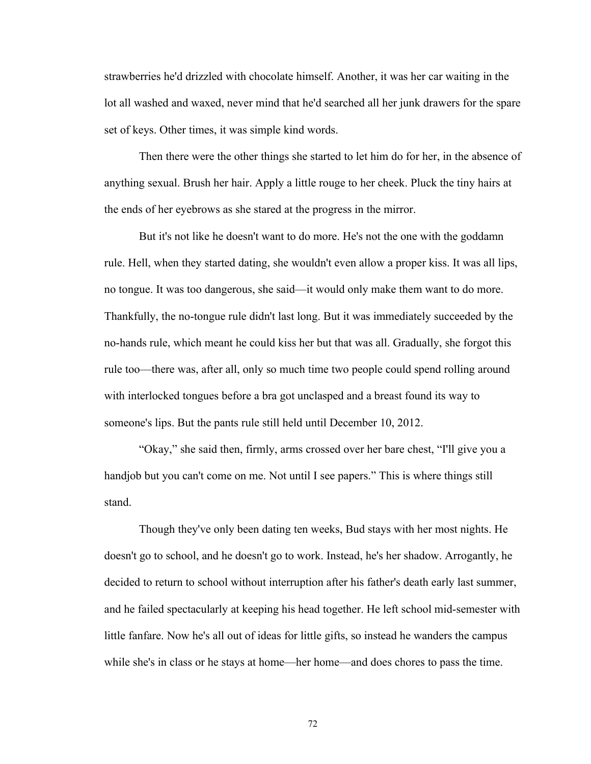strawberries he'd drizzled with chocolate himself. Another, it was her car waiting in the lot all washed and waxed, never mind that he'd searched all her junk drawers for the spare set of keys. Other times, it was simple kind words.

Then there were the other things she started to let him do for her, in the absence of anything sexual. Brush her hair. Apply a little rouge to her cheek. Pluck the tiny hairs at the ends of her eyebrows as she stared at the progress in the mirror.

But it's not like he doesn't want to do more. He's not the one with the goddamn rule. Hell, when they started dating, she wouldn't even allow a proper kiss. It was all lips, no tongue. It was too dangerous, she said—it would only make them want to do more. Thankfully, the no-tongue rule didn't last long. But it was immediately succeeded by the no-hands rule, which meant he could kiss her but that was all. Gradually, she forgot this rule too—there was, after all, only so much time two people could spend rolling around with interlocked tongues before a bra got unclasped and a breast found its way to someone's lips. But the pants rule still held until December 10, 2012.

"Okay," she said then, firmly, arms crossed over her bare chest, "I'll give you a handjob but you can't come on me. Not until I see papers." This is where things still stand.

Though they've only been dating ten weeks, Bud stays with her most nights. He doesn't go to school, and he doesn't go to work. Instead, he's her shadow. Arrogantly, he decided to return to school without interruption after his father's death early last summer, and he failed spectacularly at keeping his head together. He left school mid-semester with little fanfare. Now he's all out of ideas for little gifts, so instead he wanders the campus while she's in class or he stays at home—her home—and does chores to pass the time.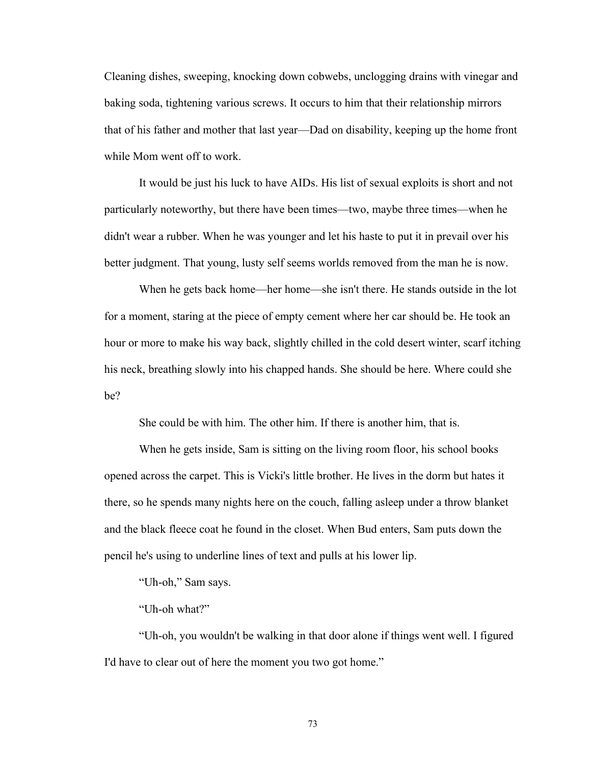Cleaning dishes, sweeping, knocking down cobwebs, unclogging drains with vinegar and baking soda, tightening various screws. It occurs to him that their relationship mirrors that of his father and mother that last year—Dad on disability, keeping up the home front while Mom went off to work.

It would be just his luck to have AIDs. His list of sexual exploits is short and not particularly noteworthy, but there have been times—two, maybe three times—when he didn't wear a rubber. When he was younger and let his haste to put it in prevail over his better judgment. That young, lusty self seems worlds removed from the man he is now.

When he gets back home—her home—she isn't there. He stands outside in the lot for a moment, staring at the piece of empty cement where her car should be. He took an hour or more to make his way back, slightly chilled in the cold desert winter, scarf itching his neck, breathing slowly into his chapped hands. She should be here. Where could she be?

She could be with him. The other him. If there is another him, that is.

When he gets inside, Sam is sitting on the living room floor, his school books opened across the carpet. This is Vicki's little brother. He lives in the dorm but hates it there, so he spends many nights here on the couch, falling asleep under a throw blanket and the black fleece coat he found in the closet. When Bud enters, Sam puts down the pencil he's using to underline lines of text and pulls at his lower lip.

"Uh-oh," Sam says.

"Uh-oh what?"

"Uh-oh, you wouldn't be walking in that door alone if things went well. I figured I'd have to clear out of here the moment you two got home."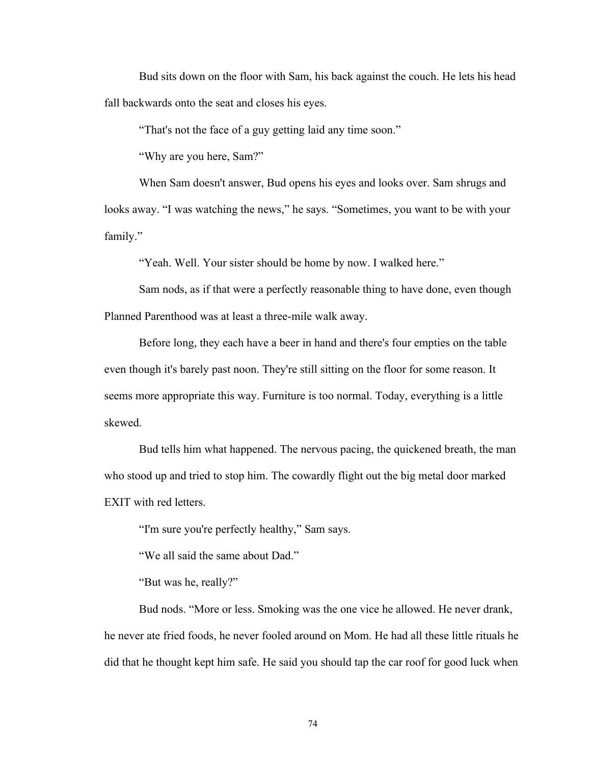Bud sits down on the floor with Sam, his back against the couch. He lets his head fall backwards onto the seat and closes his eyes.

"That's not the face of a guy getting laid any time soon."

"Why are you here, Sam?"

When Sam doesn't answer, Bud opens his eyes and looks over. Sam shrugs and looks away. "I was watching the news," he says. "Sometimes, you want to be with your family."

"Yeah. Well. Your sister should be home by now. I walked here."

Sam nods, as if that were a perfectly reasonable thing to have done, even though Planned Parenthood was at least a three-mile walk away.

Before long, they each have a beer in hand and there's four empties on the table even though it's barely past noon. They're still sitting on the floor for some reason. It seems more appropriate this way. Furniture is too normal. Today, everything is a little skewed.

Bud tells him what happened. The nervous pacing, the quickened breath, the man who stood up and tried to stop him. The cowardly flight out the big metal door marked EXIT with red letters.

"I'm sure you're perfectly healthy," Sam says.

"We all said the same about Dad."

"But was he, really?"

Bud nods. "More or less. Smoking was the one vice he allowed. He never drank, he never ate fried foods, he never fooled around on Mom. He had all these little rituals he did that he thought kept him safe. He said you should tap the car roof for good luck when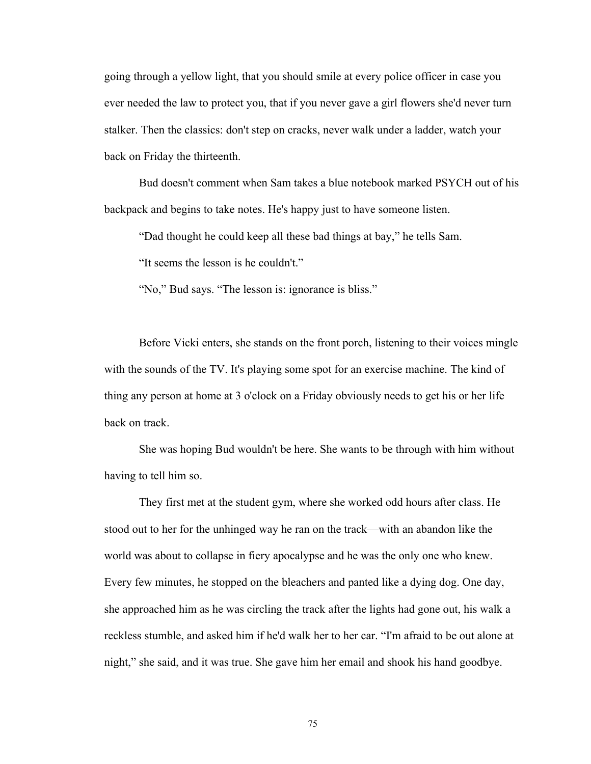going through a yellow light, that you should smile at every police officer in case you ever needed the law to protect you, that if you never gave a girl flowers she'd never turn stalker. Then the classics: don't step on cracks, never walk under a ladder, watch your back on Friday the thirteenth.

Bud doesn't comment when Sam takes a blue notebook marked PSYCH out of his backpack and begins to take notes. He's happy just to have someone listen.

"Dad thought he could keep all these bad things at bay," he tells Sam.

"It seems the lesson is he couldn't."

"No," Bud says. "The lesson is: ignorance is bliss."

Before Vicki enters, she stands on the front porch, listening to their voices mingle with the sounds of the TV. It's playing some spot for an exercise machine. The kind of thing any person at home at 3 o'clock on a Friday obviously needs to get his or her life back on track.

She was hoping Bud wouldn't be here. She wants to be through with him without having to tell him so.

They first met at the student gym, where she worked odd hours after class. He stood out to her for the unhinged way he ran on the track—with an abandon like the world was about to collapse in fiery apocalypse and he was the only one who knew. Every few minutes, he stopped on the bleachers and panted like a dying dog. One day, she approached him as he was circling the track after the lights had gone out, his walk a reckless stumble, and asked him if he'd walk her to her car. "I'm afraid to be out alone at night," she said, and it was true. She gave him her email and shook his hand goodbye.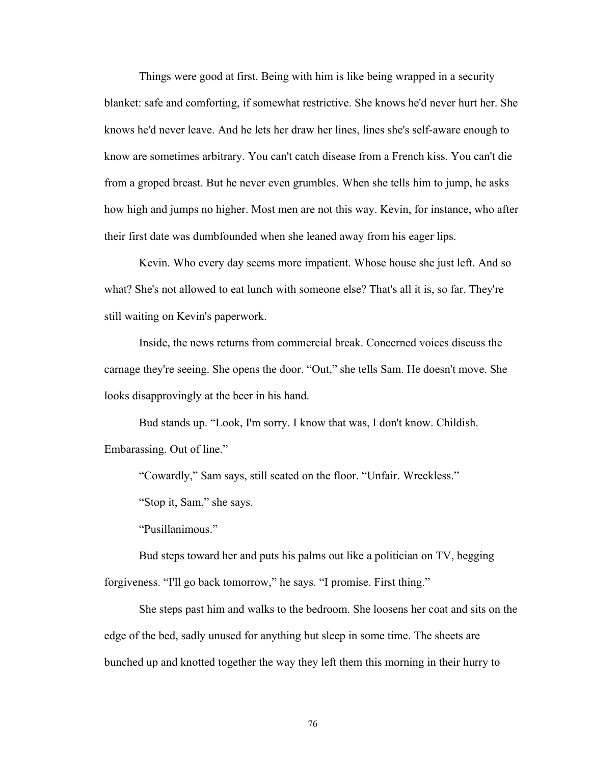Things were good at first. Being with him is like being wrapped in a security blanket: safe and comforting, if somewhat restrictive. She knows he'd never hurt her. She knows he'd never leave. And he lets her draw her lines, lines she's self-aware enough to know are sometimes arbitrary. You can't catch disease from a French kiss. You can't die from a groped breast. But he never even grumbles. When she tells him to jump, he asks how high and jumps no higher. Most men are not this way. Kevin, for instance, who after their first date was dumbfounded when she leaned away from his eager lips.

Kevin. Who every day seems more impatient. Whose house she just left. And so what? She's not allowed to eat lunch with someone else? That's all it is, so far. They're still waiting on Kevin's paperwork.

Inside, the news returns from commercial break. Concerned voices discuss the carnage they're seeing. She opens the door. "Out," she tells Sam. He doesn't move. She looks disapprovingly at the beer in his hand.

Bud stands up. "Look, I'm sorry. I know that was, I don't know. Childish. Embarassing. Out of line."

"Cowardly," Sam says, still seated on the floor. "Unfair. Wreckless."

"Stop it, Sam," she says.

"Pusillanimous."

Bud steps toward her and puts his palms out like a politician on TV, begging forgiveness. "I'll go back tomorrow," he says. "I promise. First thing."

She steps past him and walks to the bedroom. She loosens her coat and sits on the edge of the bed, sadly unused for anything but sleep in some time. The sheets are bunched up and knotted together the way they left them this morning in their hurry to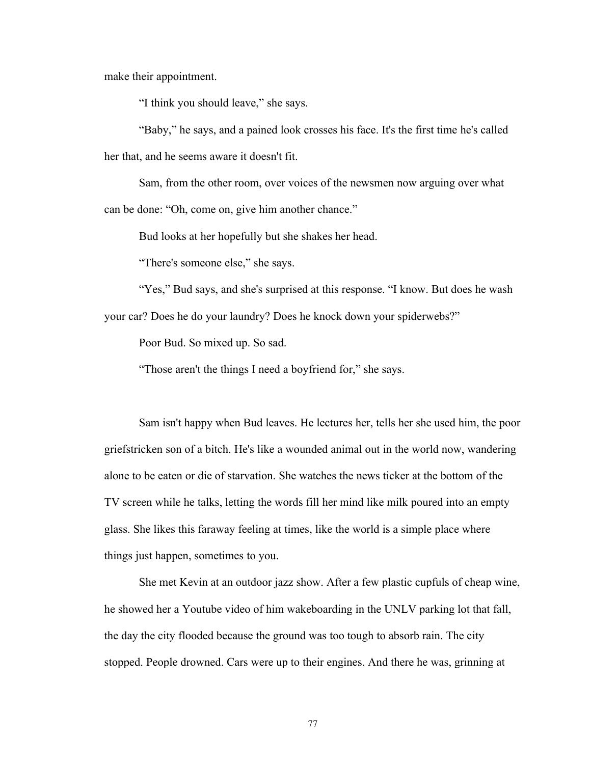make their appointment.

"I think you should leave," she says.

"Baby," he says, and a pained look crosses his face. It's the first time he's called her that, and he seems aware it doesn't fit.

Sam, from the other room, over voices of the newsmen now arguing over what can be done: "Oh, come on, give him another chance."

Bud looks at her hopefully but she shakes her head.

"There's someone else," she says.

"Yes," Bud says, and she's surprised at this response. "I know. But does he wash your car? Does he do your laundry? Does he knock down your spiderwebs?"

Poor Bud. So mixed up. So sad.

"Those aren't the things I need a boyfriend for," she says.

Sam isn't happy when Bud leaves. He lectures her, tells her she used him, the poor griefstricken son of a bitch. He's like a wounded animal out in the world now, wandering alone to be eaten or die of starvation. She watches the news ticker at the bottom of the TV screen while he talks, letting the words fill her mind like milk poured into an empty glass. She likes this faraway feeling at times, like the world is a simple place where things just happen, sometimes to you.

She met Kevin at an outdoor jazz show. After a few plastic cupfuls of cheap wine, he showed her a Youtube video of him wakeboarding in the UNLV parking lot that fall, the day the city flooded because the ground was too tough to absorb rain. The city stopped. People drowned. Cars were up to their engines. And there he was, grinning at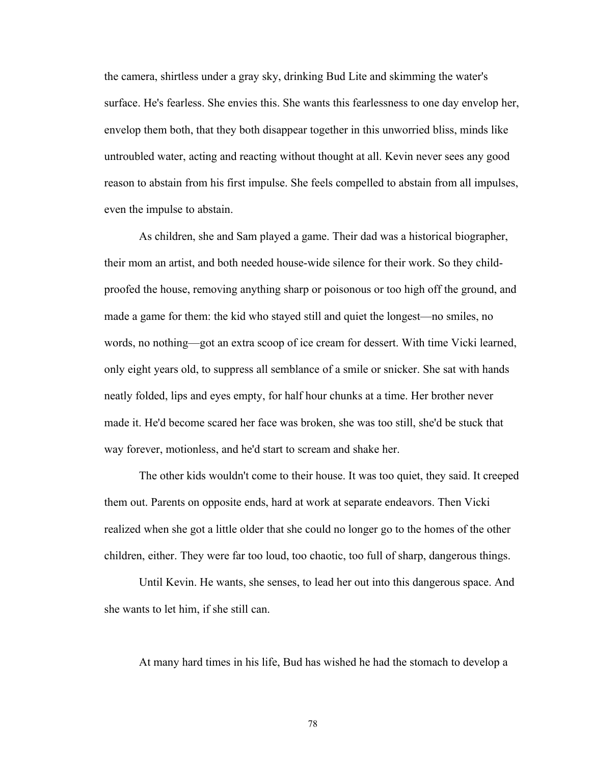the camera, shirtless under a gray sky, drinking Bud Lite and skimming the water's surface. He's fearless. She envies this. She wants this fearlessness to one day envelop her, envelop them both, that they both disappear together in this unworried bliss, minds like untroubled water, acting and reacting without thought at all. Kevin never sees any good reason to abstain from his first impulse. She feels compelled to abstain from all impulses, even the impulse to abstain.

As children, she and Sam played a game. Their dad was a historical biographer, their mom an artist, and both needed house-wide silence for their work. So they childproofed the house, removing anything sharp or poisonous or too high off the ground, and made a game for them: the kid who stayed still and quiet the longest—no smiles, no words, no nothing—got an extra scoop of ice cream for dessert. With time Vicki learned, only eight years old, to suppress all semblance of a smile or snicker. She sat with hands neatly folded, lips and eyes empty, for half hour chunks at a time. Her brother never made it. He'd become scared her face was broken, she was too still, she'd be stuck that way forever, motionless, and he'd start to scream and shake her.

The other kids wouldn't come to their house. It was too quiet, they said. It creeped them out. Parents on opposite ends, hard at work at separate endeavors. Then Vicki realized when she got a little older that she could no longer go to the homes of the other children, either. They were far too loud, too chaotic, too full of sharp, dangerous things.

Until Kevin. He wants, she senses, to lead her out into this dangerous space. And she wants to let him, if she still can.

At many hard times in his life, Bud has wished he had the stomach to develop a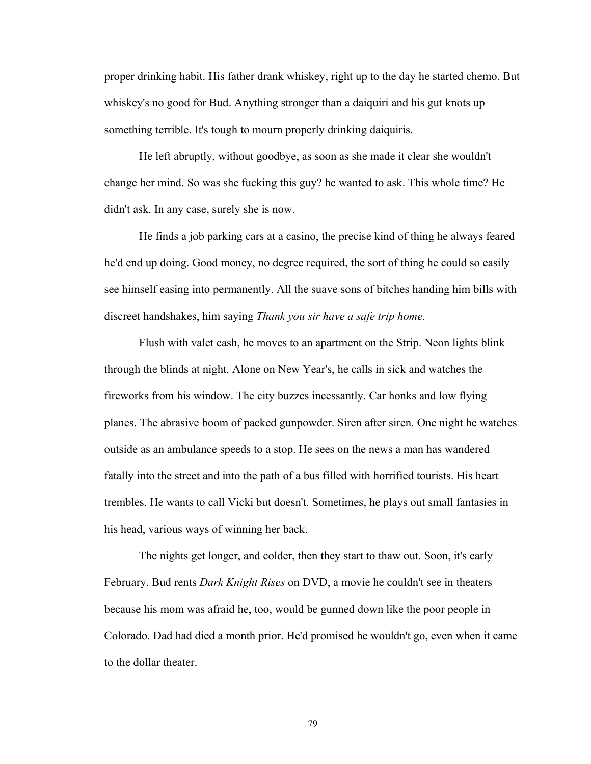proper drinking habit. His father drank whiskey, right up to the day he started chemo. But whiskey's no good for Bud. Anything stronger than a daiquiri and his gut knots up something terrible. It's tough to mourn properly drinking daiquiris.

He left abruptly, without goodbye, as soon as she made it clear she wouldn't change her mind. So was she fucking this guy? he wanted to ask. This whole time? He didn't ask. In any case, surely she is now.

He finds a job parking cars at a casino, the precise kind of thing he always feared he'd end up doing. Good money, no degree required, the sort of thing he could so easily see himself easing into permanently. All the suave sons of bitches handing him bills with discreet handshakes, him saying *Thank you sir have a safe trip home.*

Flush with valet cash, he moves to an apartment on the Strip. Neon lights blink through the blinds at night. Alone on New Year's, he calls in sick and watches the fireworks from his window. The city buzzes incessantly. Car honks and low flying planes. The abrasive boom of packed gunpowder. Siren after siren. One night he watches outside as an ambulance speeds to a stop. He sees on the news a man has wandered fatally into the street and into the path of a bus filled with horrified tourists. His heart trembles. He wants to call Vicki but doesn't. Sometimes, he plays out small fantasies in his head, various ways of winning her back.

The nights get longer, and colder, then they start to thaw out. Soon, it's early February. Bud rents *Dark Knight Rises* on DVD, a movie he couldn't see in theaters because his mom was afraid he, too, would be gunned down like the poor people in Colorado. Dad had died a month prior. He'd promised he wouldn't go, even when it came to the dollar theater.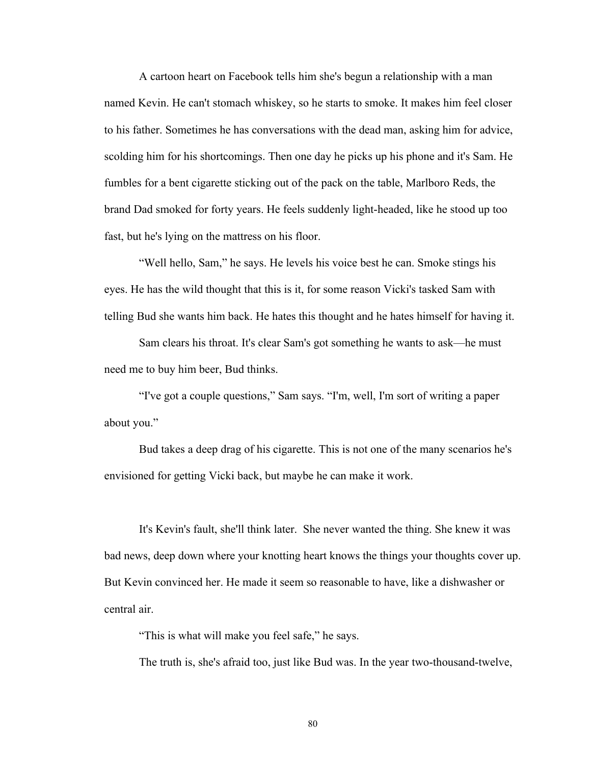A cartoon heart on Facebook tells him she's begun a relationship with a man named Kevin. He can't stomach whiskey, so he starts to smoke. It makes him feel closer to his father. Sometimes he has conversations with the dead man, asking him for advice, scolding him for his shortcomings. Then one day he picks up his phone and it's Sam. He fumbles for a bent cigarette sticking out of the pack on the table, Marlboro Reds, the brand Dad smoked for forty years. He feels suddenly light-headed, like he stood up too fast, but he's lying on the mattress on his floor.

"Well hello, Sam," he says. He levels his voice best he can. Smoke stings his eyes. He has the wild thought that this is it, for some reason Vicki's tasked Sam with telling Bud she wants him back. He hates this thought and he hates himself for having it.

Sam clears his throat. It's clear Sam's got something he wants to ask—he must need me to buy him beer, Bud thinks.

"I've got a couple questions," Sam says. "I'm, well, I'm sort of writing a paper about you."

Bud takes a deep drag of his cigarette. This is not one of the many scenarios he's envisioned for getting Vicki back, but maybe he can make it work.

It's Kevin's fault, she'll think later. She never wanted the thing. She knew it was bad news, deep down where your knotting heart knows the things your thoughts cover up. But Kevin convinced her. He made it seem so reasonable to have, like a dishwasher or central air.

"This is what will make you feel safe," he says.

The truth is, she's afraid too, just like Bud was. In the year two-thousand-twelve,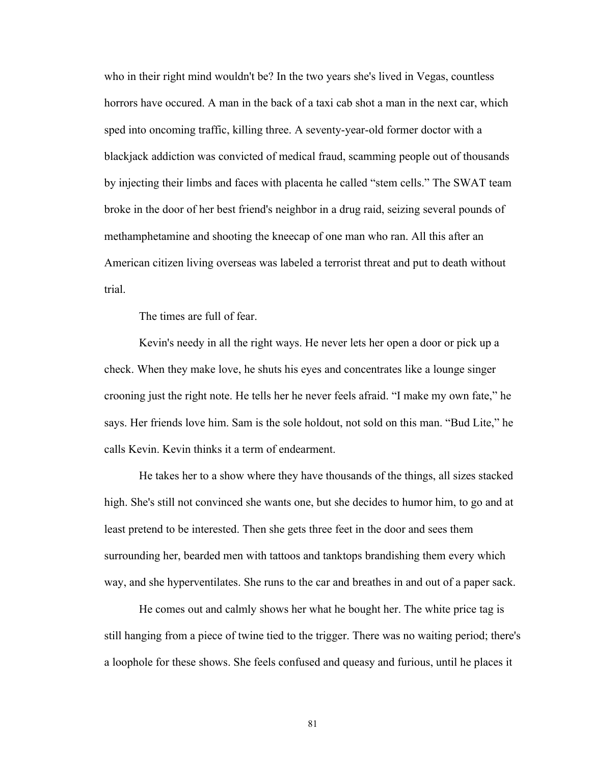who in their right mind wouldn't be? In the two years she's lived in Vegas, countless horrors have occured. A man in the back of a taxi cab shot a man in the next car, which sped into oncoming traffic, killing three. A seventy-year-old former doctor with a blackjack addiction was convicted of medical fraud, scamming people out of thousands by injecting their limbs and faces with placenta he called "stem cells." The SWAT team broke in the door of her best friend's neighbor in a drug raid, seizing several pounds of methamphetamine and shooting the kneecap of one man who ran. All this after an American citizen living overseas was labeled a terrorist threat and put to death without trial.

The times are full of fear.

Kevin's needy in all the right ways. He never lets her open a door or pick up a check. When they make love, he shuts his eyes and concentrates like a lounge singer crooning just the right note. He tells her he never feels afraid. "I make my own fate," he says. Her friends love him. Sam is the sole holdout, not sold on this man. "Bud Lite," he calls Kevin. Kevin thinks it a term of endearment.

He takes her to a show where they have thousands of the things, all sizes stacked high. She's still not convinced she wants one, but she decides to humor him, to go and at least pretend to be interested. Then she gets three feet in the door and sees them surrounding her, bearded men with tattoos and tanktops brandishing them every which way, and she hyperventilates. She runs to the car and breathes in and out of a paper sack.

He comes out and calmly shows her what he bought her. The white price tag is still hanging from a piece of twine tied to the trigger. There was no waiting period; there's a loophole for these shows. She feels confused and queasy and furious, until he places it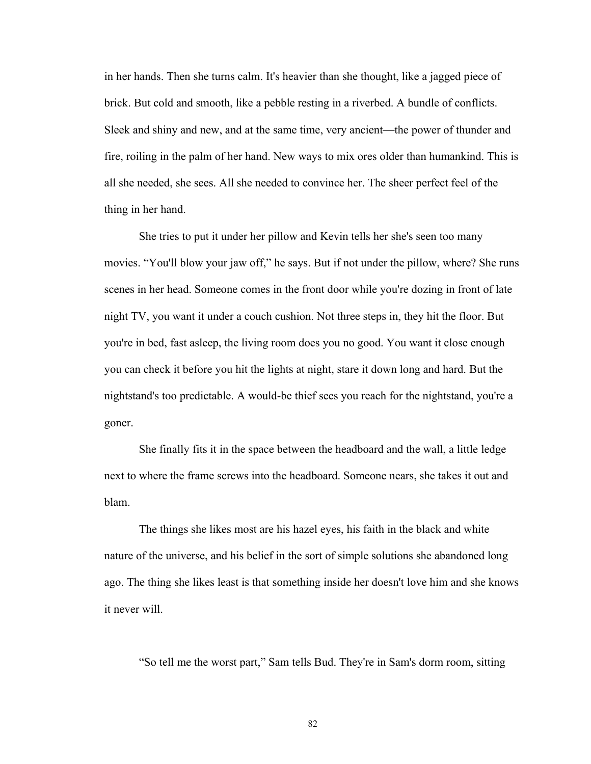in her hands. Then she turns calm. It's heavier than she thought, like a jagged piece of brick. But cold and smooth, like a pebble resting in a riverbed. A bundle of conflicts. Sleek and shiny and new, and at the same time, very ancient—the power of thunder and fire, roiling in the palm of her hand. New ways to mix ores older than humankind. This is all she needed, she sees. All she needed to convince her. The sheer perfect feel of the thing in her hand.

She tries to put it under her pillow and Kevin tells her she's seen too many movies. "You'll blow your jaw off," he says. But if not under the pillow, where? She runs scenes in her head. Someone comes in the front door while you're dozing in front of late night TV, you want it under a couch cushion. Not three steps in, they hit the floor. But you're in bed, fast asleep, the living room does you no good. You want it close enough you can check it before you hit the lights at night, stare it down long and hard. But the nightstand's too predictable. A would-be thief sees you reach for the nightstand, you're a goner.

She finally fits it in the space between the headboard and the wall, a little ledge next to where the frame screws into the headboard. Someone nears, she takes it out and blam.

The things she likes most are his hazel eyes, his faith in the black and white nature of the universe, and his belief in the sort of simple solutions she abandoned long ago. The thing she likes least is that something inside her doesn't love him and she knows it never will.

"So tell me the worst part," Sam tells Bud. They're in Sam's dorm room, sitting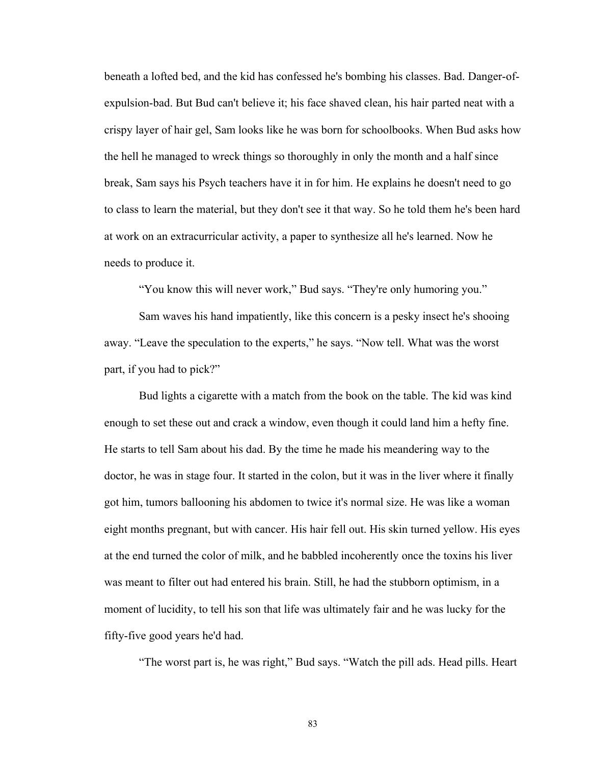beneath a lofted bed, and the kid has confessed he's bombing his classes. Bad. Danger-ofexpulsion-bad. But Bud can't believe it; his face shaved clean, his hair parted neat with a crispy layer of hair gel, Sam looks like he was born for schoolbooks. When Bud asks how the hell he managed to wreck things so thoroughly in only the month and a half since break, Sam says his Psych teachers have it in for him. He explains he doesn't need to go to class to learn the material, but they don't see it that way. So he told them he's been hard at work on an extracurricular activity, a paper to synthesize all he's learned. Now he needs to produce it.

"You know this will never work," Bud says. "They're only humoring you."

Sam waves his hand impatiently, like this concern is a pesky insect he's shooing away. "Leave the speculation to the experts," he says. "Now tell. What was the worst part, if you had to pick?"

Bud lights a cigarette with a match from the book on the table. The kid was kind enough to set these out and crack a window, even though it could land him a hefty fine. He starts to tell Sam about his dad. By the time he made his meandering way to the doctor, he was in stage four. It started in the colon, but it was in the liver where it finally got him, tumors ballooning his abdomen to twice it's normal size. He was like a woman eight months pregnant, but with cancer. His hair fell out. His skin turned yellow. His eyes at the end turned the color of milk, and he babbled incoherently once the toxins his liver was meant to filter out had entered his brain. Still, he had the stubborn optimism, in a moment of lucidity, to tell his son that life was ultimately fair and he was lucky for the fifty-five good years he'd had.

"The worst part is, he was right," Bud says. "Watch the pill ads. Head pills. Heart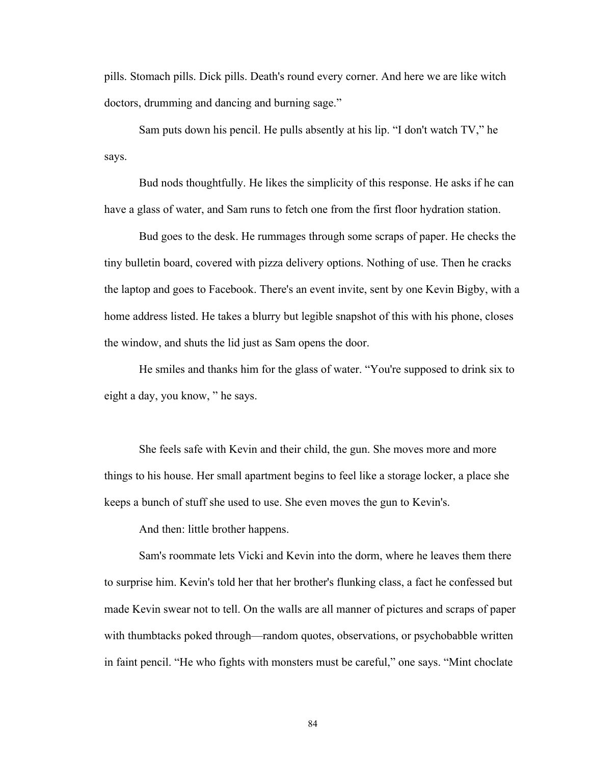pills. Stomach pills. Dick pills. Death's round every corner. And here we are like witch doctors, drumming and dancing and burning sage."

Sam puts down his pencil. He pulls absently at his lip. "I don't watch TV," he says.

Bud nods thoughtfully. He likes the simplicity of this response. He asks if he can have a glass of water, and Sam runs to fetch one from the first floor hydration station.

Bud goes to the desk. He rummages through some scraps of paper. He checks the tiny bulletin board, covered with pizza delivery options. Nothing of use. Then he cracks the laptop and goes to Facebook. There's an event invite, sent by one Kevin Bigby, with a home address listed. He takes a blurry but legible snapshot of this with his phone, closes the window, and shuts the lid just as Sam opens the door.

He smiles and thanks him for the glass of water. "You're supposed to drink six to eight a day, you know, " he says.

She feels safe with Kevin and their child, the gun. She moves more and more things to his house. Her small apartment begins to feel like a storage locker, a place she keeps a bunch of stuff she used to use. She even moves the gun to Kevin's.

And then: little brother happens.

Sam's roommate lets Vicki and Kevin into the dorm, where he leaves them there to surprise him. Kevin's told her that her brother's flunking class, a fact he confessed but made Kevin swear not to tell. On the walls are all manner of pictures and scraps of paper with thumbtacks poked through—random quotes, observations, or psychobabble written in faint pencil. "He who fights with monsters must be careful," one says. "Mint choclate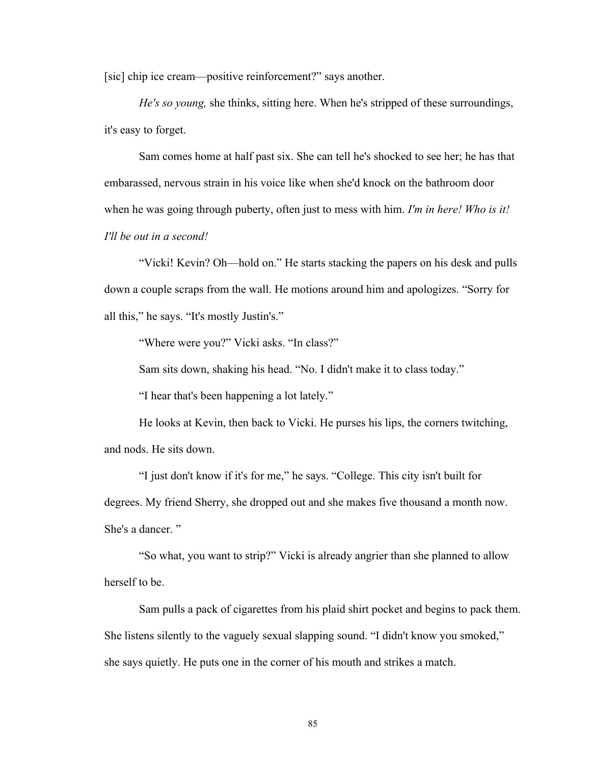[sic] chip ice cream—positive reinforcement?" says another.

*He's so young,* she thinks, sitting here. When he's stripped of these surroundings, it's easy to forget.

Sam comes home at half past six. She can tell he's shocked to see her; he has that embarassed, nervous strain in his voice like when she'd knock on the bathroom door when he was going through puberty, often just to mess with him. *I'm in here! Who is it! I'll be out in a second!* 

"Vicki! Kevin? Oh—hold on." He starts stacking the papers on his desk and pulls down a couple scraps from the wall. He motions around him and apologizes. "Sorry for all this," he says. "It's mostly Justin's."

"Where were you?" Vicki asks. "In class?"

Sam sits down, shaking his head. "No. I didn't make it to class today."

"I hear that's been happening a lot lately."

He looks at Kevin, then back to Vicki. He purses his lips, the corners twitching, and nods. He sits down.

"I just don't know if it's for me," he says. "College. This city isn't built for degrees. My friend Sherry, she dropped out and she makes five thousand a month now. She's a dancer. "

"So what, you want to strip?" Vicki is already angrier than she planned to allow herself to be.

Sam pulls a pack of cigarettes from his plaid shirt pocket and begins to pack them. She listens silently to the vaguely sexual slapping sound. "I didn't know you smoked," she says quietly. He puts one in the corner of his mouth and strikes a match.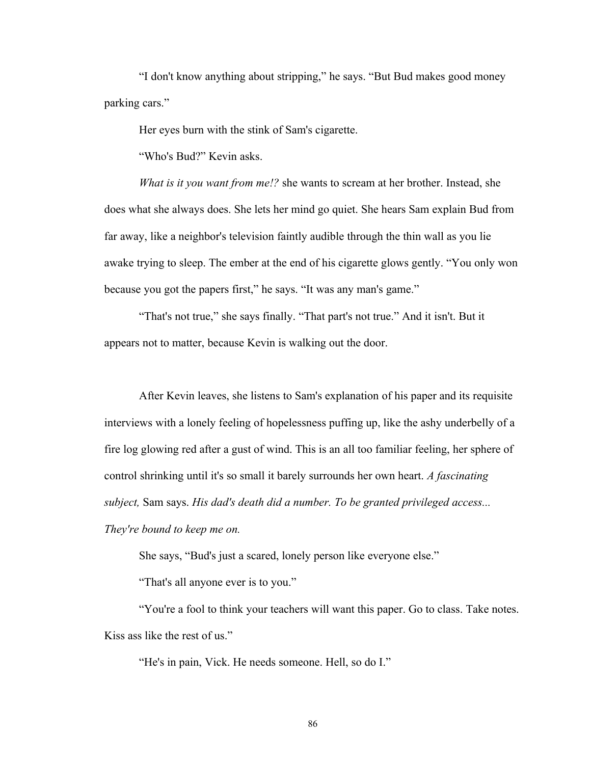"I don't know anything about stripping," he says. "But Bud makes good money parking cars."

Her eyes burn with the stink of Sam's cigarette.

"Who's Bud?" Kevin asks.

*What is it you want from me!?* she wants to scream at her brother. Instead, she does what she always does. She lets her mind go quiet. She hears Sam explain Bud from far away, like a neighbor's television faintly audible through the thin wall as you lie awake trying to sleep. The ember at the end of his cigarette glows gently. "You only won because you got the papers first," he says. "It was any man's game."

"That's not true," she says finally. "That part's not true." And it isn't. But it appears not to matter, because Kevin is walking out the door.

After Kevin leaves, she listens to Sam's explanation of his paper and its requisite interviews with a lonely feeling of hopelessness puffing up, like the ashy underbelly of a fire log glowing red after a gust of wind. This is an all too familiar feeling, her sphere of control shrinking until it's so small it barely surrounds her own heart. *A fascinating subject,* Sam says. *His dad's death did a number. To be granted privileged access...* 

*They're bound to keep me on.*

She says, "Bud's just a scared, lonely person like everyone else."

"That's all anyone ever is to you."

"You're a fool to think your teachers will want this paper. Go to class. Take notes. Kiss ass like the rest of us."

"He's in pain, Vick. He needs someone. Hell, so do I."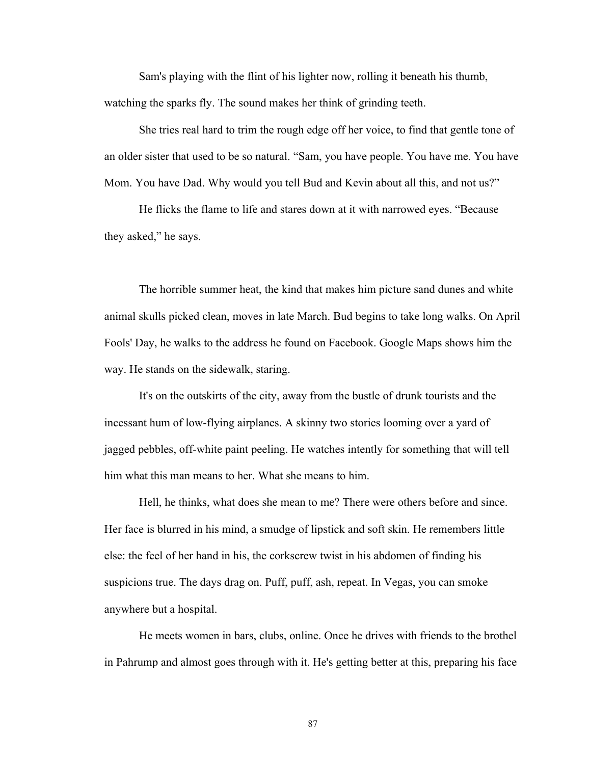Sam's playing with the flint of his lighter now, rolling it beneath his thumb, watching the sparks fly. The sound makes her think of grinding teeth.

She tries real hard to trim the rough edge off her voice, to find that gentle tone of an older sister that used to be so natural. "Sam, you have people. You have me. You have Mom. You have Dad. Why would you tell Bud and Kevin about all this, and not us?"

He flicks the flame to life and stares down at it with narrowed eyes. "Because they asked," he says.

The horrible summer heat, the kind that makes him picture sand dunes and white animal skulls picked clean, moves in late March. Bud begins to take long walks. On April Fools' Day, he walks to the address he found on Facebook. Google Maps shows him the way. He stands on the sidewalk, staring.

It's on the outskirts of the city, away from the bustle of drunk tourists and the incessant hum of low-flying airplanes. A skinny two stories looming over a yard of jagged pebbles, off-white paint peeling. He watches intently for something that will tell him what this man means to her. What she means to him.

Hell, he thinks, what does she mean to me? There were others before and since. Her face is blurred in his mind, a smudge of lipstick and soft skin. He remembers little else: the feel of her hand in his, the corkscrew twist in his abdomen of finding his suspicions true. The days drag on. Puff, puff, ash, repeat. In Vegas, you can smoke anywhere but a hospital.

He meets women in bars, clubs, online. Once he drives with friends to the brothel in Pahrump and almost goes through with it. He's getting better at this, preparing his face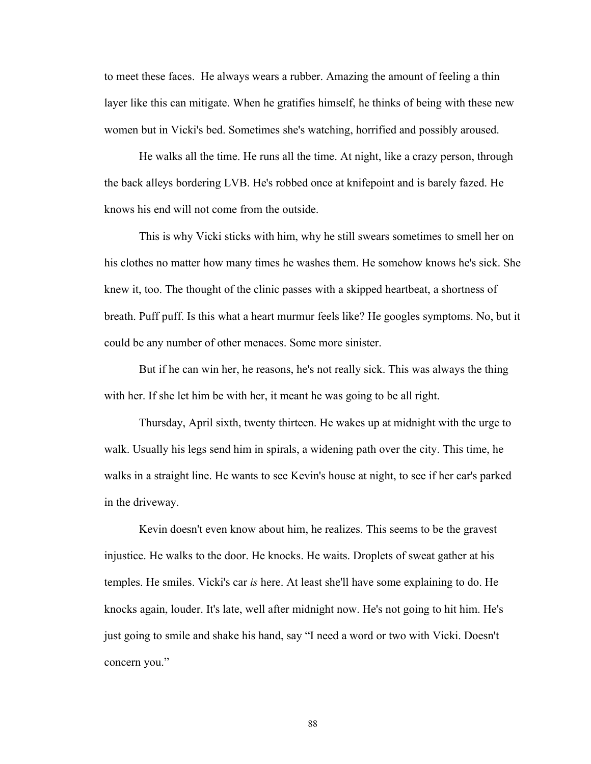to meet these faces. He always wears a rubber. Amazing the amount of feeling a thin layer like this can mitigate. When he gratifies himself, he thinks of being with these new women but in Vicki's bed. Sometimes she's watching, horrified and possibly aroused.

He walks all the time. He runs all the time. At night, like a crazy person, through the back alleys bordering LVB. He's robbed once at knifepoint and is barely fazed. He knows his end will not come from the outside.

This is why Vicki sticks with him, why he still swears sometimes to smell her on his clothes no matter how many times he washes them. He somehow knows he's sick. She knew it, too. The thought of the clinic passes with a skipped heartbeat, a shortness of breath. Puff puff. Is this what a heart murmur feels like? He googles symptoms. No, but it could be any number of other menaces. Some more sinister.

But if he can win her, he reasons, he's not really sick. This was always the thing with her. If she let him be with her, it meant he was going to be all right.

Thursday, April sixth, twenty thirteen. He wakes up at midnight with the urge to walk. Usually his legs send him in spirals, a widening path over the city. This time, he walks in a straight line. He wants to see Kevin's house at night, to see if her car's parked in the driveway.

Kevin doesn't even know about him, he realizes. This seems to be the gravest injustice. He walks to the door. He knocks. He waits. Droplets of sweat gather at his temples. He smiles. Vicki's car *is* here. At least she'll have some explaining to do. He knocks again, louder. It's late, well after midnight now. He's not going to hit him. He's just going to smile and shake his hand, say "I need a word or two with Vicki. Doesn't concern you."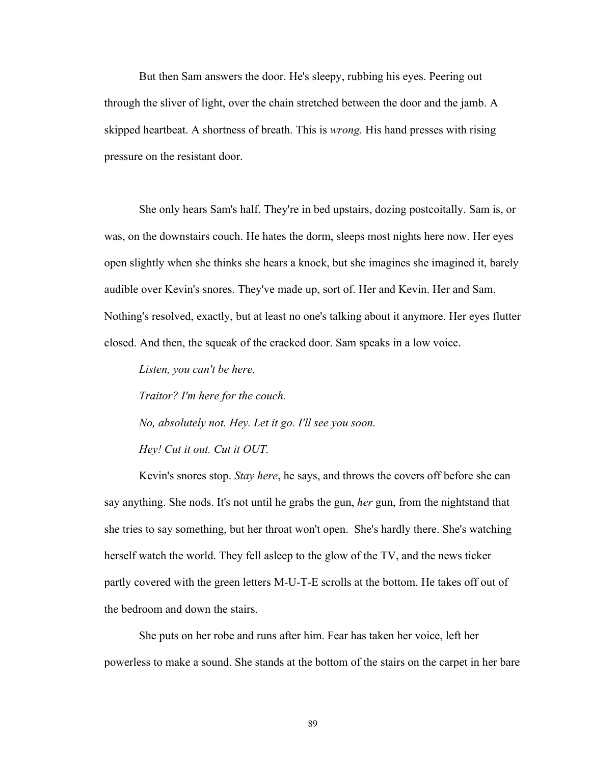But then Sam answers the door. He's sleepy, rubbing his eyes. Peering out through the sliver of light, over the chain stretched between the door and the jamb. A skipped heartbeat. A shortness of breath. This is *wrong.* His hand presses with rising pressure on the resistant door.

She only hears Sam's half. They're in bed upstairs, dozing postcoitally. Sam is, or was, on the downstairs couch. He hates the dorm, sleeps most nights here now. Her eyes open slightly when she thinks she hears a knock, but she imagines she imagined it, barely audible over Kevin's snores. They've made up, sort of. Her and Kevin. Her and Sam. Nothing's resolved, exactly, but at least no one's talking about it anymore. Her eyes flutter closed. And then, the squeak of the cracked door. Sam speaks in a low voice.

*Listen, you can't be here. Traitor? I'm here for the couch. No, absolutely not. Hey. Let it go. I'll see you soon. Hey! Cut it out. Cut it OUT.*

Kevin's snores stop. *Stay here*, he says, and throws the covers off before she can say anything. She nods. It's not until he grabs the gun, *her* gun, from the nightstand that she tries to say something, but her throat won't open. She's hardly there. She's watching herself watch the world. They fell asleep to the glow of the TV, and the news ticker partly covered with the green letters M-U-T-E scrolls at the bottom. He takes off out of the bedroom and down the stairs.

She puts on her robe and runs after him. Fear has taken her voice, left her powerless to make a sound. She stands at the bottom of the stairs on the carpet in her bare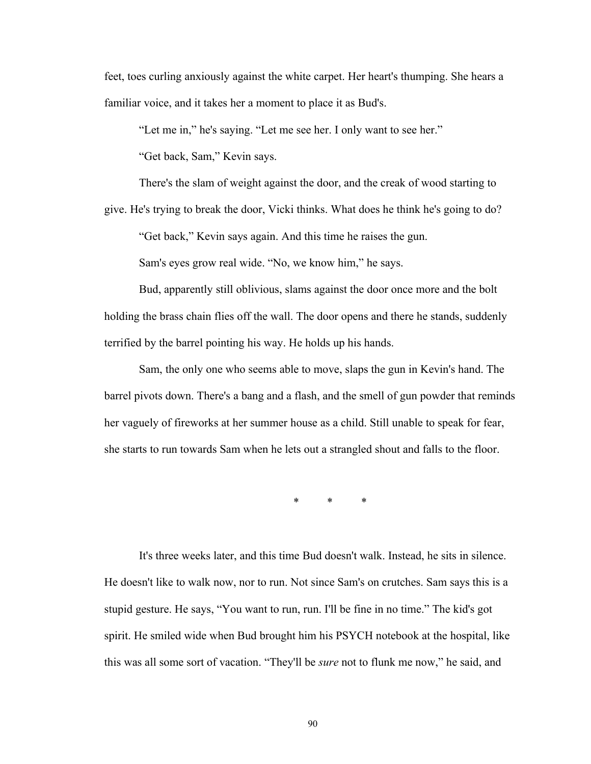feet, toes curling anxiously against the white carpet. Her heart's thumping. She hears a familiar voice, and it takes her a moment to place it as Bud's.

"Let me in," he's saying. "Let me see her. I only want to see her."

"Get back, Sam," Kevin says.

There's the slam of weight against the door, and the creak of wood starting to

give. He's trying to break the door, Vicki thinks. What does he think he's going to do?

"Get back," Kevin says again. And this time he raises the gun.

Sam's eyes grow real wide. "No, we know him," he says.

Bud, apparently still oblivious, slams against the door once more and the bolt holding the brass chain flies off the wall. The door opens and there he stands, suddenly terrified by the barrel pointing his way. He holds up his hands.

Sam, the only one who seems able to move, slaps the gun in Kevin's hand. The barrel pivots down. There's a bang and a flash, and the smell of gun powder that reminds her vaguely of fireworks at her summer house as a child. Still unable to speak for fear, she starts to run towards Sam when he lets out a strangled shout and falls to the floor.

\* \* \*

It's three weeks later, and this time Bud doesn't walk. Instead, he sits in silence. He doesn't like to walk now, nor to run. Not since Sam's on crutches. Sam says this is a stupid gesture. He says, "You want to run, run. I'll be fine in no time." The kid's got spirit. He smiled wide when Bud brought him his PSYCH notebook at the hospital, like this was all some sort of vacation. "They'll be *sure* not to flunk me now," he said, and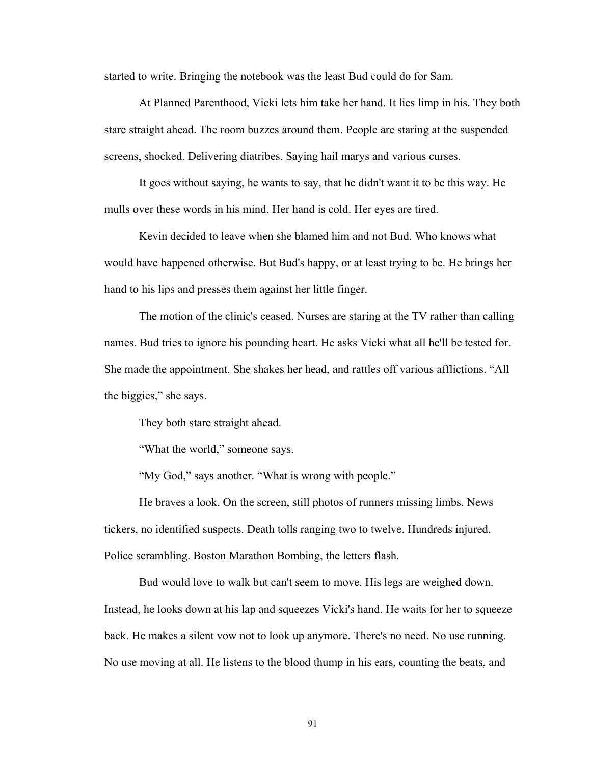started to write. Bringing the notebook was the least Bud could do for Sam.

At Planned Parenthood, Vicki lets him take her hand. It lies limp in his. They both stare straight ahead. The room buzzes around them. People are staring at the suspended screens, shocked. Delivering diatribes. Saying hail marys and various curses.

It goes without saying, he wants to say, that he didn't want it to be this way. He mulls over these words in his mind. Her hand is cold. Her eyes are tired.

Kevin decided to leave when she blamed him and not Bud. Who knows what would have happened otherwise. But Bud's happy, or at least trying to be. He brings her hand to his lips and presses them against her little finger.

The motion of the clinic's ceased. Nurses are staring at the TV rather than calling names. Bud tries to ignore his pounding heart. He asks Vicki what all he'll be tested for. She made the appointment. She shakes her head, and rattles off various afflictions. "All the biggies," she says.

They both stare straight ahead.

"What the world," someone says.

"My God," says another. "What is wrong with people."

He braves a look. On the screen, still photos of runners missing limbs. News tickers, no identified suspects. Death tolls ranging two to twelve. Hundreds injured. Police scrambling. Boston Marathon Bombing, the letters flash.

Bud would love to walk but can't seem to move. His legs are weighed down. Instead, he looks down at his lap and squeezes Vicki's hand. He waits for her to squeeze back. He makes a silent vow not to look up anymore. There's no need. No use running. No use moving at all. He listens to the blood thump in his ears, counting the beats, and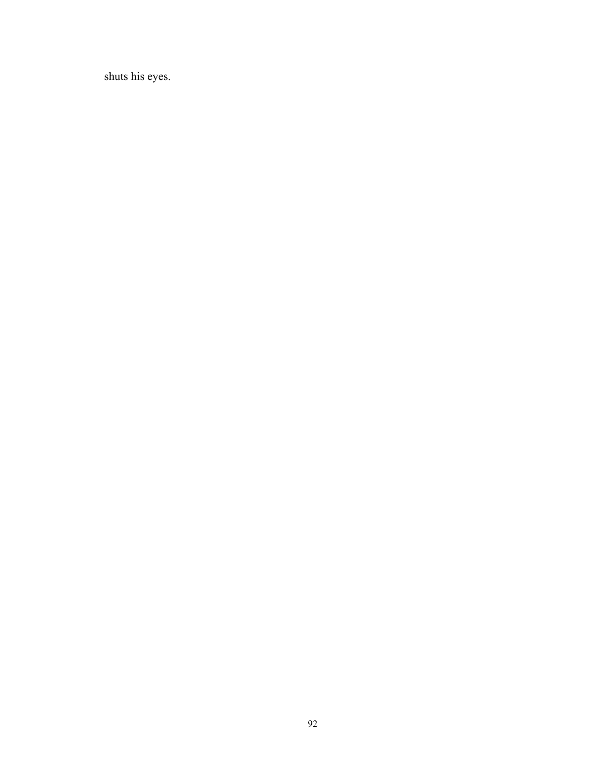shuts his eyes.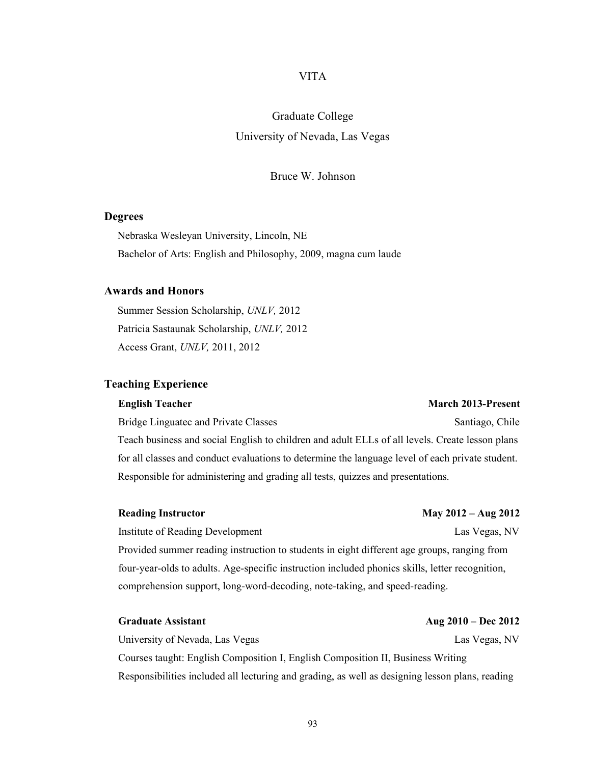# VITA

# Graduate College University of Nevada, Las Vegas

# Bruce W. Johnson

### **Degrees**

 Nebraska Wesleyan University, Lincoln, NE Bachelor of Arts: English and Philosophy, 2009, magna cum laude

# **Awards and Honors**

Summer Session Scholarship, *UNLV,* 2012 Patricia Sastaunak Scholarship, *UNLV,* 2012 Access Grant, *UNLV,* 2011, 2012

# **Teaching Experience**

### **English Teacher March 2013-Present**

Bridge Linguatec and Private Classes Santiago, Chile

 Teach business and social English to children and adult ELLs of all levels. Create lesson plans for all classes and conduct evaluations to determine the language level of each private student. Responsible for administering and grading all tests, quizzes and presentations.

### **Reading Instructor May 2012 – Aug 2012**

Institute of Reading Development Las Vegas, NV

Provided summer reading instruction to students in eight different age groups, ranging from four-year-olds to adults. Age-specific instruction included phonics skills, letter recognition, comprehension support, long-word-decoding, note-taking, and speed-reading.

University of Nevada, Las Vegas Las Vegas, NV Courses taught: English Composition I, English Composition II, Business Writing Responsibilities included all lecturing and grading, as well as designing lesson plans, reading

# **Graduate Assistant Aug 2010 – Dec 2012**